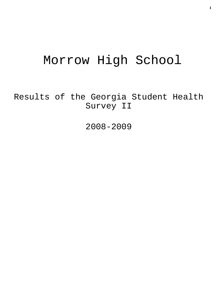# Morrow High School

Results of the Georgia Student Health Survey II

2008-2009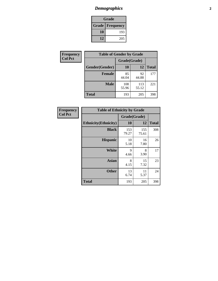# *Demographics* **2**

| Grade                    |     |  |  |  |
|--------------------------|-----|--|--|--|
| <b>Grade   Frequency</b> |     |  |  |  |
| 10                       | 193 |  |  |  |
| 12                       | 205 |  |  |  |

| Frequency      |                | <b>Table of Gender by Grade</b> |              |              |  |
|----------------|----------------|---------------------------------|--------------|--------------|--|
| <b>Col Pct</b> |                | Grade(Grade)                    |              |              |  |
|                | Gender(Gender) | 10                              | 12           | <b>Total</b> |  |
|                | <b>Female</b>  | 85<br>44.04                     | 92<br>44.88  | 177          |  |
|                | <b>Male</b>    | 108<br>55.96                    | 113<br>55.12 | 221          |  |
|                | <b>Total</b>   | 193                             | 205          | 398          |  |

| <b>Frequency</b><br>Col Pct |
|-----------------------------|

| <b>Table of Ethnicity by Grade</b> |              |              |              |  |  |  |
|------------------------------------|--------------|--------------|--------------|--|--|--|
|                                    | Grade(Grade) |              |              |  |  |  |
| <b>Ethnicity</b> (Ethnicity)       | 10           | 12           | <b>Total</b> |  |  |  |
| <b>Black</b>                       | 153<br>79.27 | 155<br>75.61 | 308          |  |  |  |
| <b>Hispanic</b>                    | 10<br>5.18   | 16<br>7.80   | 26           |  |  |  |
| <b>White</b>                       | 9<br>4.66    | 8<br>3.90    | 17           |  |  |  |
| <b>Asian</b>                       | 8<br>4.15    | 15<br>7.32   | 23           |  |  |  |
| <b>Other</b>                       | 13<br>6.74   | 11<br>5.37   | 24           |  |  |  |
| <b>Total</b>                       | 193          | 205          | 398          |  |  |  |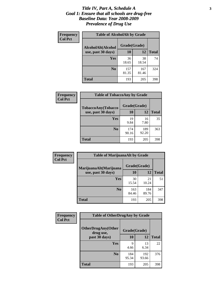#### *Title IV, Part A, Schedule A* **3** *Goal 1: Ensure that all schools are drug-free Baseline Data: Year 2008-2009 Prevalence of Drug Use*

| Frequency<br><b>Col Pct</b> | <b>Table of AlcoholAlt by Grade</b> |              |              |              |  |
|-----------------------------|-------------------------------------|--------------|--------------|--------------|--|
|                             | AlcoholAlt(Alcohol                  | Grade(Grade) |              |              |  |
|                             | use, past 30 days)                  | <b>10</b>    | 12           | <b>Total</b> |  |
|                             | <b>Yes</b>                          | 36<br>18.65  | 38<br>18.54  | 74           |  |
|                             | N <sub>0</sub>                      | 157<br>81.35 | 167<br>81.46 | 324          |  |
|                             | Total                               | 193          | 205          | 398          |  |

| Frequency<br><b>Col Pct</b> | <b>Table of TobaccoAny by Grade</b> |              |              |              |  |  |
|-----------------------------|-------------------------------------|--------------|--------------|--------------|--|--|
|                             | TobaccoAny(Tobacco                  | Grade(Grade) |              |              |  |  |
|                             | use, past 30 days)                  | 10           | 12           | <b>Total</b> |  |  |
|                             | Yes                                 | 19<br>9.84   | 16<br>7.80   | 35           |  |  |
|                             | N <sub>0</sub>                      | 174<br>90.16 | 189<br>92.20 | 363          |  |  |
|                             | <b>Total</b>                        | 193          | 205          | 398          |  |  |

| Frequency<br><b>Col Pct</b> | <b>Table of MarijuanaAlt by Grade</b> |              |              |              |  |
|-----------------------------|---------------------------------------|--------------|--------------|--------------|--|
|                             | MarijuanaAlt(Marijuana                | Grade(Grade) |              |              |  |
|                             | use, past 30 days)                    | <b>10</b>    | 12           | <b>Total</b> |  |
|                             | <b>Yes</b>                            | 30<br>15.54  | 21<br>10.24  | 51           |  |
|                             | N <sub>0</sub>                        | 163<br>84.46 | 184<br>89.76 | 347          |  |
|                             | <b>Total</b>                          | 193          | 205          | 398          |  |

| Frequency<br><b>Col Pct</b> | <b>Table of OtherDrugAny by Grade</b>                  |              |              |              |  |
|-----------------------------|--------------------------------------------------------|--------------|--------------|--------------|--|
|                             | <b>OtherDrugAny(Other</b><br>Grade(Grade)<br>drug use, |              |              |              |  |
|                             | past 30 days)                                          | 10           | 12           | <b>Total</b> |  |
|                             | Yes                                                    | 9<br>4.66    | 13<br>6.34   | 22           |  |
|                             | N <sub>0</sub>                                         | 184<br>95.34 | 192<br>93.66 | 376          |  |
|                             | <b>Total</b>                                           | 193          | 205          | 398          |  |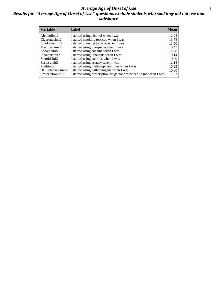#### *Average Age of Onset of Use* **4** *Results for "Average Age of Onset of Use" questions exclude students who said they did not use that substance*

| <b>Variable</b>    | Label                                                              | <b>Mean</b> |
|--------------------|--------------------------------------------------------------------|-------------|
| Alcoholinit2       | I started using alcohol when I was                                 | 12.94       |
| Cigarettesinit2    | I started smoking tobacco when I was                               | 13.78       |
| Smokelessinit2     | I started chewing tobacco when I was                               | 11.50       |
| Marijuanainit2     | I started using marijuana when I was                               | 13.47       |
| Cocaineinit2       | I started using cocaine when I was                                 | 12.88       |
| Inhalantsinit2     | I started using inhalants when I was                               | 10.14       |
| Steroidsinit2      | I started using steroids when I was                                | 9.50        |
| Ecstasyinit2       | I started using ecstasy when I was                                 | 12.14       |
| Methinit2          | I started using methamphetamines when I was                        | 10.25       |
| Hallucinogensinit2 | I started using hallucinogens when I was                           | 10.80       |
| Prescriptioninit2  | I started using prescription drugs not prescribed to me when I was | 11.82       |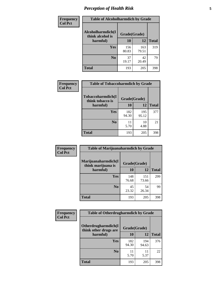# *Perception of Health Risk* **5**

| <b>Frequency</b> | <b>Table of Alcoholharmdich by Grade</b> |              |              |              |  |
|------------------|------------------------------------------|--------------|--------------|--------------|--|
| <b>Col Pct</b>   | Alcoholharmdich(I<br>think alcohol is    | Grade(Grade) |              |              |  |
|                  | harmful)                                 | 10           | 12           | <b>Total</b> |  |
|                  | <b>Yes</b>                               | 156<br>80.83 | 163<br>79.51 | 319          |  |
|                  | N <sub>0</sub>                           | 37<br>19.17  | 42<br>20.49  | 79           |  |
|                  | <b>Total</b>                             | 193          | 205          | 398          |  |

| <b>Frequency</b> | <b>Table of Tobaccoharmdich by Grade</b> |              |              |              |  |
|------------------|------------------------------------------|--------------|--------------|--------------|--|
| <b>Col Pct</b>   | Tobaccoharmdich(I<br>think tobacco is    | Grade(Grade) |              |              |  |
|                  | harmful)                                 | 10           | 12           | <b>Total</b> |  |
|                  | Yes                                      | 182<br>94.30 | 195<br>95.12 | 377          |  |
|                  | N <sub>0</sub>                           | 11<br>5.70   | 10<br>4.88   | 21           |  |
|                  | <b>Total</b>                             | 193          | 205          | 398          |  |

| <b>Frequency</b> | <b>Table of Marijuanaharmdich by Grade</b>                |              |              |              |  |  |
|------------------|-----------------------------------------------------------|--------------|--------------|--------------|--|--|
| <b>Col Pct</b>   | Marijuanaharmdich(I<br>Grade(Grade)<br>think marijuana is |              |              |              |  |  |
|                  | harmful)                                                  | 10           | 12           | <b>Total</b> |  |  |
|                  | Yes                                                       | 148<br>76.68 | 151<br>73.66 | 299          |  |  |
|                  | N <sub>0</sub>                                            | 45<br>23.32  | 54<br>26.34  | 99           |  |  |
|                  | <b>Total</b>                                              | 193          | 205          | 398          |  |  |

| <b>Frequency</b> | <b>Table of Otherdrugharmdich by Grade</b>   |              |              |              |  |  |  |  |
|------------------|----------------------------------------------|--------------|--------------|--------------|--|--|--|--|
| <b>Col Pct</b>   | Otherdrugharmdich(I<br>think other drugs are | Grade(Grade) |              |              |  |  |  |  |
|                  | harmful)                                     | <b>10</b>    | 12           | <b>Total</b> |  |  |  |  |
|                  | Yes                                          | 182<br>94.30 | 194<br>94.63 | 376          |  |  |  |  |
|                  | N <sub>0</sub>                               | 11<br>5.70   | 11<br>5.37   | 22           |  |  |  |  |
|                  | <b>Total</b>                                 | 193          | 205          | 398          |  |  |  |  |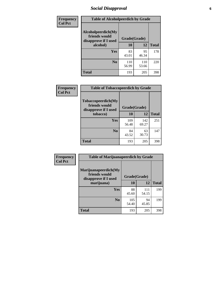# *Social Disapproval* **6**

| Frequency      | <b>Table of Alcoholpeerdich by Grade</b>                    |              |              |     |
|----------------|-------------------------------------------------------------|--------------|--------------|-----|
| <b>Col Pct</b> | Alcoholpeerdich(My<br>friends would<br>disapprove if I used | Grade(Grade) |              |     |
|                | alcohol)                                                    | 10           | <b>Total</b> |     |
|                | <b>Yes</b>                                                  | 83<br>43.01  | 95<br>46.34  | 178 |
|                | N <sub>0</sub>                                              | 110<br>56.99 | 110<br>53.66 | 220 |
|                | <b>Total</b>                                                | 193          | 205          | 398 |

| <b>Frequency</b> |
|------------------|
| <b>Col Pct</b>   |

| <b>Table of Tobaccopeerdich by Grade</b>                            |              |              |              |  |  |  |  |
|---------------------------------------------------------------------|--------------|--------------|--------------|--|--|--|--|
| <b>Tobaccopeerdich</b> (My<br>friends would<br>disapprove if I used | Grade(Grade) |              |              |  |  |  |  |
| tobacco)                                                            | 10           | 12           | <b>Total</b> |  |  |  |  |
| Yes                                                                 | 109<br>56.48 | 142<br>69.27 | 251          |  |  |  |  |
| N <sub>0</sub>                                                      | 84<br>43.52  | 63<br>30.73  | 147          |  |  |  |  |
| <b>Total</b>                                                        | 193          | 205          | 398          |  |  |  |  |

| Frequency      | <b>Table of Marijuanapeerdich by Grade</b>                    |              |              |              |  |  |  |  |
|----------------|---------------------------------------------------------------|--------------|--------------|--------------|--|--|--|--|
| <b>Col Pct</b> | Marijuanapeerdich(My<br>friends would<br>disapprove if I used | Grade(Grade) |              |              |  |  |  |  |
|                | marijuana)                                                    | 10           | 12           | <b>Total</b> |  |  |  |  |
|                | <b>Yes</b>                                                    | 88<br>45.60  | 111<br>54.15 | 199          |  |  |  |  |
|                | N <sub>0</sub>                                                | 105<br>54.40 | 94<br>45.85  | 199          |  |  |  |  |
|                | <b>Total</b>                                                  | 193          | 205          | 398          |  |  |  |  |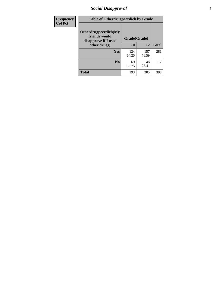# *Social Disapproval* **7**

| Frequency      | <b>Table of Otherdrugpeerdich by Grade</b>                    |              |              |              |  |  |  |  |
|----------------|---------------------------------------------------------------|--------------|--------------|--------------|--|--|--|--|
| <b>Col Pct</b> | Otherdrugpeerdich(My<br>friends would<br>disapprove if I used | Grade(Grade) |              |              |  |  |  |  |
|                | other drugs)                                                  | 10           | 12           | <b>Total</b> |  |  |  |  |
|                | Yes                                                           | 124<br>64.25 | 157<br>76.59 | 281          |  |  |  |  |
|                | N <sub>0</sub>                                                | 69<br>35.75  | 48<br>23.41  | 117          |  |  |  |  |
|                | <b>Total</b>                                                  | 193          | 205          | 398          |  |  |  |  |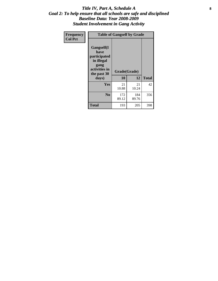#### Title IV, Part A, Schedule A **8** *Goal 2: To help ensure that all schools are safe and disciplined Baseline Data: Year 2008-2009 Student Involvement in Gang Activity*

| Frequency      | <b>Table of Gangself by Grade</b>                                                                 |                    |              |              |
|----------------|---------------------------------------------------------------------------------------------------|--------------------|--------------|--------------|
| <b>Col Pct</b> | Gangself(I<br>have<br>participated<br>in illegal<br>gang<br>activities in<br>the past 30<br>days) | Grade(Grade)<br>10 | 12           | <b>Total</b> |
|                | Yes                                                                                               | 21<br>10.88        | 21<br>10.24  | 42           |
|                | N <sub>0</sub>                                                                                    | 172<br>89.12       | 184<br>89.76 | 356          |
|                | <b>Total</b>                                                                                      | 193                | 205          | 398          |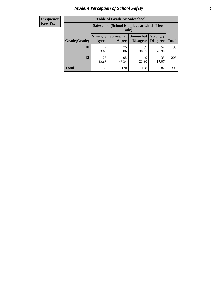# *Student Perception of School Safety* **9**

| <b>Frequency</b><br>Row Pct |
|-----------------------------|
|                             |

| <b>Table of Grade by Safeschool</b> |                                                                                                          |                                                        |             |             |     |  |  |  |
|-------------------------------------|----------------------------------------------------------------------------------------------------------|--------------------------------------------------------|-------------|-------------|-----|--|--|--|
|                                     |                                                                                                          | Safeschool (School is a place at which I feel<br>safe) |             |             |     |  |  |  |
| Grade(Grade)                        | Somewhat Somewhat<br><b>Strongly</b><br><b>Strongly</b><br><b>Disagree</b><br>Agree<br>Disagree<br>Agree |                                                        |             |             |     |  |  |  |
| 10                                  | 3.63                                                                                                     | 75<br>38.86                                            | 59<br>30.57 | 52<br>26.94 | 193 |  |  |  |
| 12                                  | 26<br>12.68                                                                                              | 95<br>46.34                                            | 49<br>23.90 | 35<br>17.07 | 205 |  |  |  |
| <b>Total</b>                        | 33                                                                                                       | 170                                                    | 108         | 87          | 398 |  |  |  |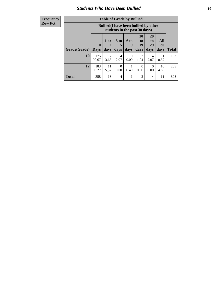#### *Students Who Have Been Bullied* **10**

| <b>Frequency</b> |
|------------------|
| Row Pct          |

| <b>Table of Grade by Bullied</b> |                            |                                                                               |                              |                   |                        |                        |                          |              |
|----------------------------------|----------------------------|-------------------------------------------------------------------------------|------------------------------|-------------------|------------------------|------------------------|--------------------------|--------------|
|                                  |                            | <b>Bullied</b> (I have been bullied by other<br>students in the past 30 days) |                              |                   |                        |                        |                          |              |
| Grade(Grade)                     | $\mathbf 0$<br><b>Days</b> | 1 or<br>2<br>days                                                             | 3 <sub>to</sub><br>5<br>days | 6 to<br>9<br>days | 10<br>to<br>19<br>days | 20<br>to<br>29<br>days | All<br><b>30</b><br>days | <b>Total</b> |
| 10                               | 175<br>90.67               | 7<br>3.63                                                                     | 4<br>2.07                    | $\Omega$<br>0.00  | 2<br>1.04              | 4<br>2.07              | 0.52                     | 193          |
| 12                               | 183<br>89.27               | 11<br>5.37                                                                    | 0<br>0.00                    | 0.49              | $\Omega$<br>0.00       | $\Omega$<br>0.00       | 10<br>4.88               | 205          |
| <b>Total</b>                     | 358                        | 18                                                                            | 4                            |                   | 2                      | $\overline{4}$         | 11                       | 398          |

 $\blacksquare$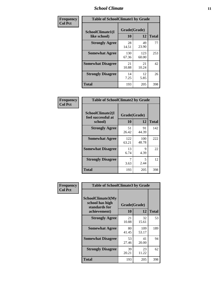### *School Climate* **11**

| Frequency      | <b>Table of SchoolClimate1 by Grade</b> |                    |              |              |  |  |  |
|----------------|-----------------------------------------|--------------------|--------------|--------------|--|--|--|
| <b>Col Pct</b> | SchoolClimate1(I<br>like school)        | Grade(Grade)<br>10 | 12           | <b>Total</b> |  |  |  |
|                | <b>Strongly Agree</b>                   | 28<br>14.51        | 49<br>23.90  | 77           |  |  |  |
|                | <b>Somewhat Agree</b>                   | 130<br>67.36       | 123<br>60.00 | 253          |  |  |  |
|                | <b>Somewhat Disagree</b>                | 21<br>10.88        | 21<br>10.24  | 42           |  |  |  |
|                | <b>Strongly Disagree</b>                | 14<br>7.25         | 12<br>5.85   | 26           |  |  |  |
|                | <b>Total</b>                            | 193                | 205          | 398          |  |  |  |

| <b>Frequency</b> | <b>Table of Sc</b>                                  |
|------------------|-----------------------------------------------------|
| <b>Col Pct</b>   |                                                     |
|                  | SchoolClimate2<br><b>feel successful</b><br>school) |
|                  | <b>Strongly Ag</b>                                  |

т л

| <b>Table of SchoolClimate2 by Grade</b>           |              |              |     |  |
|---------------------------------------------------|--------------|--------------|-----|--|
| SchoolClimate2(I<br>feel successful at<br>school) | <b>Total</b> |              |     |  |
| <b>Strongly Agree</b>                             | 51<br>26.42  | 91<br>44.39  | 142 |  |
| <b>Somewhat Agree</b>                             | 122<br>63.21 | 100<br>48.78 | 222 |  |
| <b>Somewhat Disagree</b>                          | 13<br>6.74   | 9<br>4.39    | 22  |  |
| <b>Strongly Disagree</b>                          | 3.63         | 5<br>2.44    | 12  |  |
| <b>Total</b>                                      | 193          | 205          | 398 |  |

| Frequency | <b>Table of SchoolClimate3 by Grade</b>                               |                          |              |              |
|-----------|-----------------------------------------------------------------------|--------------------------|--------------|--------------|
| Col Pct   | SchoolClimate3(My<br>school has high<br>standards for<br>achievement) | Grade(Grade)<br>10<br>12 |              | <b>Total</b> |
|           |                                                                       |                          |              |              |
|           | <b>Strongly Agree</b>                                                 | 21<br>10.88              | 32<br>15.61  | 53           |
|           | <b>Somewhat Agree</b>                                                 | 80<br>41.45              | 109<br>53.17 | 189          |
|           | <b>Somewhat Disagree</b>                                              | 53<br>27.46              | 41<br>20.00  | 94           |
|           | <b>Strongly Disagree</b>                                              | 39<br>20.21              | 23<br>11.22  | 62           |
|           | Total                                                                 | 193                      | 205          | 398          |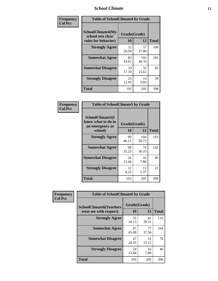### *School Climate* **12**

| Frequency      | <b>Table of SchoolClimate4 by Grade</b>                       |                    |              |              |
|----------------|---------------------------------------------------------------|--------------------|--------------|--------------|
| <b>Col Pct</b> | SchoolClimate4(My<br>school sets clear<br>rules for behavior) | Grade(Grade)<br>10 | 12           | <b>Total</b> |
|                | <b>Strongly Agree</b>                                         | 52<br>26.94        | 57<br>27.80  | 109          |
|                | <b>Somewhat Agree</b>                                         | 83<br>43.01        | 102<br>49.76 | 185          |
|                | <b>Somewhat Disagree</b>                                      | 33<br>17.10        | 32<br>15.61  | 65           |
|                | <b>Strongly Disagree</b>                                      | 25<br>12.95        | 14<br>6.83   | 39           |
|                | <b>Total</b>                                                  | 193                | 205          | 398          |

| <b>Table of SchoolClimate5 by Grade</b>                   |              |              |              |  |  |
|-----------------------------------------------------------|--------------|--------------|--------------|--|--|
| SchoolClimate5(I<br>know what to do in<br>an emergency at | Grade(Grade) |              |              |  |  |
| school)                                                   | 10           | 12           | <b>Total</b> |  |  |
| <b>Strongly Agree</b>                                     | 89<br>46.11  | 104<br>50.73 | 193          |  |  |
| <b>Somewhat Agree</b>                                     | 68<br>35.23  | 74<br>36.10  | 142          |  |  |
| <b>Somewhat Disagree</b>                                  | 24<br>12.44  | 16<br>7.80   | 40           |  |  |
| <b>Strongly Disagree</b>                                  | 12<br>6.22   | 11<br>5.37   | 23           |  |  |
| <b>Total</b>                                              | 193          | 205          | 398          |  |  |

| <b>Frequency</b> | <b>Table of SchoolClimate6 by Grade</b>                  |                    |             |              |  |
|------------------|----------------------------------------------------------|--------------------|-------------|--------------|--|
| <b>Col Pct</b>   | <b>SchoolClimate6(Teachers</b><br>treat me with respect) | Grade(Grade)<br>10 | 12          | <b>Total</b> |  |
|                  | <b>Strongly Agree</b>                                    | 35<br>18.13        | 81<br>39.51 | 116          |  |
|                  | <b>Somewhat Agree</b>                                    | 87<br>45.08        | 77<br>37.56 | 164          |  |
|                  | <b>Somewhat Disagree</b>                                 | 47<br>24.35        | 31<br>15.12 | 78           |  |
|                  | <b>Strongly Disagree</b>                                 | 24<br>12.44        | 16<br>7.80  | 40           |  |
|                  | <b>Total</b>                                             | 193                | 205         | 398          |  |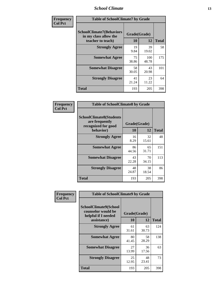### *School Climate* **13**

| Frequency      | <b>Table of SchoolClimate7 by Grade</b>                                       |                           |              |              |
|----------------|-------------------------------------------------------------------------------|---------------------------|--------------|--------------|
| <b>Col Pct</b> | <b>SchoolClimate7(Behaviors</b><br>in my class allow the<br>teacher to teach) | Grade(Grade)<br><b>10</b> | 12           | <b>Total</b> |
|                | <b>Strongly Agree</b>                                                         | 19<br>9.84                | 39<br>19.02  | 58           |
|                | <b>Somewhat Agree</b>                                                         | 75<br>38.86               | 100<br>48.78 | 175          |
|                | <b>Somewhat Disagree</b>                                                      | 58<br>30.05               | 43<br>20.98  | 101          |
|                | <b>Strongly Disagree</b>                                                      | 41<br>21.24               | 23<br>11.22  | 64           |
|                | <b>Total</b>                                                                  | 193                       | 205          | 398          |

| Frequency      | <b>Table of SchoolClimate8 by Grade</b>                                              |                    |             |              |
|----------------|--------------------------------------------------------------------------------------|--------------------|-------------|--------------|
| <b>Col Pct</b> | <b>SchoolClimate8(Students</b><br>are frequently<br>recognized for good<br>behavior) | Grade(Grade)<br>10 | 12          | <b>Total</b> |
|                | <b>Strongly Agree</b>                                                                | 16<br>8.29         | 32<br>15.61 | 48           |
|                | <b>Somewhat Agree</b>                                                                | 86<br>44.56        | 65<br>31.71 | 151          |
|                | <b>Somewhat Disagree</b>                                                             | 43<br>22.28        | 70<br>34.15 | 113          |
|                | <b>Strongly Disagree</b>                                                             | 48<br>24.87        | 38<br>18.54 | 86           |
|                | <b>Total</b>                                                                         | 193                | 205         | 398          |

| Frequency      | <b>Table of SchoolClimate9 by Grade</b>                                                  |                    |             |              |
|----------------|------------------------------------------------------------------------------------------|--------------------|-------------|--------------|
| <b>Col Pct</b> | <b>SchoolClimate9(School</b><br>counselor would be<br>helpful if I needed<br>assistance) | Grade(Grade)<br>10 | 12          | <b>Total</b> |
|                | <b>Strongly Agree</b>                                                                    | 61<br>31.61        | 63<br>30.73 | 124          |
|                | <b>Somewhat Agree</b>                                                                    | 80<br>41.45        | 58<br>28.29 | 138          |
|                | <b>Somewhat Disagree</b>                                                                 | 27<br>13.99        | 36<br>17.56 | 63           |
|                | <b>Strongly Disagree</b>                                                                 | 25<br>12.95        | 48<br>23.41 | 73           |
|                | Total                                                                                    | 193                | 205         | 398          |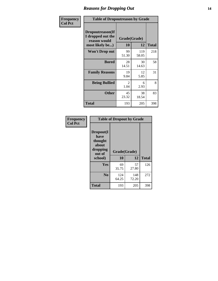### *Reasons for Dropping Out* **14**

| Frequency      | <b>Table of Dropoutreason by Grade</b>                                   |                    |              |              |
|----------------|--------------------------------------------------------------------------|--------------------|--------------|--------------|
| <b>Col Pct</b> | Dropoutreason(If<br>I dropped out the<br>reason would<br>most likely be) | Grade(Grade)<br>10 | 12           | <b>Total</b> |
|                | Won't Drop out                                                           | 99<br>51.30        | 119<br>58.05 | 218          |
|                | <b>Bored</b>                                                             | 28<br>14.51        | 30<br>14.63  | 58           |
|                | <b>Family Reasons</b>                                                    | 19<br>9.84         | 12<br>5.85   | 31           |
|                | <b>Being Bullied</b>                                                     | 2<br>1.04          | 6<br>2.93    | 8            |
|                | <b>Other</b>                                                             | 45<br>23.32        | 38<br>18.54  | 83           |
|                | Total                                                                    | 193                | 205          | 398          |

| Frequency      | <b>Table of Dropout by Grade</b>                                       |                    |              |              |  |
|----------------|------------------------------------------------------------------------|--------------------|--------------|--------------|--|
| <b>Col Pct</b> | Dropout(I<br>have<br>thought<br>about<br>dropping<br>out of<br>school) | Grade(Grade)<br>10 | 12           | <b>Total</b> |  |
|                | Yes                                                                    | 69<br>35.75        | 57<br>27.80  | 126          |  |
|                | N <sub>0</sub>                                                         | 124<br>64.25       | 148<br>72.20 | 272          |  |
|                | <b>Total</b>                                                           | 193                | 205          | 398          |  |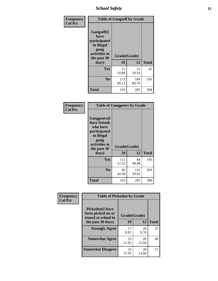*School Safety* **15**

| Frequency      | <b>Table of Gangself by Grade</b>                                                                         |                    |              |              |  |
|----------------|-----------------------------------------------------------------------------------------------------------|--------------------|--------------|--------------|--|
| <b>Col Pct</b> | <b>Gangself</b> (I<br>have<br>participated<br>in illegal<br>gang<br>activities in<br>the past 30<br>days) | Grade(Grade)<br>10 | 12           | <b>Total</b> |  |
|                | Yes                                                                                                       | 21<br>10.88        | 21<br>10.24  | 42           |  |
|                | N <sub>0</sub>                                                                                            | 172<br>89.12       | 184<br>89.76 | 356          |  |
|                | <b>Total</b>                                                                                              | 193                | 205          | 398          |  |

| Frequency<br><b>Col Pct</b> | <b>Table of Gangpeers by Grade</b>                                                                                             |                    |              |              |  |  |  |  |  |  |
|-----------------------------|--------------------------------------------------------------------------------------------------------------------------------|--------------------|--------------|--------------|--|--|--|--|--|--|
|                             | <b>Gangpeers</b> (I<br>have friends<br>who have<br>participated<br>in illegal<br>gang<br>activities in<br>the past 30<br>days) | Grade(Grade)<br>10 | 12           | <b>Total</b> |  |  |  |  |  |  |
|                             | <b>Yes</b>                                                                                                                     | 111<br>57.51       | 84<br>40.98  | 195          |  |  |  |  |  |  |
|                             | N <sub>0</sub>                                                                                                                 | 82<br>42.49        | 121<br>59.02 | 203          |  |  |  |  |  |  |
|                             | <b>Total</b>                                                                                                                   | 193                | 205          | 398          |  |  |  |  |  |  |

| Frequency      |                                                                     | <b>Table of Pickedon by Grade</b> |             |              |  |  |  |  |  |  |  |
|----------------|---------------------------------------------------------------------|-----------------------------------|-------------|--------------|--|--|--|--|--|--|--|
| <b>Col Pct</b> | <b>Pickedon</b> (I have<br>been picked on or<br>teased at school in | Grade(Grade)                      |             |              |  |  |  |  |  |  |  |
|                | the past 30 days)                                                   |                                   | 12          | <b>Total</b> |  |  |  |  |  |  |  |
|                | <b>Strongly Agree</b>                                               | 17<br>8.81                        | 20<br>9.76  | 37           |  |  |  |  |  |  |  |
|                | <b>Somewhat Agree</b>                                               | 23<br>11.92                       | 26<br>12.68 | 49           |  |  |  |  |  |  |  |
|                | <b>Somewhat Disagree</b>                                            | 23<br>11.92                       | 28<br>13.66 | 51           |  |  |  |  |  |  |  |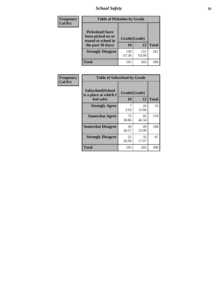# *School Safety* **16**

| <b>Frequency</b> | <b>Table of Pickedon by Grade</b>                                                        |                    |              |     |
|------------------|------------------------------------------------------------------------------------------|--------------------|--------------|-----|
| <b>Col Pct</b>   | <b>Pickedon</b> (I have<br>been picked on or<br>teased at school in<br>the past 30 days) | Grade(Grade)<br>10 | <b>Total</b> |     |
|                  | <b>Strongly Disagree</b>                                                                 | 130<br>67.36       | 131<br>63.90 | 261 |
|                  | Total                                                                                    | 193                | 205          | 398 |

| Frequency      | <b>Table of Safeschool by Grade</b>                      |                    |              |     |  |  |  |  |  |  |
|----------------|----------------------------------------------------------|--------------------|--------------|-----|--|--|--|--|--|--|
| <b>Col Pct</b> | Safeschool(School<br>is a place at which I<br>feel safe) | Grade(Grade)<br>10 | <b>Total</b> |     |  |  |  |  |  |  |
|                | <b>Strongly Agree</b>                                    | 7<br>3.63          | 26<br>12.68  | 33  |  |  |  |  |  |  |
|                | <b>Somewhat Agree</b>                                    | 75<br>38.86        | 95<br>46.34  | 170 |  |  |  |  |  |  |
|                | <b>Somewhat Disagree</b>                                 | 59<br>30.57        | 49<br>23.90  | 108 |  |  |  |  |  |  |
|                | <b>Strongly Disagree</b>                                 | 52<br>26.94        | 35<br>17.07  | 87  |  |  |  |  |  |  |
|                | <b>Total</b>                                             | 193                | 205          | 398 |  |  |  |  |  |  |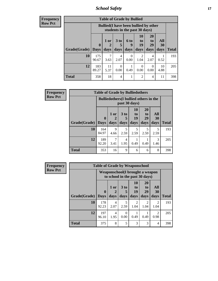*School Safety* **17**

| Frequency      |  |
|----------------|--|
| <b>Row Pct</b> |  |

| V | <b>Table of Grade by Bullied</b> |                             |                                                                               |                |                          |                               |                               |                          |              |  |  |
|---|----------------------------------|-----------------------------|-------------------------------------------------------------------------------|----------------|--------------------------|-------------------------------|-------------------------------|--------------------------|--------------|--|--|
|   |                                  |                             | <b>Bullied</b> (I have been bullied by other<br>students in the past 30 days) |                |                          |                               |                               |                          |              |  |  |
|   | Grade(Grade)                     | $\mathbf{0}$<br><b>Days</b> | 1 or<br>$\overline{2}$<br>days                                                | 3 to<br>days   | <b>6 to</b><br>9<br>days | <b>10</b><br>to<br>19<br>days | <b>20</b><br>to<br>29<br>days | All<br><b>30</b><br>days | <b>Total</b> |  |  |
|   | 10                               | 175<br>90.67                | 7<br>3.63                                                                     | 4<br>2.07      | 0<br>0.00                | $\overline{2}$<br>1.04        | 4<br>2.07                     | 0.52                     | 193          |  |  |
|   | 12                               | 183<br>89.27                | 11<br>5.37                                                                    | 0<br>0.00      | 0.49                     | 0<br>0.00                     | $\Omega$<br>0.00              | 10<br>4.88               | 205          |  |  |
|   | <b>Total</b>                     | 358                         | 18                                                                            | $\overline{4}$ |                          | $\overline{2}$                | 4                             | 11                       | 398          |  |  |

| Frequency      | <b>Table of Grade by Bulliedothers</b> |              |              |                         |                                                                |                               |                   |              |  |  |  |
|----------------|----------------------------------------|--------------|--------------|-------------------------|----------------------------------------------------------------|-------------------------------|-------------------|--------------|--|--|--|
| <b>Row Pct</b> |                                        |              |              |                         | <b>Bulliedothers</b> (I bullied others in the<br>past 30 days) |                               |                   |              |  |  |  |
|                | Grade(Grade)   Days                    | $\bf{0}$     | 1 or<br>days | 3 <sub>to</sub><br>days | 10<br>to<br>19<br>days                                         | <b>20</b><br>to<br>29<br>days | All<br>30<br>days | <b>Total</b> |  |  |  |
|                | 10                                     | 164<br>84.97 | 9<br>4.66    | 5<br>2.59               | 5<br>2.59                                                      | 5<br>2.59                     | 5<br>2.59         | 193          |  |  |  |
|                | 12                                     | 189<br>92.20 | 7<br>3.41    | 4<br>1.95               | 0.49                                                           | 0.49                          | 3<br>1.46         | 205          |  |  |  |
|                | <b>Total</b>                           | 353          | 16           | 9                       | 6                                                              | 6                             | 8                 | 398          |  |  |  |

| <b>Frequency</b> | <b>Table of Grade by Weaponschool</b> |              |           |                                                                   |                       |                       |                        |              |  |  |
|------------------|---------------------------------------|--------------|-----------|-------------------------------------------------------------------|-----------------------|-----------------------|------------------------|--------------|--|--|
| <b>Row Pct</b>   |                                       |              |           | Weaponschool(I brought a weapon<br>to school in the past 30 days) |                       |                       |                        |              |  |  |
|                  |                                       | $\bf{0}$     | 1 or      | 3 <sub>to</sub><br>5                                              | <b>10</b><br>to<br>19 | <b>20</b><br>to<br>29 | All<br>30              |              |  |  |
|                  | Grade(Grade)                          | Days         | days      | days                                                              | days                  | days                  | days                   | <b>Total</b> |  |  |
|                  | 10                                    | 178<br>92.23 | 4<br>2.07 | 5<br>2.59                                                         | 2<br>1.04             | 2<br>1.04             | $\overline{2}$<br>1.04 | 193          |  |  |
|                  | 12                                    | 197<br>96.10 | 4<br>1.95 | $\Omega$<br>0.00                                                  | 0.49                  | 0.49                  | $\mathfrak{D}$<br>0.98 | 205          |  |  |
|                  | <b>Total</b>                          | 375          | 8         | 5                                                                 | 3                     | 3                     | 4                      | 398          |  |  |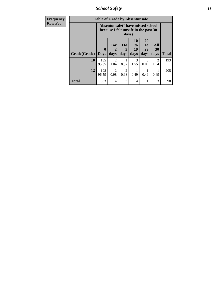*School Safety* **18**

| <b>Frequency</b> | <b>Table of Grade by Absentunsafe</b> |                            |                                                                           |                              |                        |                                    |                   |              |  |
|------------------|---------------------------------------|----------------------------|---------------------------------------------------------------------------|------------------------------|------------------------|------------------------------------|-------------------|--------------|--|
| <b>Row Pct</b>   |                                       |                            | Absentunsafe(I have missed school<br>because I felt unsafe in the past 30 |                              |                        |                                    |                   |              |  |
|                  | Grade(Grade)                          | $\mathbf 0$<br><b>Days</b> | 1 or<br>$\mathbf 2$<br>days                                               | 3 <sub>to</sub><br>5<br>days | 10<br>to<br>19<br>days | 20<br>t <sub>0</sub><br>29<br>days | All<br>30<br>days | <b>Total</b> |  |
|                  | 10                                    | 185<br>95.85               | $\mathcal{D}$<br>1.04                                                     | 0.52                         | 3<br>1.55              | 0<br>0.00                          | 2<br>1.04         | 193          |  |
|                  | 12                                    | 198<br>96.59               | $\mathcal{D}_{\mathcal{A}}$<br>0.98                                       | $\mathfrak{D}$<br>0.98       | 0.49                   | 0.49                               | 0.49              | 205          |  |
|                  | <b>Total</b>                          | 383                        | 4                                                                         | 3                            | 4                      |                                    | 3                 | 398          |  |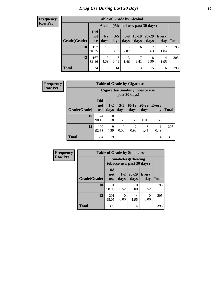# *Drug Use During Last 30 Days* **19**

#### **Frequency Row Pct**

| <b>Table of Grade by Alcohol</b> |                                 |                                    |                 |               |                 |               |              |              |  |  |  |
|----------------------------------|---------------------------------|------------------------------------|-----------------|---------------|-----------------|---------------|--------------|--------------|--|--|--|
|                                  |                                 | Alcohol(Alcohol use, past 30 days) |                 |               |                 |               |              |              |  |  |  |
| Grade(Grade)                     | <b>Did</b><br>not<br><b>use</b> | $1-2$<br>days                      | $3 - 5$<br>days | $6-9$<br>days | $10-19$<br>days | 20-29<br>days | Every<br>day | <b>Total</b> |  |  |  |
| 10                               | 157<br>81.35                    | 10<br>5.18                         | 7<br>3.63       | 4<br>2.07     | 6<br>3.11       | 3.63          | 2<br>1.04    | 193          |  |  |  |
| 12                               | 167<br>81.46                    | 9<br>4.39                          | 7<br>3.41       | 3<br>1.46     | 7<br>3.41       | 8<br>3.90     | 4<br>1.95    | 205          |  |  |  |
| <b>Total</b>                     | 324                             | 19                                 | 14              | 7             | 13              | 15            | 6            | 398          |  |  |  |

| <b>Frequency</b> | <b>Table of Grade by Cigarettes</b> |                          |                 |                 |                        |                                         |                |              |  |
|------------------|-------------------------------------|--------------------------|-----------------|-----------------|------------------------|-----------------------------------------|----------------|--------------|--|
| <b>Row Pct</b>   |                                     |                          |                 |                 | past 30 days)          | <b>Cigarettes</b> (Smoking tobacco use, |                |              |  |
|                  | Grade(Grade)                        | <b>Did</b><br>not<br>use | $1 - 2$<br>days | $3 - 5$<br>days | $10-19$<br>days        | $20 - 29$<br>days                       | Every<br>day   | <b>Total</b> |  |
|                  | 10                                  | 174<br>90.16             | 10<br>5.18      | 3<br>1.55       | 3<br>1.55              | 0.00                                    | 3<br>1.55      | 193          |  |
|                  | 12                                  | 190<br>92.68             | 9<br>4.39       | 0<br>0.00       | $\overline{2}$<br>0.98 | 3<br>1.46                               | 0.49           | 205          |  |
|                  | <b>Total</b>                        | 364                      | 19              | 3               | 5                      | 3                                       | $\overline{4}$ | 398          |  |

| Frequency      |              | <b>Table of Grade by Smokeless</b>                      |                 |                           |                     |              |  |  |  |  |
|----------------|--------------|---------------------------------------------------------|-----------------|---------------------------|---------------------|--------------|--|--|--|--|
| <b>Row Pct</b> |              | <b>Smokeless</b> (Chewing<br>tobacco use, past 30 days) |                 |                           |                     |              |  |  |  |  |
|                | Grade(Grade) | Did<br>not<br><b>use</b>                                | $1 - 2$<br>days | $20 - 29$<br>days         | <b>Every</b><br>day | <b>Total</b> |  |  |  |  |
|                | 10           | 191<br>98.96                                            | 0.52            | $\mathbf{\Omega}$<br>0.00 | 0.52                | 193          |  |  |  |  |
|                | 12           | 201<br>98.05                                            | 0.00            | 4<br>1.95                 | 0<br>0.00           | 205          |  |  |  |  |
|                | <b>Total</b> | 392                                                     |                 | 4                         |                     | 398          |  |  |  |  |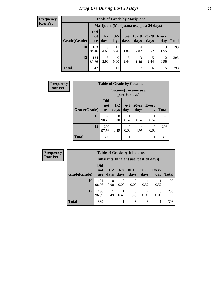#### **Frequency Row Pct**

| <b>Table of Grade by Marijuana</b> |                                 |                                         |                  |                        |                 |               |                        |       |  |
|------------------------------------|---------------------------------|-----------------------------------------|------------------|------------------------|-----------------|---------------|------------------------|-------|--|
|                                    |                                 | Marijuana (Marijuana use, past 30 days) |                  |                        |                 |               |                        |       |  |
| Grade(Grade)                       | <b>Did</b><br>not<br><b>use</b> | $1 - 2$<br>days                         | $3 - 5$<br>days  | $6-9$<br>days          | $10-19$<br>days | 20-29<br>days | Every<br>day           | Total |  |
| 10                                 | 163<br>84.46                    | 9<br>4.66                               | 11<br>5.70       | $\overline{c}$<br>1.04 | 4<br>2.07       | 0.52          | 3<br>1.55              | 193   |  |
| 12                                 | 184<br>89.76                    | 6<br>2.93                               | $\Omega$<br>0.00 | 5<br>2.44              | 3<br>1.46       | 5<br>2.44     | $\overline{2}$<br>0.98 | 205   |  |
| <b>Total</b>                       | 347                             | 15                                      | 11               | 7                      | 7               | 6             | 5                      | 398   |  |

| <b>Frequency</b> |              | <b>Table of Grade by Cocaine</b> |                 |               |                       |                     |              |  |
|------------------|--------------|----------------------------------|-----------------|---------------|-----------------------|---------------------|--------------|--|
| <b>Row Pct</b>   |              |                                  |                 | past 30 days) | Cocaine (Cocaine use, |                     |              |  |
|                  | Grade(Grade) | <b>Did</b><br>not<br><b>use</b>  | $1 - 2$<br>days | $6-9$<br>days | 20-29<br>days         | <b>Every</b><br>day | <b>Total</b> |  |
|                  | 10           | 190<br>98.45                     | 0<br>0.00       | 0.52          | 0.52                  | 0.52                | 193          |  |
|                  | 12           | 200<br>97.56                     | 0.49            | 0<br>0.00     | 4<br>1.95             | 0<br>0.00           | 205          |  |
|                  | Total        | 390                              |                 |               | 5                     |                     | 398          |  |

| Frequency      | <b>Table of Grade by Inhalants</b>     |                                 |                  |                       |                  |                        |                     |              |
|----------------|----------------------------------------|---------------------------------|------------------|-----------------------|------------------|------------------------|---------------------|--------------|
| <b>Row Pct</b> | Inhalants (Inhalant use, past 30 days) |                                 |                  |                       |                  |                        |                     |              |
|                | Grade(Grade)                           | <b>Did</b><br>not<br><b>use</b> | $1-2$<br>days    | $6-9$<br>days         | $10-19$<br>days  | $20 - 29$<br>days      | <b>Every</b><br>day | <b>Total</b> |
|                | 10                                     | 191<br>98.96                    | $\Omega$<br>0.00 | $\mathcal{O}$<br>0.00 | $\Omega$<br>0.00 | 0.52                   | 0.52                | 193          |
|                | 12                                     | 198<br>96.59                    | 0.49             | 0.49                  | 3<br>1.46        | $\mathfrak{D}$<br>0.98 | $\theta$<br>0.00    | 205          |
|                | <b>Total</b>                           | 389                             |                  |                       | 3                | 3                      |                     | 398          |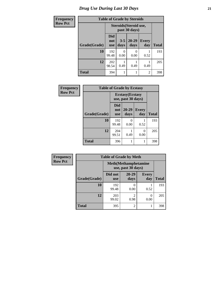# *Drug Use During Last 30 Days* **21**

| <b>Frequency</b> | <b>Table of Grade by Steroids</b> |                                 |                 |                                         |                     |              |
|------------------|-----------------------------------|---------------------------------|-----------------|-----------------------------------------|---------------------|--------------|
| <b>Row Pct</b>   |                                   |                                 |                 | Steroids (Steroid use,<br>past 30 days) |                     |              |
|                  | Grade(Grade)                      | <b>Did</b><br>not<br><b>use</b> | $3 - 5$<br>days | 20-29<br>days                           | <b>Every</b><br>day | <b>Total</b> |
|                  | 10                                | 192<br>99.48                    | 0.00            | $\mathbf{0}$<br>0.00                    | 0.52                | 193          |
|                  | 12                                | 202<br>98.54                    | 0.49            | 0.49                                    | 0.49                | 205          |
|                  | Total                             | 394                             |                 |                                         | $\overline{2}$      | 398          |

| Frequency      | <b>Table of Grade by Ecstasy</b> |                          |                                               |              |              |
|----------------|----------------------------------|--------------------------|-----------------------------------------------|--------------|--------------|
| <b>Row Pct</b> |                                  |                          | <b>Ecstasy</b> (Ecstasy<br>use, past 30 days) |              |              |
|                | Grade(Grade)                     | Did<br>not<br><b>use</b> | 20-29<br>days                                 | Every<br>day | <b>Total</b> |
|                | 10                               | 192<br>99.48             | 0<br>0.00                                     | 0.52         | 193          |
|                | 12                               | 204<br>99.51             | 0.49                                          | 0<br>0.00    | 205          |
|                | <b>Total</b>                     | 396                      |                                               |              | 398          |

| Frequency      | <b>Table of Grade by Meth</b> |                       |                                                    |                     |              |  |  |
|----------------|-------------------------------|-----------------------|----------------------------------------------------|---------------------|--------------|--|--|
| <b>Row Pct</b> |                               |                       | <b>Meth</b> (Methamphetamine<br>use, past 30 days) |                     |              |  |  |
|                | Grade(Grade)                  | Did not<br><b>use</b> | $20 - 29$<br>days                                  | <b>Every</b><br>day | <b>Total</b> |  |  |
|                | 10                            | 192<br>99.48          | 0.00                                               | 0.52                | 193          |  |  |
|                | 12                            | 203<br>99.02          | $\mathfrak{D}$<br>0.98                             | 0<br>0.00           | 205          |  |  |
|                | <b>Total</b>                  | 395                   | $\overline{2}$                                     |                     | 398          |  |  |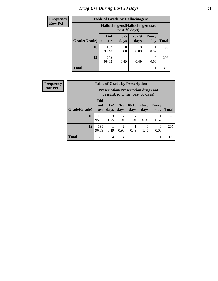# *Drug Use During Last 30 Days* **22**

| <b>Frequency</b> | <b>Table of Grade by Hallucinogens</b> |                       |                 |                                  |                     |              |
|------------------|----------------------------------------|-----------------------|-----------------|----------------------------------|---------------------|--------------|
| <b>Row Pct</b>   |                                        |                       | past 30 days)   | Hallucinogens (Hallucinogen use, |                     |              |
|                  | Grade(Grade)                           | <b>Did</b><br>not use | $3 - 5$<br>days | $20 - 29$<br>days                | <b>Every</b><br>day | <b>Total</b> |
|                  | 10                                     | 192<br>99.48          | 0.00            | 0.00                             | 0.52                | 193          |
|                  | 12                                     | 203<br>99.02          | 0.49            | 0.49                             | 0<br>0.00           | 205          |
|                  | <b>Total</b>                           | 395                   |                 |                                  |                     | 398          |

| <b>Frequency</b> |              | <b>Table of Grade by Prescription</b> |                                                                                |                        |                 |                          |                  |              |
|------------------|--------------|---------------------------------------|--------------------------------------------------------------------------------|------------------------|-----------------|--------------------------|------------------|--------------|
| <b>Row Pct</b>   |              |                                       | <b>Prescription</b> (Prescription drugs not<br>prescribed to me, past 30 days) |                        |                 |                          |                  |              |
|                  | Grade(Grade) | <b>Did</b><br>not<br><b>use</b>       | $1 - 2$<br>days                                                                | $3 - 5$<br>days        | $10-19$<br>days | $20 - 29$<br>days        | Every<br>day     | <b>Total</b> |
|                  | 10           | 185<br>95.85                          | 3<br>1.55                                                                      | $\mathfrak{D}$<br>1.04 | 2<br>1.04       | $\left( \right)$<br>0.00 | 0.52             | 193          |
|                  | 12           | 198<br>96.59                          | 0.49                                                                           | $\overline{2}$<br>0.98 | 0.49            | 3<br>1.46                | $\Omega$<br>0.00 | 205          |
|                  | <b>Total</b> | 383                                   | 4                                                                              | 4                      | 3               | 3                        |                  | 398          |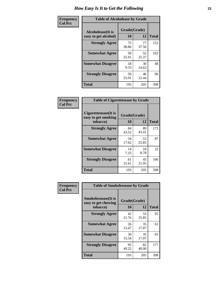| Frequency      | <b>Table of Alcoholease by Grade</b>              |                    |             |              |  |
|----------------|---------------------------------------------------|--------------------|-------------|--------------|--|
| <b>Col Pct</b> | <b>Alcoholease</b> (It is<br>easy to get alcohol) | Grade(Grade)<br>10 | 12          | <b>Total</b> |  |
|                | <b>Strongly Agree</b>                             | 75<br>38.86        | 77<br>37.56 | 152          |  |
|                | <b>Somewhat Agree</b>                             | 50<br>25.91        | 52<br>25.37 | 102          |  |
|                | <b>Somewhat Disagree</b>                          | 18<br>9.33         | 30<br>14.63 | 48           |  |
|                | <b>Strongly Disagree</b>                          | 50<br>25.91        | 46<br>22.44 | 96           |  |
|                | <b>Total</b>                                      | 193                | 205         | 398          |  |

| Frequency      | <b>Table of Cigarettesease by Grade</b>                  |                    |             |              |  |
|----------------|----------------------------------------------------------|--------------------|-------------|--------------|--|
| <b>Col Pct</b> | Cigarettesease (It is<br>easy to get smoking<br>tobacco) | Grade(Grade)<br>10 | 12          | <b>Total</b> |  |
|                | <b>Strongly Agree</b>                                    | 84<br>43.52        | 89<br>43.41 | 173          |  |
|                | <b>Somewhat Agree</b>                                    | 34<br>17.62        | 53<br>25.85 | 87           |  |
|                | <b>Somewhat Disagree</b>                                 | 14<br>7.25         | 18<br>8.78  | 32           |  |
|                | <b>Strongly Disagree</b>                                 | 61<br>31.61        | 45<br>21.95 | 106          |  |
|                | <b>Total</b>                                             | 193                | 205         | 398          |  |

| Frequency      | <b>Table of Smokelessease by Grade</b><br><b>Smokelessease</b> (It is<br>Grade(Grade)<br>easy to get chewing<br>10<br>12<br>tobacco)<br><b>Strongly Agree</b><br>42<br>53 |             |             |              |
|----------------|---------------------------------------------------------------------------------------------------------------------------------------------------------------------------|-------------|-------------|--------------|
| <b>Col Pct</b> |                                                                                                                                                                           |             |             | <b>Total</b> |
|                |                                                                                                                                                                           | 21.76       | 25.85       | 95           |
|                | <b>Somewhat Agree</b>                                                                                                                                                     | 26<br>13.47 | 35<br>17.07 | 61           |
|                | <b>Somewhat Disagree</b>                                                                                                                                                  | 30<br>15.54 | 35<br>17.07 | 65           |
|                | <b>Strongly Disagree</b>                                                                                                                                                  | 95<br>49.22 | 82<br>40.00 | 177          |
|                | <b>Total</b>                                                                                                                                                              | 193         | 205         | 398          |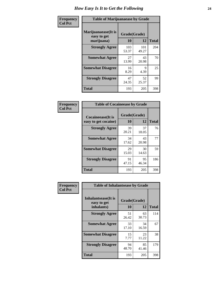| Frequency      | <b>Table of Marijuanaease by Grade</b>           |                    |              |              |  |
|----------------|--------------------------------------------------|--------------------|--------------|--------------|--|
| <b>Col Pct</b> | Marijuanaease(It is<br>easy to get<br>marijuana) | Grade(Grade)<br>10 | 12           | <b>Total</b> |  |
|                | <b>Strongly Agree</b>                            | 103<br>53.37       | 101<br>49.27 | 204          |  |
|                | <b>Somewhat Agree</b>                            | 27<br>13.99        | 43<br>20.98  | 70           |  |
|                | <b>Somewhat Disagree</b>                         | 16<br>8.29         | 9<br>4.39    | 25           |  |
|                | <b>Strongly Disagree</b>                         | 47<br>24.35        | 52<br>25.37  | 99           |  |
|                | Total                                            | 193                | 205          | 398          |  |

|                                           | <b>Table of Cocaineease by Grade</b> |              |     |  |  |  |  |  |  |  |  |
|-------------------------------------------|--------------------------------------|--------------|-----|--|--|--|--|--|--|--|--|
| Cocaineease(It is<br>easy to get cocaine) | Grade(Grade)<br>10                   | <b>Total</b> |     |  |  |  |  |  |  |  |  |
| <b>Strongly Agree</b>                     | 39<br>20.21                          | 37<br>18.05  | 76  |  |  |  |  |  |  |  |  |
| <b>Somewhat Agree</b>                     | 34<br>17.62                          | 43<br>20.98  | 77  |  |  |  |  |  |  |  |  |
| <b>Somewhat Disagree</b>                  | 29<br>15.03                          | 30<br>14.63  | 59  |  |  |  |  |  |  |  |  |
| <b>Strongly Disagree</b>                  | 91<br>47.15                          | 95<br>46.34  | 186 |  |  |  |  |  |  |  |  |
| <b>Total</b>                              | 193                                  | 205          | 398 |  |  |  |  |  |  |  |  |

| Frequency      | <b>Table of Inhalantsease by Grade</b>                   |                           |             |     |  |  |
|----------------|----------------------------------------------------------|---------------------------|-------------|-----|--|--|
| <b>Col Pct</b> | <b>Inhalantsease</b> (It is<br>easy to get<br>inhalants) | Grade(Grade)<br><b>10</b> |             |     |  |  |
|                | <b>Strongly Agree</b>                                    | 51<br>26.42               | 63<br>30.73 | 114 |  |  |
|                | <b>Somewhat Agree</b>                                    | 33<br>17.10               | 34<br>16.59 | 67  |  |  |
|                | <b>Somewhat Disagree</b>                                 | 15<br>7.77                | 23<br>11.22 | 38  |  |  |
|                | <b>Strongly Disagree</b>                                 | 94<br>48.70               | 85<br>41.46 | 179 |  |  |
|                | <b>Total</b>                                             | 193                       | 205         | 398 |  |  |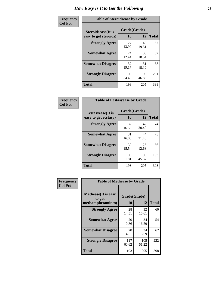| Frequency      | <b>Table of Steroidsease by Grade</b>               |                    |              |     |  |  |  |  |  |  |  |  |
|----------------|-----------------------------------------------------|--------------------|--------------|-----|--|--|--|--|--|--|--|--|
| <b>Col Pct</b> | <b>Steroidsease</b> (It is<br>easy to get steroids) | Grade(Grade)<br>10 | <b>Total</b> |     |  |  |  |  |  |  |  |  |
|                | <b>Strongly Agree</b>                               | 27<br>13.99        | 40<br>19.51  | 67  |  |  |  |  |  |  |  |  |
|                | <b>Somewhat Agree</b>                               | 24<br>12.44        | 38<br>18.54  | 62  |  |  |  |  |  |  |  |  |
|                | <b>Somewhat Disagree</b>                            | 37<br>19.17        | 31<br>15.12  | 68  |  |  |  |  |  |  |  |  |
|                | <b>Strongly Disagree</b>                            | 105<br>54.40       | 96<br>46.83  | 201 |  |  |  |  |  |  |  |  |
|                | <b>Total</b>                                        | 193                | 205          | 398 |  |  |  |  |  |  |  |  |

| Frequency      | <b>Table of Ecstasyease by Grade</b>              |                    |             |              |
|----------------|---------------------------------------------------|--------------------|-------------|--------------|
| <b>Col Pct</b> | <b>Ecstasyease</b> (It is<br>easy to get ecstasy) | Grade(Grade)<br>10 | 12          | <b>Total</b> |
|                | <b>Strongly Agree</b>                             | 32<br>16.58        | 42<br>20.49 | 74           |
|                | <b>Somewhat Agree</b>                             | 31<br>16.06        | 44<br>21.46 | 75           |
|                | <b>Somewhat Disagree</b>                          | 30<br>15.54        | 26<br>12.68 | 56           |
|                | <b>Strongly Disagree</b>                          | 100<br>51.81       | 93<br>45.37 | 193          |
|                | <b>Total</b>                                      | 193                | 205         | 398          |

| Frequency      | <b>Table of Methease by Grade</b>                          |                    |              |              |
|----------------|------------------------------------------------------------|--------------------|--------------|--------------|
| <b>Col Pct</b> | <b>Methease</b> (It is easy<br>to get<br>methamphetamines) | Grade(Grade)<br>10 | 12           | <b>Total</b> |
|                | <b>Strongly Agree</b>                                      | 28<br>14.51        | 32<br>15.61  | 60           |
|                | <b>Somewhat Agree</b>                                      | 20<br>10.36        | 34<br>16.59  | 54           |
|                | <b>Somewhat Disagree</b>                                   | 28<br>14.51        | 34<br>16.59  | 62           |
|                | <b>Strongly Disagree</b>                                   | 117<br>60.62       | 105<br>51.22 | 222          |
|                | <b>Total</b>                                               | 193                | 205          | 398          |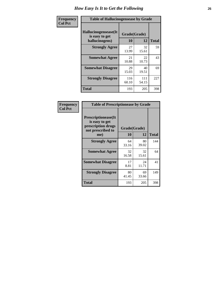| <b>Frequency</b> | <b>Table of Hallucinogensease by Grade</b>               |                    |              |              |
|------------------|----------------------------------------------------------|--------------------|--------------|--------------|
| <b>Col Pct</b>   | Hallucinogensease(It<br>is easy to get<br>hallucinogens) | Grade(Grade)<br>10 | 12           | <b>Total</b> |
|                  | <b>Strongly Agree</b>                                    | 27<br>13.99        | 32<br>15.61  | 59           |
|                  | <b>Somewhat Agree</b>                                    | 21<br>10.88        | 22<br>10.73  | 43           |
|                  | <b>Somewhat Disagree</b>                                 | 29<br>15.03        | 40<br>19.51  | 69           |
|                  | <b>Strongly Disagree</b>                                 | 116<br>60.10       | 111<br>54.15 | 227          |
|                  | <b>Total</b>                                             | 193                | 205          | 398          |

| Frequency<br>  Col Pct |
|------------------------|
|                        |

г

| <b>Table of Prescriptionease by Grade</b>                                                |             |              |              |
|------------------------------------------------------------------------------------------|-------------|--------------|--------------|
| <b>Prescriptionease</b> (It<br>is easy to get<br>prescription drugs<br>not prescribed to |             | Grade(Grade) |              |
| me)                                                                                      | 10          | 12           | <b>Total</b> |
| <b>Strongly Agree</b>                                                                    | 64<br>33.16 | 80<br>39.02  | 144          |
| <b>Somewhat Agree</b>                                                                    | 32<br>16.58 | 32<br>15.61  | 64           |
| <b>Somewhat Disagree</b>                                                                 | 17<br>8.81  | 24<br>11.71  | 41           |
| <b>Strongly Disagree</b>                                                                 | 80<br>41.45 | 69<br>33.66  | 149          |
| Total                                                                                    | 193         | 205          | 398          |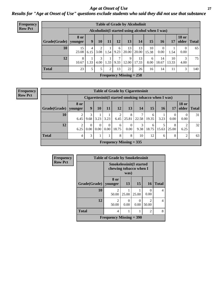*Age at Onset of Use* **27** *Results for "Age at Onset of Use" questions exclude students who said they did not use that substance*

| <b>Frequency</b> | <b>Table of Grade by Alcoholinit</b> |                        |           |           |                |           |                           |                                                 |             |             |             |                       |              |
|------------------|--------------------------------------|------------------------|-----------|-----------|----------------|-----------|---------------------------|-------------------------------------------------|-------------|-------------|-------------|-----------------------|--------------|
| <b>Row Pct</b>   |                                      |                        |           |           |                |           |                           | Alcoholinit(I started using alcohol when I was) |             |             |             |                       |              |
|                  | Grade(Grade)                         | <b>8 or</b><br>younger | 9         | 10        | 11             | 12        | 13                        | 14                                              | 15          | 16          | 17          | <b>18 or</b><br>older | <b>Total</b> |
|                  | 10                                   | 15<br>23.08            | 4<br>6.15 | 3.08      | 1.54           | 6<br>9.23 | 13<br>20.00               | 13<br>20.00                                     | 10<br>15.38 | 0.00        | 1.54        | $\mathbf{0}$<br>0.00  | 65           |
|                  | 12                                   | 8<br>10.67             | 1.33      | 3<br>4.00 | 1.33           | 7<br>9.33 | 9<br>12.00                | 13<br>17.33                                     | 6<br>8.00   | 14<br>18.67 | 10<br>13.33 | 3<br>4.00             | 75           |
|                  | <b>Total</b>                         | 23                     | 5         | 5         | $\overline{2}$ | 13        | 22                        | 26                                              | 16          | 14          | 11          | 3                     | 140          |
|                  |                                      |                        |           |           |                |           | Frequency Missing $= 258$ |                                                 |             |             |             |                       |              |

#### **Frequency Row Pct**

| <b>Table of Grade by Cigarettesinit</b> |                 |                                                      |                               |                  |                           |                  |           |            |       |            |                       |              |  |
|-----------------------------------------|-----------------|------------------------------------------------------|-------------------------------|------------------|---------------------------|------------------|-----------|------------|-------|------------|-----------------------|--------------|--|
|                                         |                 | Cigarettesinit(I started smoking tobacco when I was) |                               |                  |                           |                  |           |            |       |            |                       |              |  |
| Grade(Grade)                            | 8 or<br>younger | 9                                                    | 10                            | 11               | 12                        | 13               | 14        | 15         | 16    | 17         | <b>18 or</b><br>older | <b>Total</b> |  |
| 10                                      | 6.45            | 3<br>9.68                                            | 3.23                          | 3.23             | 2<br>6.45                 | 8<br>25.81       | 22.58     | 6<br>19.35 | 3.23  | 0<br>0.00  | $\Omega$<br>0.00      | 31           |  |
| 12                                      | 2<br>6.25       | $\Omega$<br>0.00                                     | $\Omega$<br>0.00 <sub>l</sub> | $\theta$<br>0.00 | 6<br>18.75                | $\theta$<br>0.00 | 3<br>9.38 | 6<br>18.75 | 15.63 | 8<br>25.00 | ↑<br>6.25             | 32           |  |
| <b>Total</b>                            | 4               | 3                                                    |                               | 1                | 8                         | 8                | 10        | 12         | 6     | 8          | $\overline{2}$        | 63           |  |
|                                         |                 |                                                      |                               |                  | Frequency Missing $= 335$ |                  |           |            |       |            |                       |              |  |

| <b>Frequency</b> |              | <b>Table of Grade by Smokelessinit</b> |                                                                  |           |                           |              |  |  |  |
|------------------|--------------|----------------------------------------|------------------------------------------------------------------|-----------|---------------------------|--------------|--|--|--|
| <b>Row Pct</b>   |              |                                        | <b>Smokelessinit(I started</b><br>chewing tobacco when I<br>was) |           |                           |              |  |  |  |
|                  | Grade(Grade) | 8 or<br>younger                        | 13                                                               | 15        | <b>16</b>                 | <b>Total</b> |  |  |  |
|                  | 10           | っ<br>50.00                             | 25.00                                                            | 25.00     | $\mathbf{\Omega}$<br>0.00 | 4            |  |  |  |
|                  | 12           | $\mathfrak{D}$<br>50.00                | $\Omega$<br>0.00                                                 | 0<br>0.00 | $\mathfrak{D}$<br>50.00   | 4            |  |  |  |
|                  | <b>Total</b> | 4                                      | 8                                                                |           |                           |              |  |  |  |
|                  |              | <b>Frequency Missing = 390</b>         |                                                                  |           |                           |              |  |  |  |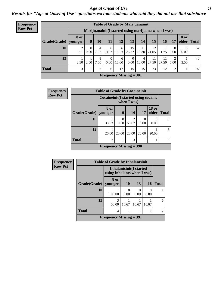#### *Age at Onset of Use* **28**

*Results for "Age at Onset of Use" questions exclude students who said they did not use that substance*

| <b>Frequency</b> | <b>Table of Grade by Marijuanainit</b>               |                        |                  |               |                               |            |                           |             |             |                 |                        |                       |              |
|------------------|------------------------------------------------------|------------------------|------------------|---------------|-------------------------------|------------|---------------------------|-------------|-------------|-----------------|------------------------|-----------------------|--------------|
| <b>Row Pct</b>   | Marijuanainit (I started using marijuana when I was) |                        |                  |               |                               |            |                           |             |             |                 |                        |                       |              |
|                  | Grade(Grade)                                         | <b>8</b> or<br>younger | 9                | 10            | 11                            | 12         | 13                        | 14          | 15          | 16 <sup>1</sup> | 17                     | <b>18 or</b><br>older | <b>Total</b> |
|                  | 10                                                   | 3.51                   | $\Omega$<br>0.00 | 4<br>7.02     | 6<br>10.53                    | 6<br>10.53 | 15<br>26.32               | 11<br>19.30 | 12<br>21.05 | 1.75            | $\overline{0}$<br>0.00 | 0.00                  | 57           |
|                  | 12                                                   | 2.50                   | 2.50             | 3<br>7.50     | $\theta$<br>0.00 <sub>1</sub> | 6<br>15.00 | $\theta$<br>$0.00\,$      | 4<br>10.00  | 11<br>27.50 | 11<br>27.50     | 2<br>5.00              | 2.50                  | 40           |
|                  | <b>Total</b>                                         | 3 <sub>1</sub>         |                  | $\mathcal{L}$ | 6                             | 12         | 15                        | 15          | 23          | 12              | 2                      |                       | 97           |
|                  |                                                      |                        |                  |               |                               |            | Frequency Missing $= 301$ |             |             |                 |                        |                       |              |

| <b>Frequency</b> | <b>Table of Grade by Cocaineinit</b> |                           |                                                     |            |                  |                       |              |  |
|------------------|--------------------------------------|---------------------------|-----------------------------------------------------|------------|------------------|-----------------------|--------------|--|
| <b>Row Pct</b>   |                                      |                           | Cocaineinit (I started using cocaine<br>when I was) |            |                  |                       |              |  |
|                  | Grade(Grade)                         | 8 or<br>younger           | <b>10</b>                                           | 14         | 17               | <b>18 or</b><br>older | <b>Total</b> |  |
|                  | 10                                   | 33.33                     | $\theta$<br>0.00                                    | 2<br>66.67 | $\Omega$<br>0.00 | $\theta$<br>0.00      | 3            |  |
|                  | 12                                   | 20.00                     | 20.00                                               | 20.00      | 20.00            | 20.00                 | 5            |  |
|                  | <b>Total</b>                         | $\overline{2}$            |                                                     | 3          |                  |                       | 8            |  |
|                  |                                      | Frequency Missing $=$ 390 |                                                     |            |                  |                       |              |  |

| <b>Frequency</b> | <b>Table of Grade by Inhalantsinit</b> |                             |                                |           |       |              |  |  |  |
|------------------|----------------------------------------|-----------------------------|--------------------------------|-----------|-------|--------------|--|--|--|
| <b>Row Pct</b>   |                                        | using inhalants when I was) | <b>Inhalantsinit(I started</b> |           |       |              |  |  |  |
|                  | Grade(Grade)   younger                 | 8 or                        | <b>10</b>                      | 13        | 16    | <b>Total</b> |  |  |  |
|                  | 10                                     | 100.00                      | 0.00                           | 0<br>0.00 | 0.00  |              |  |  |  |
|                  | 12                                     | 3<br>50.00                  | 16.67                          | 16.67     | 16.67 | 6            |  |  |  |
|                  | <b>Total</b>                           | 4                           |                                |           |       |              |  |  |  |
|                  | Frequency Missing $= 391$              |                             |                                |           |       |              |  |  |  |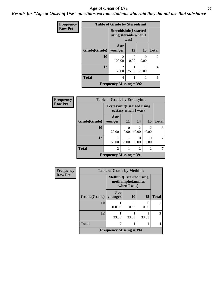#### *Age at Onset of Use* **29**

*Results for "Age at Onset of Use" questions exclude students who said they did not use that substance*

| <b>Frequency</b> | <b>Table of Grade by Steroidsinit</b> |                                                         |           |           |                |  |  |
|------------------|---------------------------------------|---------------------------------------------------------|-----------|-----------|----------------|--|--|
| <b>Row Pct</b>   |                                       | <b>Steroidsinit</b> (I started<br>using steroids when I | was)      |           |                |  |  |
|                  | Grade(Grade)   younger                | 8 or                                                    | <b>12</b> | 13        | <b>Total</b>   |  |  |
|                  | 10                                    | 100.00                                                  | 0<br>0.00 | 0<br>0.00 | $\overline{c}$ |  |  |
|                  | 12                                    | $\mathfrak{D}$<br>50.00                                 | 25.00     | 25.00     | 4              |  |  |
|                  | <b>Total</b>                          | 4                                                       |           |           | 6              |  |  |
|                  |                                       | Frequency Missing $=$ 392                               |           |           |                |  |  |

| Frequency      |              | <b>Table of Grade by Ecstasyinit</b> |                     |                         |                         |                |  |  |  |
|----------------|--------------|--------------------------------------|---------------------|-------------------------|-------------------------|----------------|--|--|--|
| <b>Row Pct</b> |              | <b>Ecstasyinit</b> (I started using  | ecstasy when I was) |                         |                         |                |  |  |  |
|                | Grade(Grade) | 8 or<br>younger                      | 11                  | 14                      | <b>15</b>               | <b>Total</b>   |  |  |  |
|                | <b>10</b>    | 20.00                                | 0<br>0.00           | $\mathfrak{D}$<br>40.00 | $\overline{2}$<br>40.00 | 5              |  |  |  |
|                | 12           | 50.00                                | 50.00               | 0.00                    | 0<br>0.00               | $\overline{2}$ |  |  |  |
|                | <b>Total</b> | 2                                    |                     | $\overline{2}$          | $\overline{2}$          | 7              |  |  |  |
|                |              | Frequency Missing $= 391$            |                     |                         |                         |                |  |  |  |

| <b>Frequency</b> |                                | <b>Table of Grade by Methinit</b> |                                 |           |              |  |  |  |
|------------------|--------------------------------|-----------------------------------|---------------------------------|-----------|--------------|--|--|--|
| <b>Row Pct</b>   |                                | <b>Methinit</b> (I started using  | methamphetamines<br>when I was) |           |              |  |  |  |
|                  | Grade(Grade)                   | 8 or<br>younger                   | 10                              | 15        | <b>Total</b> |  |  |  |
|                  | 10                             | 100.00                            | 0.00                            | 0<br>0.00 |              |  |  |  |
|                  | 12                             | 33.33                             | 33.33                           | 33.33     | 3            |  |  |  |
|                  | <b>Total</b>                   | $\mathfrak{D}$                    |                                 |           |              |  |  |  |
|                  | <b>Frequency Missing = 394</b> |                                   |                                 |           |              |  |  |  |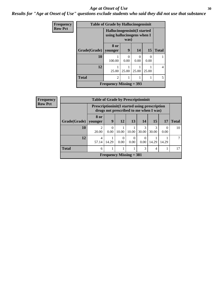#### Age at Onset of Use **30**

*Results for "Age at Onset of Use" questions exclude students who said they did not use that substance*

| Frequency      |                        | <b>Table of Grade by Hallucinogensinit</b>                 |           |       |       |              |
|----------------|------------------------|------------------------------------------------------------|-----------|-------|-------|--------------|
| <b>Row Pct</b> |                        | Hallucinogensinit (I started<br>using hallucinogens when I | was)      |       |       |              |
|                | Grade(Grade)   younger | 8 or                                                       | 9         | 14    | 15    | <b>Total</b> |
|                | 10                     | 100.00                                                     | 0<br>0.00 | 0.00  | 0.00  |              |
|                | 12                     | 25.00                                                      | 25.00     | 25.00 | 25.00 | 4            |
|                | <b>Total</b>           | $\overline{2}$                                             | 1         |       |       |              |
|                |                        | Frequency Missing $=$ 393                                  |           |       |       |              |

| Frequency      |                        | <b>Table of Grade by Prescriptioninit</b> |                                                                                                |                  |                  |            |            |                  |              |  |  |
|----------------|------------------------|-------------------------------------------|------------------------------------------------------------------------------------------------|------------------|------------------|------------|------------|------------------|--------------|--|--|
| <b>Row Pct</b> |                        |                                           | <b>Prescriptioninit(I started using prescription</b><br>drugs not prescribed to me when I was) |                  |                  |            |            |                  |              |  |  |
|                | Grade(Grade)   younger | 8 or                                      | 9                                                                                              | <b>12</b>        | 13               | 14         | <b>15</b>  | 17               | <b>Total</b> |  |  |
|                | 10                     | 20.00                                     | $\theta$<br>0.00                                                                               | 10.00            | 10.00            | 3<br>30.00 | 3<br>30.00 | $\Omega$<br>0.00 | 10           |  |  |
|                | 12                     | $\overline{4}$<br>57.14                   | 14.29                                                                                          | $\Omega$<br>0.00 | $\Omega$<br>0.00 | 0.00       | 14.29      | 14.29            |              |  |  |
|                | <b>Total</b>           | 6                                         |                                                                                                |                  |                  | 3          | 4          |                  | 17           |  |  |
|                |                        |                                           | <b>Frequency Missing = 381</b>                                                                 |                  |                  |            |            |                  |              |  |  |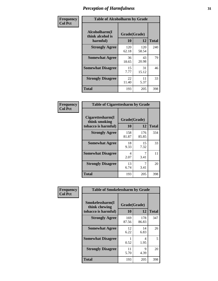| Frequency      | <b>Table of Alcoholharm by Grade</b>          |                    |              |              |  |
|----------------|-----------------------------------------------|--------------------|--------------|--------------|--|
| <b>Col Pct</b> | Alcoholharm(I<br>think alcohol is<br>harmful) | Grade(Grade)<br>10 | 12           | <b>Total</b> |  |
|                | <b>Strongly Agree</b>                         | 120<br>62.18       | 120<br>58.54 | 240          |  |
|                | <b>Somewhat Agree</b>                         | 36<br>18.65        | 43<br>20.98  | 79           |  |
|                | <b>Somewhat Disagree</b>                      | 15<br>7.77         | 31<br>15.12  | 46           |  |
|                | <b>Strongly Disagree</b>                      | 22<br>11.40        | 11<br>5.37   | 33           |  |
|                | <b>Total</b>                                  | 193                | 205          | 398          |  |

| <b>Table of Cigarettesharm by Grade</b>                  |                    |              |              |  |  |  |
|----------------------------------------------------------|--------------------|--------------|--------------|--|--|--|
| Cigarettesharm(I<br>think smoking<br>tobacco is harmful) | Grade(Grade)<br>10 | 12           | <b>Total</b> |  |  |  |
| <b>Strongly Agree</b>                                    | 158<br>81.87       | 176<br>85.85 | 334          |  |  |  |
| <b>Somewhat Agree</b>                                    | 18<br>9.33         | 15<br>7.32   | 33           |  |  |  |
| <b>Somewhat Disagree</b>                                 | 4<br>2.07          | 7<br>3.41    | 11           |  |  |  |
| <b>Strongly Disagree</b>                                 | 13<br>6.74         | 7<br>3.41    | 20           |  |  |  |
| <b>Total</b>                                             | 193                | 205          | 398          |  |  |  |

| Frequency<br><b>Col Pct</b> | <b>Table of Smokelessharm by Grade</b>                  |                    |              |              |  |  |
|-----------------------------|---------------------------------------------------------|--------------------|--------------|--------------|--|--|
|                             | Smokelessharm(I<br>think chewing<br>tobacco is harmful) | Grade(Grade)<br>10 | 12           | <b>Total</b> |  |  |
|                             | <b>Strongly Agree</b>                                   | 169<br>87.56       | 178<br>86.83 | 347          |  |  |
|                             | <b>Somewhat Agree</b>                                   | 12<br>6.22         | 14<br>6.83   | 26           |  |  |
|                             | <b>Somewhat Disagree</b>                                | 0.52               | 4<br>1.95    | 5            |  |  |
|                             | <b>Strongly Disagree</b>                                | 11<br>5.70         | 9<br>4.39    | 20           |  |  |
|                             | Total                                                   | 193                | 205          | 398          |  |  |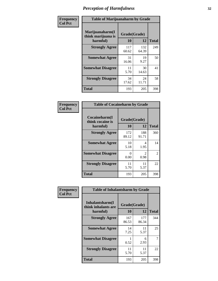| Frequency      |                                                   | <b>Table of Marijuanaharm by Grade</b> |              |              |  |  |
|----------------|---------------------------------------------------|----------------------------------------|--------------|--------------|--|--|
| <b>Col Pct</b> | Marijuanaharm(I<br>think marijuana is<br>harmful) | Grade(Grade)<br>10                     | 12           | <b>Total</b> |  |  |
|                | <b>Strongly Agree</b>                             | 117<br>60.62                           | 132<br>64.39 | 249          |  |  |
|                | <b>Somewhat Agree</b>                             | 31<br>16.06                            | 19<br>9.27   | 50           |  |  |
|                | <b>Somewhat Disagree</b>                          | 11<br>5.70                             | 30<br>14.63  | 41           |  |  |
|                | <b>Strongly Disagree</b>                          | 34<br>17.62                            | 24<br>11.71  | 58           |  |  |
|                | <b>Total</b>                                      | 193                                    | 205          | 398          |  |  |

| <b>Table of Cocaineharm by Grade</b>          |                    |                        |               |  |  |  |  |
|-----------------------------------------------|--------------------|------------------------|---------------|--|--|--|--|
| Cocaineharm(I<br>think cocaine is<br>harmful) | Grade(Grade)<br>10 | 12                     | <b>Total</b>  |  |  |  |  |
| <b>Strongly Agree</b>                         | 172<br>89.12       | 188<br>91.71           | 360           |  |  |  |  |
| <b>Somewhat Agree</b>                         | 10<br>5.18         | 4<br>1.95              | 14            |  |  |  |  |
| <b>Somewhat Disagree</b>                      | 0<br>0.00          | $\mathfrak{D}$<br>0.98 | $\mathcal{L}$ |  |  |  |  |
| <b>Strongly Disagree</b>                      | 11<br>5.70         | 11<br>5.37             | 22            |  |  |  |  |
| <b>Total</b>                                  | 193                | 205                    | 398           |  |  |  |  |

| Frequency      | <b>Table of Inhalantsharm by Grade</b>              |                           |              |                |  |
|----------------|-----------------------------------------------------|---------------------------|--------------|----------------|--|
| <b>Col Pct</b> | Inhalantsharm(I)<br>think inhalants are<br>harmful) | Grade(Grade)<br><b>10</b> | 12           | <b>Total</b>   |  |
|                | <b>Strongly Agree</b>                               | 167<br>86.53              | 177<br>86.34 | 344            |  |
|                | <b>Somewhat Agree</b>                               | 14<br>7.25                | 11<br>5.37   | 25             |  |
|                | <b>Somewhat Disagree</b>                            | 0.52                      | 6<br>2.93    | $\overline{7}$ |  |
|                | <b>Strongly Disagree</b>                            | 11<br>5.70                | 11<br>5.37   | 22             |  |
|                | <b>Total</b>                                        | 193                       | 205          | 398            |  |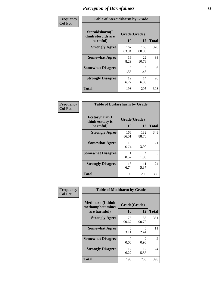| Frequency      | <b>Table of Steroidsharm by Grade</b>            |                    |              |              |
|----------------|--------------------------------------------------|--------------------|--------------|--------------|
| <b>Col Pct</b> | Steroidsharm(I<br>think steroids are<br>harmful) | Grade(Grade)<br>10 | 12           | <b>Total</b> |
|                | <b>Strongly Agree</b>                            | 162<br>83.94       | 166<br>80.98 | 328          |
|                | <b>Somewhat Agree</b>                            | 16<br>8.29         | 22<br>10.73  | 38           |
|                | <b>Somewhat Disagree</b>                         | 3<br>1.55          | 3<br>1.46    | 6            |
|                | <b>Strongly Disagree</b>                         | 12<br>6.22         | 14<br>6.83   | 26           |
|                | <b>Total</b>                                     | 193                | 205          | 398          |

| <b>Table of Ecstasyharm by Grade</b>          |                    |              |     |  |  |
|-----------------------------------------------|--------------------|--------------|-----|--|--|
| Ecstasyharm(I<br>think ecstasy is<br>harmful) | Grade(Grade)<br>10 | <b>Total</b> |     |  |  |
| <b>Strongly Agree</b>                         | 166<br>86.01       | 182<br>88.78 | 348 |  |  |
| <b>Somewhat Agree</b>                         | 13<br>6.74         | 8<br>3.90    | 21  |  |  |
| <b>Somewhat Disagree</b>                      | 1<br>0.52          | 4<br>1.95    | 5   |  |  |
| <b>Strongly Disagree</b>                      | 13<br>6.74         | 11<br>5.37   | 24  |  |  |
| Total                                         | 193                | 205          | 398 |  |  |

| Frequency      | <b>Table of Methharm by Grade</b>                            |                    |                                     |              |
|----------------|--------------------------------------------------------------|--------------------|-------------------------------------|--------------|
| <b>Col Pct</b> | <b>Methharm</b> (I think<br>methamphetamines<br>are harmful) | Grade(Grade)<br>10 | 12                                  | <b>Total</b> |
|                | <b>Strongly Agree</b>                                        | 175<br>90.67       | 186<br>90.73                        | 361          |
|                | <b>Somewhat Agree</b>                                        | 6<br>3.11          | 5<br>2.44                           | 11           |
|                | <b>Somewhat Disagree</b>                                     | 0<br>0.00          | $\mathcal{D}_{\mathcal{L}}$<br>0.98 | 2            |
|                | <b>Strongly Disagree</b>                                     | 12<br>6.22         | 12<br>5.85                          | 24           |
|                | Total                                                        | 193                | 205                                 | 398          |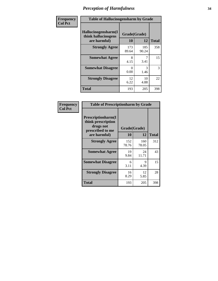| Frequency      | <b>Table of Hallucinogensharm by Grade</b>                 |                    |              |              |
|----------------|------------------------------------------------------------|--------------------|--------------|--------------|
| <b>Col Pct</b> | Hallucinogensharm(I<br>think hallucinogens<br>are harmful) | Grade(Grade)<br>10 | 12           | <b>Total</b> |
|                | <b>Strongly Agree</b>                                      | 173<br>89.64       | 185<br>90.24 | 358          |
|                | <b>Somewhat Agree</b>                                      | 8<br>4.15          | 7<br>3.41    | 15           |
|                | <b>Somewhat Disagree</b>                                   | 0<br>0.00          | 3<br>1.46    | 3            |
|                | <b>Strongly Disagree</b>                                   | 12<br>6.22         | 10<br>4.88   | 22           |
|                | <b>Total</b>                                               | 193                | 205          | 398          |

| <b>Table of Prescriptionharm by Grade</b>                                 |              |              |              |  |  |
|---------------------------------------------------------------------------|--------------|--------------|--------------|--|--|
| Prescriptionharm(I<br>think prescription<br>drugs not<br>prescribed to me | Grade(Grade) |              |              |  |  |
| are harmful)                                                              | 10           | 12           | <b>Total</b> |  |  |
| <b>Strongly Agree</b>                                                     | 152<br>78.76 | 160<br>78.05 | 312          |  |  |
| <b>Somewhat Agree</b>                                                     | 19<br>9.84   | 24<br>11.71  | 43           |  |  |
| <b>Somewhat Disagree</b>                                                  | 6<br>3.11    | Q<br>4.39    | 15           |  |  |
| <b>Strongly Disagree</b>                                                  | 16<br>8.29   | 12<br>5.85   | 28           |  |  |
| <b>Total</b>                                                              | 193          | 205          | 398          |  |  |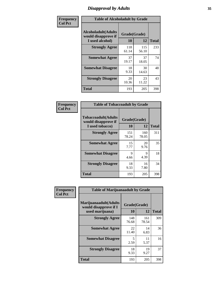# *Disapproval by Adults* **35**

| Frequency      | <b>Table of Alcoholadult by Grade</b>                                 |                    |              |              |
|----------------|-----------------------------------------------------------------------|--------------------|--------------|--------------|
| <b>Col Pct</b> | <b>Alcoholadult</b> (Adults<br>would disapprove if<br>I used alcohol) | Grade(Grade)<br>10 | 12           | <b>Total</b> |
|                | <b>Strongly Agree</b>                                                 | 118<br>61.14       | 115<br>56.10 | 233          |
|                | <b>Somewhat Agree</b>                                                 | 37<br>19.17        | 37<br>18.05  | 74           |
|                | <b>Somewhat Disagree</b>                                              | 18<br>9.33         | 30<br>14.63  | 48           |
|                | <b>Strongly Disagree</b>                                              | 20<br>10.36        | 23<br>11.22  | 43           |
|                | <b>Total</b>                                                          | 193                | 205          | 398          |

| <b>Table of Tobaccoadult by Grade</b>                                |              |              |     |  |  |
|----------------------------------------------------------------------|--------------|--------------|-----|--|--|
| <b>Tobaccoadult(Adults</b><br>would disapprove if<br>I used tobacco) | <b>Total</b> |              |     |  |  |
| <b>Strongly Agree</b>                                                | 151<br>78.24 | 160<br>78.05 | 311 |  |  |
| <b>Somewhat Agree</b>                                                | 15<br>7.77   | 20<br>9.76   | 35  |  |  |
| <b>Somewhat Disagree</b>                                             | 9<br>4.66    | 9<br>4.39    | 18  |  |  |
| <b>Strongly Disagree</b>                                             | 18<br>9.33   | 16<br>7.80   | 34  |  |  |
| <b>Total</b>                                                         | 193          | 205          | 398 |  |  |

| Frequency      | <b>Table of Marijuanaadult by Grade</b>                           |                    |              |              |  |
|----------------|-------------------------------------------------------------------|--------------------|--------------|--------------|--|
| <b>Col Pct</b> | Marijuanaadult(Adults<br>would disapprove if I<br>used marijuana) | Grade(Grade)<br>10 | 12           | <b>Total</b> |  |
|                | <b>Strongly Agree</b>                                             | 148<br>76.68       | 161<br>78.54 | 309          |  |
|                | <b>Somewhat Agree</b>                                             | 22<br>11.40        | 14<br>6.83   | 36           |  |
|                | <b>Somewhat Disagree</b>                                          | 5<br>2.59          | 11<br>5.37   | 16           |  |
|                | <b>Strongly Disagree</b>                                          | 18<br>9.33         | 19<br>9.27   | 37           |  |
|                | <b>Total</b>                                                      | 193                | 205          | 398          |  |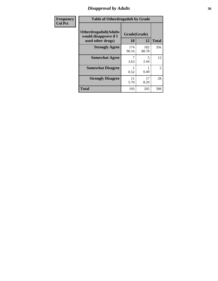# *Disapproval by Adults* **36**

| <b>Frequency</b> | <b>Table of Otherdrugadult by Grade</b>                                     |                    |              |                |
|------------------|-----------------------------------------------------------------------------|--------------------|--------------|----------------|
| <b>Col Pct</b>   | <b>Otherdrugadult</b> (Adults<br>would disapprove if I<br>used other drugs) | Grade(Grade)<br>10 | 12           | <b>Total</b>   |
|                  | <b>Strongly Agree</b>                                                       | 174<br>90.16       | 182<br>88.78 | 356            |
|                  | <b>Somewhat Agree</b>                                                       | 3.63               | 5<br>2.44    | 12             |
|                  | <b>Somewhat Disagree</b>                                                    | 0.52               | 0.49         | $\overline{2}$ |
|                  | <b>Strongly Disagree</b>                                                    | 11<br>5.70         | 17<br>8.29   | 28             |
|                  | <b>Total</b>                                                                | 193                | 205          | 398            |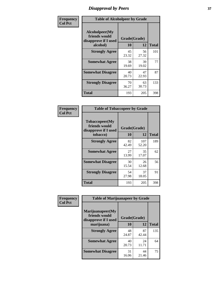# *Disapproval by Peers* **37**

| Frequency      | <b>Table of Alcoholpeer by Grade</b>                    |              |             |              |  |
|----------------|---------------------------------------------------------|--------------|-------------|--------------|--|
| <b>Col Pct</b> | Alcoholpeer(My<br>friends would<br>disapprove if I used | Grade(Grade) |             |              |  |
|                | alcohol)                                                | 10           | 12          | <b>Total</b> |  |
|                | <b>Strongly Agree</b>                                   | 45<br>23.32  | 56<br>27.32 | 101          |  |
|                | <b>Somewhat Agree</b>                                   | 38<br>19.69  | 39<br>19.02 | 77           |  |
|                | <b>Somewhat Disagree</b>                                | 40<br>20.73  | 47<br>22.93 | 87           |  |
|                | <b>Strongly Disagree</b>                                | 70<br>36.27  | 63<br>30.73 | 133          |  |
|                | Total                                                   | 193          | 205         | 398          |  |

| Frequency      | <b>Table of Tobaccopeer by Grade</b>                    |              |              |              |  |
|----------------|---------------------------------------------------------|--------------|--------------|--------------|--|
| <b>Col Pct</b> | Tobaccopeer(My<br>friends would<br>disapprove if I used | Grade(Grade) |              |              |  |
|                | tobacco)                                                | 10           | 12           | <b>Total</b> |  |
|                | <b>Strongly Agree</b>                                   | 82<br>42.49  | 107<br>52.20 | 189          |  |
|                | <b>Somewhat Agree</b>                                   | 27<br>13.99  | 35<br>17.07  | 62           |  |
|                | <b>Somewhat Disagree</b>                                | 30<br>15.54  | 26<br>12.68  | 56           |  |
|                | <b>Strongly Disagree</b>                                | 54<br>27.98  | 37<br>18.05  | 91           |  |
|                | Total                                                   | 193          | 205          | 398          |  |

| Frequency      | <b>Table of Marijuanapeer by Grade</b>                    |              |             |              |
|----------------|-----------------------------------------------------------|--------------|-------------|--------------|
| <b>Col Pct</b> | Marijuanapeer(My<br>friends would<br>disapprove if I used | Grade(Grade) |             |              |
|                | marijuana)                                                | 10           | 12          | <b>Total</b> |
|                | <b>Strongly Agree</b>                                     | 48<br>24.87  | 87<br>42.44 | 135          |
|                | <b>Somewhat Agree</b>                                     | 40<br>20.73  | 24<br>11.71 | 64           |
|                | <b>Somewhat Disagree</b>                                  | 31<br>16.06  | 44<br>21.46 | 75           |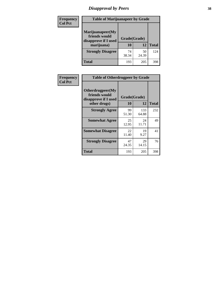# *Disapproval by Peers* **38**

| Frequency<br><b>Col Pct</b> | <b>Table of Marijuanapeer by Grade</b>                                  |                    |             |              |
|-----------------------------|-------------------------------------------------------------------------|--------------------|-------------|--------------|
|                             | Marijuanapeer(My<br>friends would<br>disapprove if I used<br>marijuana) | Grade(Grade)<br>10 | 12          | <b>Total</b> |
|                             | <b>Strongly Disagree</b>                                                | 74<br>38.34        | 50<br>24.39 | 124          |
|                             | Total                                                                   | 193                | 205         | 398          |

| Frequency      | <b>Table of Otherdrugpeer by Grade</b>                                    |                    |              |              |
|----------------|---------------------------------------------------------------------------|--------------------|--------------|--------------|
| <b>Col Pct</b> | Otherdrugpeer(My<br>friends would<br>disapprove if I used<br>other drugs) | Grade(Grade)<br>10 | 12           | <b>Total</b> |
|                | <b>Strongly Agree</b>                                                     | 99<br>51.30        | 133<br>64.88 | 232          |
|                | <b>Somewhat Agree</b>                                                     | 25<br>12.95        | 24<br>11.71  | 49           |
|                | <b>Somewhat Disagree</b>                                                  | 22<br>11.40        | 19<br>9.27   | 41           |
|                | <b>Strongly Disagree</b>                                                  | 47<br>24.35        | 29<br>14.15  | 76           |
|                | Total                                                                     | 193                | 205          | 398          |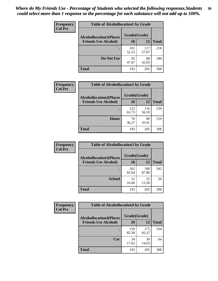| <b>Frequency</b> | <b>Table of Alcohollocation1 by Grade</b> |              |              |              |
|------------------|-------------------------------------------|--------------|--------------|--------------|
| <b>Col Pct</b>   | <b>Alcohollocation1(Places</b>            | Grade(Grade) |              |              |
|                  | <b>Friends Use Alcohol)</b>               | 10           | 12           | <b>Total</b> |
|                  |                                           | 101<br>52.33 | 117<br>57.07 | 218          |
|                  | Do Not Use                                | 92<br>47.67  | 88<br>42.93  | 180          |
|                  | <b>Total</b>                              | 193          | 205          | 398          |

| <b>Frequency</b> | <b>Table of Alcohollocation2 by Grade</b> |              |              |              |
|------------------|-------------------------------------------|--------------|--------------|--------------|
| <b>Col Pct</b>   | <b>Alcohollocation2(Places</b>            | Grade(Grade) |              |              |
|                  | <b>Friends Use Alcohol)</b>               | 10           | 12           | <b>Total</b> |
|                  |                                           | 123<br>63.73 | 116<br>56.59 | 239          |
|                  | Home                                      | 70<br>36.27  | 89<br>43.41  | 159          |
|                  | <b>Total</b>                              | 193          | 205          | 398          |

| Frequency      | <b>Table of Alcohollocation 3 by Grade</b> |              |              |              |
|----------------|--------------------------------------------|--------------|--------------|--------------|
| <b>Col Pct</b> | <b>Alcohollocation3(Places</b>             | Grade(Grade) |              |              |
|                | <b>Friends Use Alcohol)</b>                | 10           | 12           | <b>Total</b> |
|                |                                            | 162<br>83.94 | 180<br>87.80 | 342          |
|                | <b>School</b>                              | 31<br>16.06  | 25<br>12.20  | 56           |
|                | Total                                      | 193          | 205          | 398          |

| <b>Frequency</b> | <b>Table of Alcohollocation4 by Grade</b> |              |              |              |
|------------------|-------------------------------------------|--------------|--------------|--------------|
| <b>Col Pct</b>   | <b>Alcohollocation4(Places</b>            | Grade(Grade) |              |              |
|                  | <b>Friends Use Alcohol)</b>               | 10           | 12           | <b>Total</b> |
|                  |                                           | 159<br>82.38 | 175<br>85.37 | 334          |
|                  | Car                                       | 34<br>17.62  | 30<br>14.63  | 64           |
|                  | <b>Total</b>                              | 193          | 205          | 398          |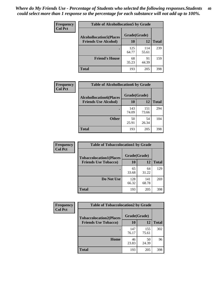| Frequency<br><b>Col Pct</b> | <b>Table of Alcohollocation5 by Grade</b>      |              |              |              |  |
|-----------------------------|------------------------------------------------|--------------|--------------|--------------|--|
|                             | Grade(Grade)<br><b>Alcohollocation5(Places</b> |              |              |              |  |
|                             | <b>Friends Use Alcohol)</b>                    | 10           | 12           | <b>Total</b> |  |
|                             |                                                | 125<br>64.77 | 114<br>55.61 | 239          |  |
|                             | <b>Friend's House</b>                          | 68<br>35.23  | 91<br>44.39  | 159          |  |
|                             | <b>Total</b>                                   | 193          | 205          | 398          |  |

| <b>Frequency</b> | <b>Table of Alcohollocation6 by Grade</b>                     |                           |              |              |
|------------------|---------------------------------------------------------------|---------------------------|--------------|--------------|
| <b>Col Pct</b>   | <b>Alcohollocation6(Places</b><br><b>Friends Use Alcohol)</b> | Grade(Grade)<br><b>10</b> | 12           | <b>Total</b> |
|                  |                                                               | 143<br>74.09              | 151<br>73.66 | 294          |
|                  | <b>Other</b>                                                  | 50<br>25.91               | 54<br>26.34  | 104          |
|                  | <b>Total</b>                                                  | 193                       | 205          | 398          |

| <b>Frequency</b> | <b>Table of Tobaccolocation1 by Grade</b> |              |              |              |
|------------------|-------------------------------------------|--------------|--------------|--------------|
| <b>Col Pct</b>   | <b>Tobaccolocation1(Places</b>            | Grade(Grade) |              |              |
|                  | <b>Friends Use Tobacco)</b>               | 10           | 12           | <b>Total</b> |
|                  |                                           | 65<br>33.68  | 64<br>31.22  | 129          |
|                  | Do Not Use                                | 128<br>66.32 | 141<br>68.78 | 269          |
|                  | <b>Total</b>                              | 193          | 205          | 398          |

| <b>Frequency</b> | <b>Table of Tobaccolocation2 by Grade</b> |              |              |              |  |
|------------------|-------------------------------------------|--------------|--------------|--------------|--|
| <b>Col Pct</b>   | <b>Tobaccolocation2(Places</b>            | Grade(Grade) |              |              |  |
|                  | <b>Friends Use Tobacco)</b>               | 10           | 12           | <b>Total</b> |  |
|                  |                                           | 147<br>76.17 | 155<br>75.61 | 302          |  |
|                  | Home                                      | 46<br>23.83  | 50<br>24.39  | 96           |  |
|                  | <b>Total</b>                              | 193          | 205          | 398          |  |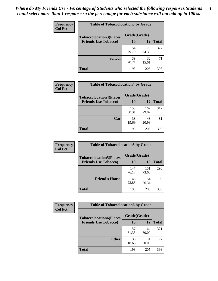| Frequency<br><b>Col Pct</b> | <b>Table of Tobaccolocation 3 by Grade</b> |              |              |              |
|-----------------------------|--------------------------------------------|--------------|--------------|--------------|
|                             | <b>Tobaccolocation3(Places</b>             | Grade(Grade) |              |              |
|                             | <b>Friends Use Tobacco)</b>                | 10           | 12           | <b>Total</b> |
|                             |                                            | 154<br>79.79 | 173<br>84.39 | 327          |
|                             | <b>School</b>                              | 39<br>20.21  | 32<br>15.61  | 71           |
|                             | <b>Total</b>                               | 193          | 205          | 398          |

| Frequency      | <b>Table of Tobaccolocation4 by Grade</b> |              |              |              |
|----------------|-------------------------------------------|--------------|--------------|--------------|
| <b>Col Pct</b> | <b>Tobaccolocation4(Places</b>            | Grade(Grade) |              |              |
|                | <b>Friends Use Tobacco)</b>               | 10           | 12           | <b>Total</b> |
|                |                                           | 155<br>80.31 | 162<br>79.02 | 317          |
|                | Car                                       | 38<br>19.69  | 43<br>20.98  | 81           |
|                | <b>Total</b>                              | 193          | 205          | 398          |

 $\overline{\phantom{a}}$ 

| Frequency<br><b>Col Pct</b> | <b>Table of Tobaccolocation5 by Grade</b> |              |              |              |
|-----------------------------|-------------------------------------------|--------------|--------------|--------------|
|                             | <b>Tobaccolocation5(Places</b>            | Grade(Grade) |              |              |
|                             | <b>Friends Use Tobacco)</b>               | 10           | <b>12</b>    | <b>Total</b> |
|                             |                                           | 147<br>76.17 | 151<br>73.66 | 298          |
|                             | <b>Friend's House</b>                     | 46<br>23.83  | 54<br>26.34  | 100          |
|                             | <b>Total</b>                              | 193          | 205          | 398          |

| <b>Frequency</b> | <b>Table of Tobaccolocation6 by Grade</b> |              |              |              |  |
|------------------|-------------------------------------------|--------------|--------------|--------------|--|
| <b>Col Pct</b>   | <b>Tobaccolocation6(Places</b>            | Grade(Grade) |              |              |  |
|                  | <b>Friends Use Tobacco)</b>               | 10           | 12           | <b>Total</b> |  |
|                  |                                           | 157<br>81.35 | 164<br>80.00 | 321          |  |
|                  | <b>Other</b>                              | 36<br>18.65  | 41<br>20.00  | 77           |  |
|                  | <b>Total</b>                              | 193          | 205          | 398          |  |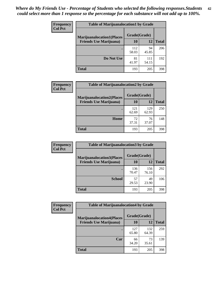| <b>Frequency</b> | <b>Table of Marijuanalocation1 by Grade</b> |              |              |              |
|------------------|---------------------------------------------|--------------|--------------|--------------|
| <b>Col Pct</b>   | <b>Marijuanalocation1(Places</b>            | Grade(Grade) |              |              |
|                  | <b>Friends Use Marijuana</b> )              | 10           | 12           | <b>Total</b> |
|                  |                                             | 112<br>58.03 | 94<br>45.85  | 206          |
|                  | Do Not Use                                  | 81<br>41.97  | 111<br>54.15 | 192          |
|                  | <b>Total</b>                                | 193          | 205          | 398          |

| <b>Frequency</b> | <b>Table of Marijuanalocation2 by Grade</b>                        |                    |              |              |
|------------------|--------------------------------------------------------------------|--------------------|--------------|--------------|
| <b>Col Pct</b>   | <b>Marijuanalocation2(Places</b><br><b>Friends Use Marijuana</b> ) | Grade(Grade)<br>10 | 12           | <b>Total</b> |
|                  |                                                                    | 121<br>62.69       | 129<br>62.93 | 250          |
|                  | Home                                                               | 72<br>37.31        | 76<br>37.07  | 148          |
|                  | <b>Total</b>                                                       | 193                | 205          | 398          |

| Frequency      | <b>Table of Marijuanalocation3 by Grade</b>                         |                    |              |              |
|----------------|---------------------------------------------------------------------|--------------------|--------------|--------------|
| <b>Col Pct</b> | <b>Marijuanalocation3</b> (Places<br><b>Friends Use Marijuana</b> ) | Grade(Grade)<br>10 | 12           | <b>Total</b> |
|                |                                                                     |                    |              |              |
|                |                                                                     | 136<br>70.47       | 156<br>76.10 | 292          |
|                | <b>School</b>                                                       | 57<br>29.53        | 49<br>23.90  | 106          |
|                | <b>Total</b>                                                        | 193                | 205          | 398          |

| Frequency      | <b>Table of Marijuanalocation4 by Grade</b> |              |              |              |  |
|----------------|---------------------------------------------|--------------|--------------|--------------|--|
| <b>Col Pct</b> | <b>Marijuanalocation4(Places</b>            | Grade(Grade) |              |              |  |
|                | <b>Friends Use Marijuana</b> )              | <b>10</b>    | 12           | <b>Total</b> |  |
|                |                                             | 127<br>65.80 | 132<br>64.39 | 259          |  |
|                | Car                                         | 66<br>34.20  | 73<br>35.61  | 139          |  |
|                | <b>Total</b>                                | 193          | 205          | 398          |  |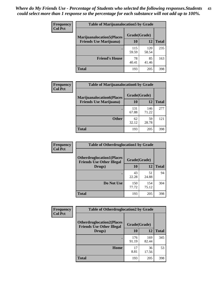| <b>Frequency</b> | <b>Table of Marijuanalocation5 by Grade</b> |              |              |              |
|------------------|---------------------------------------------|--------------|--------------|--------------|
| <b>Col Pct</b>   | <b>Marijuanalocation5</b> (Places           | Grade(Grade) |              |              |
|                  | <b>Friends Use Marijuana</b> )              | 10           | 12           | <b>Total</b> |
|                  |                                             | 115<br>59.59 | 120<br>58.54 | 235          |
|                  | <b>Friend's House</b>                       | 78<br>40.41  | 85<br>41.46  | 163          |
|                  | <b>Total</b>                                | 193          | 205          | 398          |

| <b>Frequency</b> | <b>Table of Marijuanalocation6 by Grade</b>                        |                    |              |              |
|------------------|--------------------------------------------------------------------|--------------------|--------------|--------------|
| <b>Col Pct</b>   | <b>Marijuanalocation6(Places</b><br><b>Friends Use Marijuana</b> ) | Grade(Grade)<br>10 | 12           | <b>Total</b> |
|                  |                                                                    | 131<br>67.88       | 146<br>71.22 | 277          |
|                  | <b>Other</b>                                                       | 62<br>32.12        | 59<br>28.78  | 121          |
|                  | <b>Total</b>                                                       | 193                | 205          | 398          |

| Frequency      | <b>Table of Otherdruglocation1 by Grade</b>                          |              |              |              |
|----------------|----------------------------------------------------------------------|--------------|--------------|--------------|
| <b>Col Pct</b> | <b>Otherdruglocation1(Places</b><br><b>Friends Use Other Illegal</b> | Grade(Grade) |              |              |
|                | Drugs)                                                               | 10           | 12           | <b>Total</b> |
|                |                                                                      | 43<br>22.28  | 51<br>24.88  | 94           |
|                | Do Not Use                                                           | 150<br>77.72 | 154<br>75.12 | 304          |
|                | <b>Total</b>                                                         | 193          | 205          | 398          |

| <b>Frequency</b> | <b>Table of Otherdruglocation2 by Grade</b>                          |              |              |              |
|------------------|----------------------------------------------------------------------|--------------|--------------|--------------|
| <b>Col Pct</b>   | <b>Otherdruglocation2(Places</b><br><b>Friends Use Other Illegal</b> | Grade(Grade) |              |              |
|                  | Drugs)                                                               | 10           | 12           | <b>Total</b> |
|                  |                                                                      | 176<br>91.19 | 169<br>82.44 | 345          |
|                  | <b>Home</b>                                                          | 17<br>8.81   | 36<br>17.56  | 53           |
|                  | <b>Total</b>                                                         | 193          | 205          | 398          |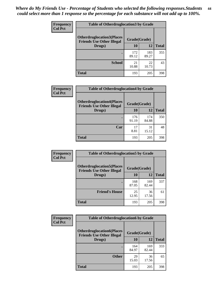| <b>Frequency</b> | <b>Table of Otherdruglocation 3 by Grade</b>                         |              |              |              |
|------------------|----------------------------------------------------------------------|--------------|--------------|--------------|
| <b>Col Pct</b>   | <b>Otherdruglocation3(Places</b><br><b>Friends Use Other Illegal</b> | Grade(Grade) |              |              |
|                  | Drugs)                                                               | 10           | 12           | <b>Total</b> |
|                  |                                                                      | 172<br>89.12 | 183<br>89.27 | 355          |
|                  | <b>School</b>                                                        | 21<br>10.88  | 22<br>10.73  | 43           |
|                  | <b>Total</b>                                                         | 193          | 205          | 398          |

| <b>Frequency</b> | <b>Table of Otherdruglocation4 by Grade</b>                          |              |              |              |
|------------------|----------------------------------------------------------------------|--------------|--------------|--------------|
| <b>Col Pct</b>   | <b>Otherdruglocation4(Places</b><br><b>Friends Use Other Illegal</b> | Grade(Grade) |              |              |
|                  | Drugs)                                                               | 10           | 12           | <b>Total</b> |
|                  |                                                                      | 176<br>91.19 | 174<br>84.88 | 350          |
|                  | Car                                                                  | 17<br>8.81   | 31<br>15.12  | 48           |
|                  | <b>Total</b>                                                         | 193          | 205          | 398          |

| <b>Frequency</b> | <b>Table of Otherdruglocation5 by Grade</b>                          |              |              |              |
|------------------|----------------------------------------------------------------------|--------------|--------------|--------------|
| <b>Col Pct</b>   | <b>Otherdruglocation5(Places</b><br><b>Friends Use Other Illegal</b> | Grade(Grade) |              |              |
|                  | Drugs)                                                               | 10           | 12           | <b>Total</b> |
|                  |                                                                      | 168<br>87.05 | 169<br>82.44 | 337          |
|                  | <b>Friend's House</b>                                                | 25<br>12.95  | 36<br>17.56  | 61           |
|                  | <b>Total</b>                                                         | 193          | 205          | 398          |

| <b>Frequency</b> | <b>Table of Otherdruglocation6 by Grade</b>                          |              |              |              |
|------------------|----------------------------------------------------------------------|--------------|--------------|--------------|
| <b>Col Pct</b>   | <b>Otherdruglocation6(Places</b><br><b>Friends Use Other Illegal</b> | Grade(Grade) |              |              |
|                  | Drugs)                                                               | 10           | 12           | <b>Total</b> |
|                  |                                                                      | 164<br>84.97 | 169<br>82.44 | 333          |
|                  | <b>Other</b>                                                         | 29<br>15.03  | 36<br>17.56  | 65           |
|                  | <b>Total</b>                                                         | 193          | 205          | 398          |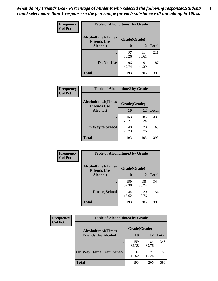| Frequency      | <b>Table of Alcoholtime1 by Grade</b> |                                    |              |              |
|----------------|---------------------------------------|------------------------------------|--------------|--------------|
| <b>Col Pct</b> | <b>Alcoholtime1(Times</b>             | Grade(Grade)<br><b>Friends Use</b> |              |              |
|                | Alcohol)                              | 10                                 | 12           | <b>Total</b> |
|                |                                       | 97<br>50.26                        | 114<br>55.61 | 211          |
|                | Do Not Use                            | 96<br>49.74                        | 91<br>44.39  | 187          |
|                | <b>Total</b>                          | 193                                | 205          | 398          |

| Frequency      | <b>Table of Alcoholtime2 by Grade</b>           |              |              |              |
|----------------|-------------------------------------------------|--------------|--------------|--------------|
| <b>Col Pct</b> | <b>Alcoholtime2(Times</b><br><b>Friends Use</b> | Grade(Grade) |              |              |
|                | Alcohol)                                        | 10           | 12           | <b>Total</b> |
|                |                                                 | 153<br>79.27 | 185<br>90.24 | 338          |
|                | <b>On Way to School</b>                         | 40<br>20.73  | 20<br>9.76   | 60           |
|                | <b>Total</b>                                    | 193          | 205          | 398          |

| Frequency      | <b>Table of Alcoholtime3 by Grade</b>           |              |              |              |
|----------------|-------------------------------------------------|--------------|--------------|--------------|
| <b>Col Pct</b> | <b>Alcoholtime3(Times</b><br><b>Friends Use</b> | Grade(Grade) |              |              |
|                | Alcohol)                                        | 10           | 12           | <b>Total</b> |
|                |                                                 | 159<br>82.38 | 185<br>90.24 | 344          |
|                | <b>During School</b>                            | 34<br>17.62  | 20<br>9.76   | 54           |
|                | Total                                           | 193          | 205          | 398          |

| <b>Frequency</b> | <b>Table of Alcoholtime4 by Grade</b> |              |              |              |  |
|------------------|---------------------------------------|--------------|--------------|--------------|--|
| <b>Col Pct</b>   | <b>Alcoholtime4(Times</b>             | Grade(Grade) |              |              |  |
|                  | <b>Friends Use Alcohol)</b>           | 10           | 12           | <b>Total</b> |  |
|                  | ٠                                     | 159<br>82.38 | 184<br>89.76 | 343          |  |
|                  | <b>On Way Home From School</b>        | 34<br>17.62  | 21<br>10.24  | 55           |  |
|                  | <b>Total</b>                          | 193          | 205          | 398          |  |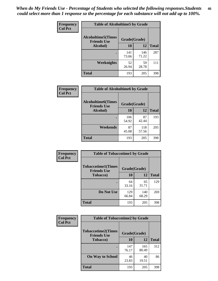*When do My Friends Use - Percentage of Students who selected the following responses.Students could select more than 1 response so the percentage for each substance will not add up to 100%.* **46**

| Frequency      | <b>Table of Alcoholtime5 by Grade</b>                           |              |              |              |
|----------------|-----------------------------------------------------------------|--------------|--------------|--------------|
| <b>Col Pct</b> | <b>Alcoholtime5(Times</b><br>Grade(Grade)<br><b>Friends Use</b> |              |              |              |
|                | Alcohol)                                                        | 10           | 12           | <b>Total</b> |
|                |                                                                 | 141<br>73.06 | 146<br>71.22 | 287          |
|                | Weeknights                                                      | 52<br>26.94  | 59<br>28.78  | 111          |
|                | <b>Total</b>                                                    | 193          | 205          | 398          |

| <b>Frequency</b> | <b>Table of Alcoholtime6 by Grade</b>           |              |              |              |
|------------------|-------------------------------------------------|--------------|--------------|--------------|
| <b>Col Pct</b>   | <b>Alcoholtime6(Times</b><br><b>Friends Use</b> | Grade(Grade) |              |              |
|                  | Alcohol)                                        | 10           | 12           | <b>Total</b> |
|                  |                                                 | 106<br>54.92 | 87<br>42.44  | 193          |
|                  | Weekends                                        | 87<br>45.08  | 118<br>57.56 | 205          |
|                  | <b>Total</b>                                    | 193          | 205          | 398          |

| Frequency      | <b>Table of Tobaccotime1 by Grade</b>           |              |              |              |
|----------------|-------------------------------------------------|--------------|--------------|--------------|
| <b>Col Pct</b> | <b>Tobaccotime1(Times</b><br><b>Friends Use</b> | Grade(Grade) |              |              |
|                | <b>Tobacco</b> )                                | 10           | 12           | <b>Total</b> |
|                |                                                 | 64<br>33.16  | 65<br>31.71  | 129          |
|                | Do Not Use                                      | 129<br>66.84 | 140<br>68.29 | 269          |
|                | <b>Total</b>                                    | 193          | 205          | 398          |

| <b>Frequency</b> | <b>Table of Tobaccotime2 by Grade</b>           |              |              |              |  |
|------------------|-------------------------------------------------|--------------|--------------|--------------|--|
| <b>Col Pct</b>   | <b>Tobaccotime2(Times</b><br><b>Friends Use</b> | Grade(Grade) |              |              |  |
|                  | <b>Tobacco</b> )                                | 10           | 12           | <b>Total</b> |  |
|                  |                                                 | 147<br>76.17 | 165<br>80.49 | 312          |  |
|                  | <b>On Way to School</b>                         | 46<br>23.83  | 40<br>19.51  | 86           |  |
|                  | Total                                           | 193          | 205          | 398          |  |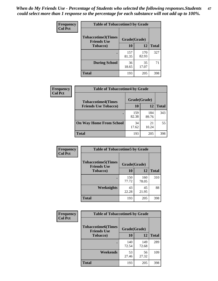*When do My Friends Use - Percentage of Students who selected the following responses.Students could select more than 1 response so the percentage for each substance will not add up to 100%.* **47**

| <b>Frequency</b> | <b>Table of Tobaccotime3 by Grade</b>           |              |              |              |  |
|------------------|-------------------------------------------------|--------------|--------------|--------------|--|
| <b>Col Pct</b>   | <b>Tobaccotime3(Times</b><br><b>Friends Use</b> | Grade(Grade) |              |              |  |
|                  | <b>Tobacco</b> )                                | 10           | 12           | <b>Total</b> |  |
|                  |                                                 | 157<br>81.35 | 170<br>82.93 | 327          |  |
|                  | <b>During School</b>                            | 36<br>18.65  | 35<br>17.07  | 71           |  |
|                  | <b>Total</b>                                    | 193          | 205          | 398          |  |

| Frequency<br><b>Col Pct</b> | <b>Table of Tobaccotime4 by Grade</b> |              |              |              |
|-----------------------------|---------------------------------------|--------------|--------------|--------------|
|                             | <b>Tobaccotime4(Times</b>             | Grade(Grade) |              |              |
|                             | <b>Friends Use Tobacco)</b>           | 10           | 12           | <b>Total</b> |
|                             |                                       | 159<br>82.38 | 184<br>89.76 | 343          |
|                             | <b>On Way Home From School</b>        | 34<br>17.62  | 21<br>10.24  | 55           |
|                             | <b>Total</b>                          | 193          | 205          | 398          |

| Frequency      | <b>Table of Tobaccotime5 by Grade</b>           |              |              |              |
|----------------|-------------------------------------------------|--------------|--------------|--------------|
| <b>Col Pct</b> | <b>Tobaccotime5(Times</b><br><b>Friends Use</b> | Grade(Grade) |              |              |
|                | <b>Tobacco</b> )                                | 10           | 12           | <b>Total</b> |
|                |                                                 | 150<br>77.72 | 160<br>78.05 | 310          |
|                | Weeknights                                      | 43<br>22.28  | 45<br>21.95  | 88           |
|                | <b>Total</b>                                    | 193          | 205          | 398          |

| Frequency<br><b>Col Pct</b> | <b>Table of Tobaccotime6 by Grade</b>                           |              |              |              |  |
|-----------------------------|-----------------------------------------------------------------|--------------|--------------|--------------|--|
|                             | <b>Tobaccotime6(Times</b><br>Grade(Grade)<br><b>Friends Use</b> |              |              |              |  |
|                             | <b>Tobacco</b> )                                                | 10           | 12           | <b>Total</b> |  |
|                             |                                                                 | 140<br>72.54 | 149<br>72.68 | 289          |  |
|                             | Weekends                                                        | 53<br>27.46  | 56<br>27.32  | 109          |  |
|                             | <b>Total</b>                                                    | 193          | 205          | 398          |  |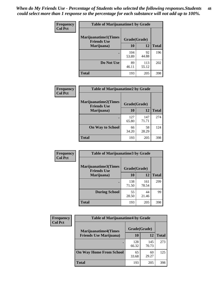| Frequency      | <b>Table of Marijuanatime1 by Grade</b>           |              |              |              |  |
|----------------|---------------------------------------------------|--------------|--------------|--------------|--|
| <b>Col Pct</b> | <b>Marijuanatime1(Times</b><br><b>Friends Use</b> | Grade(Grade) |              |              |  |
|                | Marijuana)                                        | 10           | 12           | <b>Total</b> |  |
|                |                                                   | 104<br>53.89 | 92<br>44.88  | 196          |  |
|                | Do Not Use                                        | 89<br>46.11  | 113<br>55.12 | 202          |  |
|                | <b>Total</b>                                      | 193          | 205          | 398          |  |

| Frequency      | <b>Table of Marijuanatime2 by Grade</b>           |              |              |              |
|----------------|---------------------------------------------------|--------------|--------------|--------------|
| <b>Col Pct</b> | <b>Marijuanatime2(Times</b><br><b>Friends Use</b> | Grade(Grade) |              |              |
|                | Marijuana)                                        | 10           | 12           | <b>Total</b> |
|                |                                                   | 127<br>65.80 | 147<br>71.71 | 274          |
|                | <b>On Way to School</b>                           | 66<br>34.20  | 58<br>28.29  | 124          |
|                | <b>Total</b>                                      | 193          | 205          | 398          |

| Frequency<br><b>Col Pct</b> | <b>Table of Marijuanatime3 by Grade</b>    |              |              |              |  |
|-----------------------------|--------------------------------------------|--------------|--------------|--------------|--|
|                             | Marijuanatime3(Times<br><b>Friends Use</b> | Grade(Grade) |              |              |  |
|                             | Marijuana)                                 | 10           | 12           | <b>Total</b> |  |
|                             |                                            | 138<br>71.50 | 161<br>78.54 | 299          |  |
|                             | <b>During School</b>                       | 55<br>28.50  | 44<br>21.46  | 99           |  |
|                             | <b>Total</b>                               | 193          | 205          | 398          |  |

| <b>Frequency</b> | <b>Table of Marijuanatime4 by Grade</b> |              |              |              |
|------------------|-----------------------------------------|--------------|--------------|--------------|
| <b>Col Pct</b>   | <b>Marijuanatime4(Times</b>             | Grade(Grade) |              |              |
|                  | <b>Friends Use Marijuana</b> )          | 10           | 12           | <b>Total</b> |
|                  |                                         | 128<br>66.32 | 145<br>70.73 | 273          |
|                  | <b>On Way Home From School</b>          | 65<br>33.68  | 60<br>29.27  | 125          |
|                  | <b>Total</b>                            | 193          | 205          | 398          |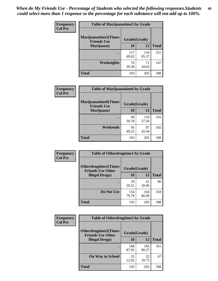| Frequency      | <b>Table of Marijuanatime5 by Grade</b>            |              |              |              |
|----------------|----------------------------------------------------|--------------|--------------|--------------|
| <b>Col Pct</b> | <b>Marijuanatime5</b> (Times<br><b>Friends Use</b> | Grade(Grade) |              |              |
|                | Marijuana)                                         | 10           | 12           | <b>Total</b> |
|                |                                                    | 117<br>60.62 | 134<br>65.37 | 251          |
|                | Weeknights                                         | 76<br>39.38  | 71<br>34.63  | 147          |
|                | <b>Total</b>                                       | 193          | 205          | 398          |

| Frequency      | <b>Table of Marijuanatime6 by Grade</b>           |              |              |              |
|----------------|---------------------------------------------------|--------------|--------------|--------------|
| <b>Col Pct</b> | <b>Marijuanatime6(Times</b><br><b>Friends Use</b> | Grade(Grade) |              |              |
|                | Marijuana)                                        | 10           | 12           | <b>Total</b> |
|                |                                                   | 98<br>50.78  | 118<br>57.56 | 216          |
|                | Weekends                                          | 95<br>49.22  | 87<br>42.44  | 182          |
|                | <b>Total</b>                                      | 193          | 205          | 398          |

| Frequency      | <b>Table of Otherdrugtime1 by Grade</b>                 |              |              |              |  |
|----------------|---------------------------------------------------------|--------------|--------------|--------------|--|
| <b>Col Pct</b> | <b>Otherdrugtime1(Times</b><br><b>Friends Use Other</b> | Grade(Grade) |              |              |  |
|                | <b>Illegal Drugs)</b>                                   | 10           | 12           | <b>Total</b> |  |
|                |                                                         | 39<br>20.21  | 41<br>20.00  | 80           |  |
|                | Do Not Use                                              | 154<br>79.79 | 164<br>80.00 | 318          |  |
|                | <b>Total</b>                                            | 193          | 205          | 398          |  |

| <b>Frequency</b><br><b>Col Pct</b> | <b>Table of Otherdrugtime2 by Grade</b>                 |              |              |              |  |  |  |
|------------------------------------|---------------------------------------------------------|--------------|--------------|--------------|--|--|--|
|                                    | <b>Otherdrugtime2(Times</b><br><b>Friends Use Other</b> | Grade(Grade) |              |              |  |  |  |
|                                    | <b>Illegal Drugs</b> )                                  | 10           | 12           | <b>Total</b> |  |  |  |
|                                    |                                                         | 168<br>87.05 | 183<br>89.27 | 351          |  |  |  |
|                                    | <b>On Way to School</b>                                 | 25<br>12.95  | 22<br>10.73  | 47           |  |  |  |
|                                    | <b>Total</b>                                            | 193          | 205          | 398          |  |  |  |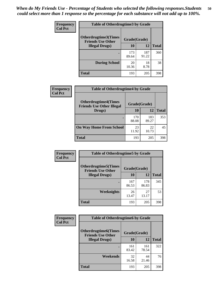| <b>Frequency</b> | <b>Table of Otherdrugtime3 by Grade</b>                 |              |              |              |  |  |  |
|------------------|---------------------------------------------------------|--------------|--------------|--------------|--|--|--|
| <b>Col Pct</b>   | <b>Otherdrugtime3(Times</b><br><b>Friends Use Other</b> | Grade(Grade) |              |              |  |  |  |
|                  | <b>Illegal Drugs</b> )                                  | 10           | 12           | <b>Total</b> |  |  |  |
|                  |                                                         | 173<br>89.64 | 187<br>91.22 | 360          |  |  |  |
|                  | <b>During School</b>                                    | 20<br>10.36  | 18<br>8.78   | 38           |  |  |  |
|                  | Total                                                   | 193          | 205          | 398          |  |  |  |

| Frequency      | <b>Table of Otherdrugtime4 by Grade</b>                         |              |              |              |  |  |
|----------------|-----------------------------------------------------------------|--------------|--------------|--------------|--|--|
| <b>Col Pct</b> | <b>Otherdrugtime4(Times</b><br><b>Friends Use Other Illegal</b> | Grade(Grade) |              |              |  |  |
|                | Drugs)                                                          | 10           | 12           | <b>Total</b> |  |  |
|                |                                                                 | 170<br>88.08 | 183<br>89.27 | 353          |  |  |
|                | <b>On Way Home From School</b>                                  | 23<br>11.92  | 22<br>10.73  | 45           |  |  |
|                | <b>Total</b>                                                    | 193          | 205          | 398          |  |  |

| <b>Frequency</b> | <b>Table of Otherdrugtime5 by Grade</b>                                  |              |              |              |  |  |  |
|------------------|--------------------------------------------------------------------------|--------------|--------------|--------------|--|--|--|
| <b>Col Pct</b>   | <b>Otherdrugtime5</b> (Times<br>Grade(Grade)<br><b>Friends Use Other</b> |              |              |              |  |  |  |
|                  | <b>Illegal Drugs</b> )                                                   | 10           | 12           | <b>Total</b> |  |  |  |
|                  |                                                                          | 167<br>86.53 | 178<br>86.83 | 345          |  |  |  |
|                  | Weeknights                                                               | 26<br>13.47  | 27<br>13.17  | 53           |  |  |  |
|                  | Total                                                                    | 193          | 205          | 398          |  |  |  |

| <b>Frequency</b> | <b>Table of Otherdrugtime6 by Grade</b>                 |              |              |              |  |  |
|------------------|---------------------------------------------------------|--------------|--------------|--------------|--|--|
| <b>Col Pct</b>   | <b>Otherdrugtime6(Times</b><br><b>Friends Use Other</b> | Grade(Grade) |              |              |  |  |
|                  | <b>Illegal Drugs</b> )                                  | 10           | 12           | <b>Total</b> |  |  |
|                  |                                                         | 161<br>83.42 | 161<br>78.54 | 322          |  |  |
|                  | Weekends                                                | 32<br>16.58  | 44<br>21.46  | 76           |  |  |
|                  | <b>Total</b>                                            | 193          | 205          | 398          |  |  |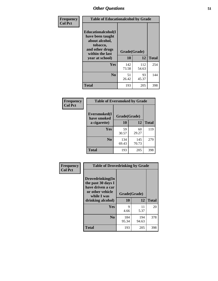| Frequency      | <b>Table of Educationalcohol by Grade</b>                                                                  |              |              |              |  |  |
|----------------|------------------------------------------------------------------------------------------------------------|--------------|--------------|--------------|--|--|
| <b>Col Pct</b> | Educationalcohol(I<br>have been taught<br>about alcohol,<br>tobacco,<br>and other drugs<br>within the last | Grade(Grade) |              |              |  |  |
|                | year at school)                                                                                            | 10           | 12           | <b>Total</b> |  |  |
|                | <b>Yes</b>                                                                                                 | 142<br>73.58 | 112<br>54.63 | 254          |  |  |
|                | N <sub>0</sub>                                                                                             | 51<br>26.42  | 93<br>45.37  | 144          |  |  |
|                | <b>Total</b>                                                                                               | 193          | 205          | 398          |  |  |

| Frequency      | <b>Table of Eversmoked by Grade</b> |              |              |              |  |  |  |
|----------------|-------------------------------------|--------------|--------------|--------------|--|--|--|
| <b>Col Pct</b> | Eversmoked(I<br>have smoked         | Grade(Grade) |              |              |  |  |  |
|                | a cigarette)                        | 10           | 12           | <b>Total</b> |  |  |  |
|                | Yes                                 | 59<br>30.57  | 60<br>29.27  | 119          |  |  |  |
|                | N <sub>0</sub>                      | 134<br>69.43 | 145<br>70.73 | 279          |  |  |  |
|                | <b>Total</b>                        | 193          | 205          | 398          |  |  |  |

| Frequency<br><b>Col Pct</b> | <b>Table of Drovedrinking by Grade</b>                                                                              |                    |              |              |  |  |
|-----------------------------|---------------------------------------------------------------------------------------------------------------------|--------------------|--------------|--------------|--|--|
|                             | Drovedrinking(In<br>the past 30 days I<br>have driven a car<br>or other vehicle<br>while I was<br>drinking alcohol) | Grade(Grade)<br>10 | 12           | <b>Total</b> |  |  |
|                             | <b>Yes</b>                                                                                                          | 9<br>4.66          | 11<br>5.37   | 20           |  |  |
|                             | N <sub>0</sub>                                                                                                      | 184<br>95.34       | 194<br>94.63 | 378          |  |  |
|                             | <b>Total</b>                                                                                                        | 193                | 205          | 398          |  |  |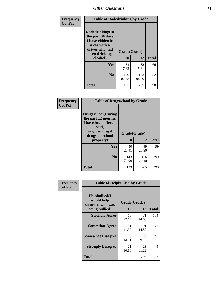| Frequency<br><b>Col Pct</b> | <b>Table of Rodedrinking by Grade</b>                                                                      |              |              |              |  |  |
|-----------------------------|------------------------------------------------------------------------------------------------------------|--------------|--------------|--------------|--|--|
|                             | Rodedrinking(In<br>the past 30 days<br>I have ridden in<br>a car with a<br>driver who had<br>been drinking | Grade(Grade) |              |              |  |  |
|                             | alcohol)                                                                                                   | 10           | 12           | <b>Total</b> |  |  |
|                             | <b>Yes</b>                                                                                                 | 34<br>17.62  | 32<br>15.61  | 66           |  |  |
|                             | N <sub>0</sub>                                                                                             | 159<br>82.38 | 173<br>84.39 | 332          |  |  |
|                             | <b>Total</b>                                                                                               | 193          | 205          | 398          |  |  |

#### **Frequency Col Pct**

| <b>Table of Drugsschool by Grade</b>                                                                                      |              |              |              |  |  |  |  |
|---------------------------------------------------------------------------------------------------------------------------|--------------|--------------|--------------|--|--|--|--|
| <b>Drugsschool</b> (During<br>the past 12 months,<br>I have been offered,<br>sold,<br>or given illegal<br>drugs on school |              | Grade(Grade) |              |  |  |  |  |
| property)                                                                                                                 | 10           | 12           | <b>Total</b> |  |  |  |  |
| Yes                                                                                                                       | 50<br>25.91  | 49<br>23.90  | 99           |  |  |  |  |
| N <sub>0</sub>                                                                                                            | 143<br>74.09 | 156<br>76.10 | 299          |  |  |  |  |
| Total                                                                                                                     | 193          | 205          | 398          |  |  |  |  |

| Frequency      | <b>Table of Helpbullied by Grade</b>                 |              |             |              |  |  |  |
|----------------|------------------------------------------------------|--------------|-------------|--------------|--|--|--|
| <b>Col Pct</b> | $Helpb$ ullied $(I$<br>would help<br>someone who was | Grade(Grade) |             |              |  |  |  |
|                | being bullied)                                       | <b>10</b>    | 12          | <b>Total</b> |  |  |  |
|                | <b>Strongly Agree</b>                                | 63<br>32.64  | 71<br>34.63 | 134          |  |  |  |
|                | <b>Somewhat Agree</b>                                | 81<br>41.97  | 91<br>44.39 | 172          |  |  |  |
|                | <b>Somewhat Disagree</b>                             | 28<br>14.51  | 20<br>9.76  | 48           |  |  |  |
|                | <b>Strongly Disagree</b>                             | 21<br>10.88  | 23<br>11.22 | 44           |  |  |  |
|                | <b>Total</b>                                         | 193          | 205         | 398          |  |  |  |
|                |                                                      |              |             |              |  |  |  |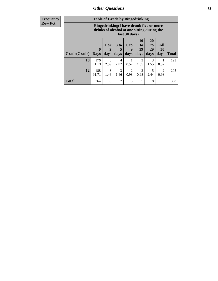| <b>Frequency</b><br><b>Row Pct</b> |                     | <b>Table of Grade by Bingedrinking</b><br>Bingedrinking(I have drunk five or more<br>drinks of alcohol at one sitting during the<br>last 30 days) |                                |                              |                             |                                   |                        |                   |              |
|------------------------------------|---------------------|---------------------------------------------------------------------------------------------------------------------------------------------------|--------------------------------|------------------------------|-----------------------------|-----------------------------------|------------------------|-------------------|--------------|
|                                    | Grade(Grade)   Days | $\mathbf{0}$                                                                                                                                      | 1 or<br>$\overline{2}$<br>days | 3 <sub>to</sub><br>5<br>days | $6 \text{ to}$<br>9<br>days | 10<br>$\mathbf{to}$<br>19<br>days | 20<br>to<br>29<br>days | All<br>30<br>days | <b>Total</b> |
|                                    | 10                  | 176<br>91.19                                                                                                                                      | 5<br>2.59                      | 4<br>2.07                    | 0.52                        | 1.55                              | 3<br>1.55              | 0.52              | 193          |
|                                    | 12                  | 188<br>91.71                                                                                                                                      | 3<br>1.46                      | 3<br>1.46                    | 2<br>0.98                   | $\mathfrak{D}$<br>0.98            | 5<br>2.44              | 2<br>0.98         | 205          |
|                                    | <b>Total</b>        | 364                                                                                                                                               | 8                              | 7                            | 3                           | 5                                 | 8                      | 3                 | 398          |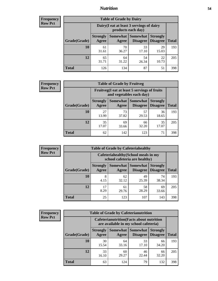### *Nutrition* **54**

| <b>Frequency</b> |
|------------------|
| <b>Row Pct</b>   |

| <b>Table of Grade by Dairy</b> |                          |                                                                 |                             |                                    |              |  |
|--------------------------------|--------------------------|-----------------------------------------------------------------|-----------------------------|------------------------------------|--------------|--|
|                                |                          | Dairy (I eat at least 3 servings of dairy<br>products each day) |                             |                                    |              |  |
| Grade(Grade)                   | <b>Strongly</b><br>Agree | <b>Somewhat</b><br>Agree                                        | <b>Somewhat</b><br>Disagree | <b>Strongly</b><br><b>Disagree</b> | <b>Total</b> |  |
| 10                             | 61<br>31.61              | 70<br>36.27                                                     | 33<br>17.10                 | 29<br>15.03                        | 193          |  |
| 12                             | 65<br>31.71              | 64<br>31.22                                                     | 54<br>26.34                 | 22<br>10.73                        | 205          |  |
| <b>Total</b>                   | 126                      | 134                                                             | 87                          | 51                                 | 398          |  |

| <b>Frequency</b> |  |
|------------------|--|
| <b>Row Pct</b>   |  |

| <b>Table of Grade by Fruitveg</b>                                        |                          |             |                                               |                                    |              |
|--------------------------------------------------------------------------|--------------------------|-------------|-----------------------------------------------|------------------------------------|--------------|
| Fruitveg(I eat at least 5 servings of fruits<br>and vegetables each day) |                          |             |                                               |                                    |              |
| Grade(Grade)                                                             | <b>Strongly</b><br>Agree | Agree       | <b>Somewhat   Somewhat</b><br><b>Disagree</b> | <b>Strongly</b><br><b>Disagree</b> | <b>Total</b> |
| 10                                                                       | 27<br>13.99              | 73<br>37.82 | 57<br>29.53                                   | 36<br>18.65                        | 193          |
| 12                                                                       | 35<br>17.07              | 69<br>33.66 | 66<br>32.20                                   | 35<br>17.07                        | 205          |
| <b>Total</b>                                                             | 62                       | 142         | 123                                           | 71                                 | 398          |

| <b>Frequency</b> |              |                                                                       |                     | <b>Table of Grade by Cafeteriahealthy</b> |                                    |              |
|------------------|--------------|-----------------------------------------------------------------------|---------------------|-------------------------------------------|------------------------------------|--------------|
| <b>Row Pct</b>   |              | Cafeteriahealthy (School meals in my<br>school cafeteria are healthy) |                     |                                           |                                    |              |
|                  | Grade(Grade) | <b>Strongly</b><br>Agree                                              | Somewhat  <br>Agree | Somewhat<br><b>Disagree</b>               | <b>Strongly</b><br><b>Disagree</b> | <b>Total</b> |
|                  | 10           | 8<br>4.15                                                             | 62<br>32.12         | 49<br>25.39                               | 74<br>38.34                        | 193          |
|                  | 12           | 17<br>8.29                                                            | 61<br>29.76         | 58<br>28.29                               | 69<br>33.66                        | 205          |
|                  | Total        | 25                                                                    | 123                 | 107                                       | 143                                | 398          |

| <b>Frequency</b> |
|------------------|
| <b>Row Pct</b>   |

| <b>Table of Grade by Cafeterianutrition</b>                                               |                          |                          |                             |                                    |              |
|-------------------------------------------------------------------------------------------|--------------------------|--------------------------|-----------------------------|------------------------------------|--------------|
| <b>Cafeterianutrition</b> (Facts about nutrition<br>are available in my school cafeteria) |                          |                          |                             |                                    |              |
| Grade(Grade)                                                                              | <b>Strongly</b><br>Agree | <b>Somewhat</b><br>Agree | <b>Somewhat</b><br>Disagree | <b>Strongly</b><br><b>Disagree</b> | <b>Total</b> |
| 10                                                                                        | 30<br>15.54              | 64<br>33.16              | 33<br>17.10                 | 66<br>34.20                        | 193          |
| 12                                                                                        | 33<br>16.10              | 60<br>29.27              | 46<br>22.44                 | 66<br>32.20                        | 205          |
| <b>Total</b>                                                                              | 63                       | 124                      | 79                          | 132                                | 398          |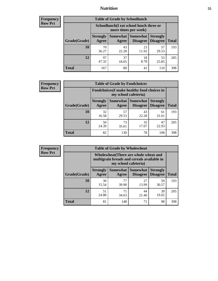### *Nutrition* **55**

| <b>Frequency</b> |
|------------------|
| <b>Row Pct</b>   |

| <b>Table of Grade by Schoollunch</b> |                          |                                                                 |                                 |                                    |              |  |
|--------------------------------------|--------------------------|-----------------------------------------------------------------|---------------------------------|------------------------------------|--------------|--|
|                                      |                          | Schoollunch(I eat school lunch three or<br>more times per week) |                                 |                                    |              |  |
| Grade(Grade)                         | <b>Strongly</b><br>Agree | Agree                                                           | Somewhat   Somewhat<br>Disagree | <b>Strongly</b><br><b>Disagree</b> | <b>Total</b> |  |
| 10                                   | 70<br>36.27              | 43<br>22.28                                                     | 23<br>11.92                     | 57<br>29.53                        | 193          |  |
| 12                                   | 97<br>47.32              | 37<br>18.05                                                     | 18<br>8.78                      | 53<br>25.85                        | 205          |  |
| <b>Total</b>                         | 167                      | 80                                                              | 41                              | 110                                | 398          |  |

| <b>Frequency</b> |  |
|------------------|--|
| <b>Row Pct</b>   |  |

| <b>Table of Grade by Foodchoices</b>                                       |                          |             |                                        |                                    |              |
|----------------------------------------------------------------------------|--------------------------|-------------|----------------------------------------|------------------------------------|--------------|
| <b>Foodchoices</b> (I make healthy food choices in<br>my school cafeteria) |                          |             |                                        |                                    |              |
| Grade(Grade)                                                               | <b>Strongly</b><br>Agree | Agree       | <b>Somewhat   Somewhat</b><br>Disagree | <b>Strongly</b><br><b>Disagree</b> | <b>Total</b> |
| 10                                                                         | 32<br>16.58              | 57<br>29.53 | 43<br>22.28                            | 61<br>31.61                        | 193          |
| 12                                                                         | 50<br>24.39              | 73<br>35.61 | 35<br>17.07                            | 47<br>22.93                        | 205          |
| Total                                                                      | 82                       | 130         | 78                                     | 108                                | 398          |

| <b>Frequency</b> |  |
|------------------|--|
| Row Pct          |  |

п

| <b>Table of Grade by Wholewheat</b> |                                                                                                             |                     |                                    |                                    |              |  |
|-------------------------------------|-------------------------------------------------------------------------------------------------------------|---------------------|------------------------------------|------------------------------------|--------------|--|
|                                     | Wholewheat (There are whole wheat and<br>multigrain breads and cereals available in<br>my school cafeteria) |                     |                                    |                                    |              |  |
| Grade(Grade)                        | <b>Strongly</b><br>Agree                                                                                    | Somewhat  <br>Agree | <b>Somewhat</b><br><b>Disagree</b> | <b>Strongly</b><br><b>Disagree</b> | <b>Total</b> |  |
| 10                                  | 30<br>15.54                                                                                                 | 77<br>39.90         | 27<br>13.99                        | 59<br>30.57                        | 193          |  |
| 12                                  | 51<br>24.88                                                                                                 | 71<br>34.63         | 44<br>21.46                        | 39<br>19.02                        | 205          |  |
| <b>Total</b>                        | 81                                                                                                          | 148                 | 71                                 | 98                                 | 398          |  |

٦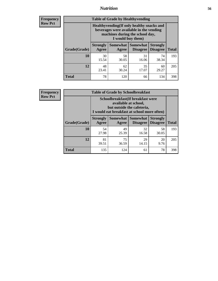### *Nutrition* **56**

**Frequency Row Pct**

| <b>Table of Grade by Healthyvending</b> |                                                                                                                                               |                          |                                    |                                    |              |  |  |
|-----------------------------------------|-----------------------------------------------------------------------------------------------------------------------------------------------|--------------------------|------------------------------------|------------------------------------|--------------|--|--|
|                                         | Healthyvending (If only healthy snacks and<br>beverages were available in the vending<br>machines during the school day,<br>I would buy them) |                          |                                    |                                    |              |  |  |
| Grade(Grade)                            | <b>Strongly</b><br>Agree                                                                                                                      | <b>Somewhat</b><br>Agree | <b>Somewhat</b><br><b>Disagree</b> | <b>Strongly</b><br><b>Disagree</b> | <b>Total</b> |  |  |
| 10                                      | 30<br>15.54                                                                                                                                   | 58<br>30.05              | 31<br>16.06                        | 74<br>38.34                        | 193          |  |  |
| 12                                      | 48<br>23.41                                                                                                                                   | 62<br>30.24              | 35<br>17.07                        | 60<br>29.27                        | 205          |  |  |
| <b>Total</b>                            | 78                                                                                                                                            | 120                      | 66                                 | 134                                | 398          |  |  |

**Frequency Row Pct**

| <b>Table of Grade by Schoolbreakfast</b> |                                                                                                                                        |             |             |             |              |  |  |
|------------------------------------------|----------------------------------------------------------------------------------------------------------------------------------------|-------------|-------------|-------------|--------------|--|--|
|                                          | Schoolbreakfast(If breakfast were<br>available at school,<br>but outside the cafeteria,<br>I would eat breakfast at school more often) |             |             |             |              |  |  |
| Grade(Grade)                             | Somewhat   Somewhat<br><b>Strongly</b><br><b>Strongly</b><br><b>Disagree</b><br>Agree<br><b>Disagree</b><br>Agree                      |             |             |             | <b>Total</b> |  |  |
| 10                                       | 54<br>27.98                                                                                                                            | 49<br>25.39 | 32<br>16.58 | 58<br>30.05 | 193          |  |  |
| 12                                       | 81<br>39.51                                                                                                                            | 75<br>36.59 | 29<br>14.15 | 20<br>9.76  | 205          |  |  |
| <b>Total</b>                             | 135                                                                                                                                    | 124         | 61          | 78          | 398          |  |  |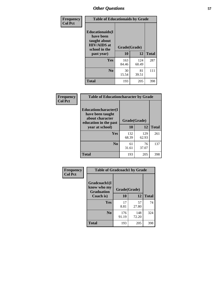| Frequency<br><b>Col Pct</b> | <b>Table of Educationaids by Grade</b>                                                                    |                    |              |              |
|-----------------------------|-----------------------------------------------------------------------------------------------------------|--------------------|--------------|--------------|
|                             | <b>Educationaids</b> (I<br>have been<br>taught about<br><b>HIV/AIDS</b> at<br>school in the<br>past year) | Grade(Grade)<br>10 | 12           | <b>Total</b> |
|                             | Yes                                                                                                       | 163<br>84.46       | 124<br>60.49 | 287          |
|                             | N <sub>0</sub>                                                                                            | 30<br>15.54        | 81<br>39.51  | 111          |
|                             | <b>Total</b>                                                                                              | 193                | 205          | 398          |

| Frequency      | <b>Table of Educationcharacter by Grade</b>                 |              |              |              |  |
|----------------|-------------------------------------------------------------|--------------|--------------|--------------|--|
| <b>Col Pct</b> | Educationcharacter(I<br>have been taught<br>about character | Grade(Grade) |              |              |  |
|                | education in the past<br>year at school)                    | 10           | 12           | <b>Total</b> |  |
|                | <b>Yes</b>                                                  | 132<br>68.39 | 129<br>62.93 | 261          |  |
|                | N <sub>0</sub>                                              | 61<br>31.61  | 76<br>37.07  | 137          |  |
|                | <b>Total</b>                                                | 193          | 205          | 398          |  |

| <b>Frequency</b><br><b>Col Pct</b> | <b>Table of Gradcoach1 by Grade</b>              |              |              |              |  |
|------------------------------------|--------------------------------------------------|--------------|--------------|--------------|--|
|                                    | Gradcoach1(I<br>know who my<br><b>Graduation</b> | Grade(Grade) |              |              |  |
|                                    | Coach is)                                        | 10           | 12           | <b>Total</b> |  |
|                                    | Yes                                              | 17<br>8.81   | 57<br>27.80  | 74           |  |
|                                    | N <sub>0</sub>                                   | 176<br>91.19 | 148<br>72.20 | 324          |  |
|                                    | <b>Total</b>                                     | 193          | 205          | 398          |  |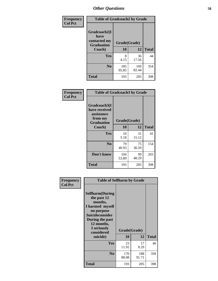| Frequency      | <b>Table of Gradcoach2 by Grade</b> |              |              |              |  |
|----------------|-------------------------------------|--------------|--------------|--------------|--|
| <b>Col Pct</b> |                                     |              |              |              |  |
|                | Gradcoach2(I<br>have                |              |              |              |  |
|                | contacted my<br><b>Graduation</b>   | Grade(Grade) |              |              |  |
|                | Coach)                              | 10           | 12           | <b>Total</b> |  |
|                | Yes                                 | 8<br>4.15    | 36<br>17.56  | 44           |  |
|                | N <sub>0</sub>                      | 185<br>95.85 | 169<br>82.44 | 354          |  |
|                | <b>Total</b>                        | 193          | 205          | 398          |  |

| Frequency<br><b>Col Pct</b> | <b>Table of Gradcoach3 by Grade</b>                                         |              |             |              |
|-----------------------------|-----------------------------------------------------------------------------|--------------|-------------|--------------|
|                             | Gradcoach3(I<br>have received<br>assistance<br>from my<br><b>Graduation</b> | Grade(Grade) |             |              |
|                             | Coach)                                                                      | 10           | 12          | <b>Total</b> |
|                             | Yes                                                                         | 10           | 31          | 41           |
|                             |                                                                             | 5.18         | 15.12       |              |
|                             | N <sub>0</sub>                                                              | 79<br>40.93  | 75<br>36.59 | 154          |
|                             | Don't know                                                                  | 104<br>53.89 | 99<br>48.29 | 203          |
|                             | <b>Total</b>                                                                | 193          | 205         | 398          |

| Frequency      | <b>Table of Selfharm by Grade</b>                                                                                                                                          |                    |              |              |
|----------------|----------------------------------------------------------------------------------------------------------------------------------------------------------------------------|--------------------|--------------|--------------|
| <b>Col Pct</b> | <b>Selfharm</b> (During<br>the past 12<br>months,<br>I harmed myself<br>on purpose<br><b>Suicideconsider</b><br>During the past<br>12 months,<br>I seriously<br>considered | Grade(Grade)<br>10 | 12           |              |
|                | suicide)                                                                                                                                                                   |                    |              | <b>Total</b> |
|                | Yes                                                                                                                                                                        | 23<br>11.92        | 17<br>8.29   | 40           |
|                | N <sub>0</sub>                                                                                                                                                             | 170<br>88.08       | 188<br>91.71 | 358          |
|                | <b>Total</b>                                                                                                                                                               | 193                | 205          | 398          |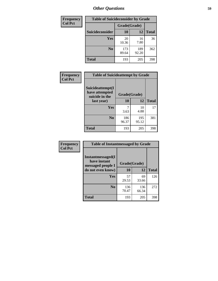| <b>Frequency</b> | <b>Table of Suicideconsider by Grade</b> |              |              |              |
|------------------|------------------------------------------|--------------|--------------|--------------|
| <b>Col Pct</b>   |                                          | Grade(Grade) |              |              |
|                  | Suicideconsider                          | <b>10</b>    | 12           | <b>Total</b> |
|                  | Yes                                      | 20<br>10.36  | 16<br>7.80   | 36           |
|                  | N <sub>0</sub>                           | 173<br>89.64 | 189<br>92.20 | 362          |
|                  | Total                                    | 193          | 205          | 398          |

| Frequency      | <b>Table of Suicideattempt by Grade</b>              |              |              |              |
|----------------|------------------------------------------------------|--------------|--------------|--------------|
| <b>Col Pct</b> | Suicideattempt(I<br>have attempted<br>suicide in the | Grade(Grade) |              |              |
|                | last year)                                           | 10           | 12           | <b>Total</b> |
|                | Yes                                                  | 3.63         | 10<br>4.88   | 17           |
|                | N <sub>0</sub>                                       | 186<br>96.37 | 195<br>95.12 | 381          |
|                | <b>Total</b>                                         | 193          | 205          | 398          |

| Frequency      | <b>Table of Instantmessaged by Grade</b>                       |              |              |              |
|----------------|----------------------------------------------------------------|--------------|--------------|--------------|
| <b>Col Pct</b> | <b>Instantmessaged</b> (I<br>have instant<br>messaged people I | Grade(Grade) |              |              |
|                | do not even know)                                              | 10           | 12           | <b>Total</b> |
|                | Yes                                                            | 57<br>29.53  | 69<br>33.66  | 126          |
|                | N <sub>0</sub>                                                 | 136<br>70.47 | 136<br>66.34 | 272          |
|                | <b>Total</b>                                                   | 193          | 205          | 398          |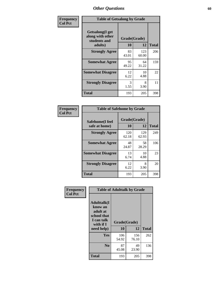| Frequency      | <b>Table of Getsalong by Grade</b>                          |             |              |              |  |  |  |
|----------------|-------------------------------------------------------------|-------------|--------------|--------------|--|--|--|
| <b>Col Pct</b> | <b>Getsalong</b> (I get<br>along with other<br>students and |             | Grade(Grade) |              |  |  |  |
|                | adults)                                                     | 10          | 12           | <b>Total</b> |  |  |  |
|                | <b>Strongly Agree</b>                                       | 83<br>43.01 | 123<br>60.00 | 206          |  |  |  |
|                | <b>Somewhat Agree</b>                                       | 95<br>49.22 | 64<br>31.22  | 159          |  |  |  |
|                | <b>Somewhat Disagree</b>                                    | 12<br>6.22  | 10<br>4.88   | 22           |  |  |  |
|                | <b>Strongly Disagree</b>                                    | 3<br>1.55   | 8<br>3.90    | 11           |  |  |  |
|                | <b>Total</b>                                                | 193         | 205          | 398          |  |  |  |

| Frequency<br><b>Col Pct</b> | <b>Table of Safehome by Grade</b> |                    |              |     |  |  |
|-----------------------------|-----------------------------------|--------------------|--------------|-----|--|--|
|                             | Safehome(I feel<br>safe at home)  | Grade(Grade)<br>10 | <b>Total</b> |     |  |  |
|                             | <b>Strongly Agree</b>             | 120<br>62.18       | 129<br>62.93 | 249 |  |  |
|                             | <b>Somewhat Agree</b>             | 48<br>24.87        | 58<br>28.29  | 106 |  |  |
|                             | <b>Somewhat Disagree</b>          | 13<br>6.74         | 10<br>4.88   | 23  |  |  |
|                             | <b>Strongly Disagree</b>          | 12<br>6.22         | 8<br>3.90    | 20  |  |  |
|                             | <b>Total</b>                      | 193                | 205          | 398 |  |  |

| Frequency      | <b>Table of Adulttalk by Grade</b>                                                                |                    |              |              |  |  |  |
|----------------|---------------------------------------------------------------------------------------------------|--------------------|--------------|--------------|--|--|--|
| <b>Col Pct</b> | <b>Adulttalk(I</b><br>know an<br>adult at<br>school that<br>I can talk<br>with if I<br>need help) | Grade(Grade)<br>10 | 12           | <b>Total</b> |  |  |  |
|                | Yes                                                                                               | 106<br>54.92       | 156<br>76.10 | 262          |  |  |  |
|                | N <sub>0</sub>                                                                                    | 87<br>45.08        | 49<br>23.90  | 136          |  |  |  |
|                | <b>Total</b>                                                                                      | 193                | 205          | 398          |  |  |  |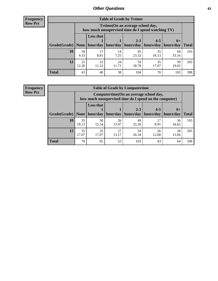**Frequency Row Pct**

| <b>Table of Grade by Tytime</b> |             |                                                                                         |             |             |             |             |              |  |  |  |
|---------------------------------|-------------|-----------------------------------------------------------------------------------------|-------------|-------------|-------------|-------------|--------------|--|--|--|
|                                 |             | Tytime (On an average school day,<br>how much unsupervised time do I spend watching TV) |             |             |             |             |              |  |  |  |
|                                 |             | <b>Less that</b>                                                                        |             | $2 - 3$     | $4 - 5$     | $6+$        |              |  |  |  |
| Grade(Grade)                    | None        | hour/day                                                                                | hour/day    | hours/day   | hours/day   | hours/day   | <b>Total</b> |  |  |  |
| 10                              | 18<br>9.33  | 17<br>8.81                                                                              | 14<br>7.25  | 45<br>23.32 | 35<br>18.13 | 64<br>33.16 | 193          |  |  |  |
| 12                              | 25<br>12.20 | 23<br>11.22                                                                             | 24<br>11.71 | 59<br>28.78 | 35<br>17.07 | 39<br>19.02 | 205          |  |  |  |
| <b>Total</b>                    | 43          | 40                                                                                      | 38          | 104         | 70          | 103         | 398          |  |  |  |

**Frequency Row Pct**

| <b>Table of Grade by Computertime</b> |             |                                                                                                   |             |                      |                      |                   |              |  |  |  |
|---------------------------------------|-------------|---------------------------------------------------------------------------------------------------|-------------|----------------------|----------------------|-------------------|--------------|--|--|--|
|                                       |             | Computertime (On an average school day,<br>how much unsupervised time do I spend on the computer) |             |                      |                      |                   |              |  |  |  |
| Grade(Grade)                          | None $ $    | <b>Less that</b><br>hour/day                                                                      | hour/day    | $2 - 3$<br>hours/day | $4 - 5$<br>hours/day | $6+$<br>hours/day | <b>Total</b> |  |  |  |
| 10                                    | 35<br>18.13 | 30<br>15.54                                                                                       | 26<br>13.47 | 49<br>25.39          | 17<br>8.81           | 36<br>18.65       | 193          |  |  |  |
| 12                                    | 35<br>17.07 | 35<br>27<br>54<br>28<br>26<br>17.07<br>13.17<br>26.34<br>12.68<br>13.66                           |             |                      |                      |                   |              |  |  |  |
| <b>Total</b>                          | 70          | 65                                                                                                | 53          | 103                  | 43                   | 64                | 398          |  |  |  |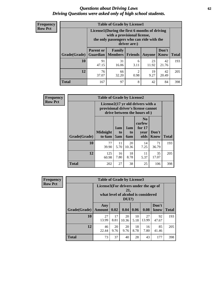#### *Questions about Driving Laws* **62** *Driving Questions were asked only of high school students.*

| <b>Frequency</b> |
|------------------|
| <b>Row Pct</b>   |

| <b>Table of Grade by License1</b> |                                                                                   |                                                                                                                                           |                |               |               |              |  |  |  |
|-----------------------------------|-----------------------------------------------------------------------------------|-------------------------------------------------------------------------------------------------------------------------------------------|----------------|---------------|---------------|--------------|--|--|--|
|                                   |                                                                                   | License1(During the first 6 months of driving<br>with a provisional license,<br>the only passengers who can ride with the<br>driver are:) |                |               |               |              |  |  |  |
| Grade(Grade)                      | <b>Parent or</b><br><b>Guardian</b>                                               | Family<br><b>Members</b>                                                                                                                  | <b>Friends</b> | <b>Anyone</b> | Don't<br>Know | <b>Total</b> |  |  |  |
| 10                                | 91<br>47.15                                                                       | 31<br>16.06                                                                                                                               | 6<br>3.11      | 23<br>11.92   | 42<br>21.76   | 193          |  |  |  |
| 12                                | $\overline{c}$<br>76<br>66<br>19<br>42<br>0.98<br>9.27<br>20.49<br>37.07<br>32.20 |                                                                                                                                           |                |               |               |              |  |  |  |
| <b>Total</b>                      | 167                                                                               | 97                                                                                                                                        | 8              | 42            | 84            | 398          |  |  |  |

| <b>Frequency</b> |              | <b>Table of Grade by License2</b> |                  |                  |                                                                                                          |                      |              |
|------------------|--------------|-----------------------------------|------------------|------------------|----------------------------------------------------------------------------------------------------------|----------------------|--------------|
| <b>Row Pct</b>   |              |                                   |                  |                  | License2(17 yr old drivers with a<br>provisional driver's license cannot<br>drive between the hours of:) |                      |              |
|                  | Grade(Grade) | <b>Midnight</b><br>to 6am         | 1am<br>to<br>5am | 1am<br>to<br>6am | N <sub>0</sub><br>curfew<br>for $17$<br>year<br>olds                                                     | Don't<br><b>Know</b> | <b>Total</b> |
|                  | 10           | 77<br>39.90                       | 11<br>5.70       | 20<br>10.36      | 14<br>7.25                                                                                               | 71<br>36.79          | 193          |
|                  | 12           | 125<br>60.98                      | 16<br>7.80       | 18<br>8.78       | 11<br>5.37                                                                                               | 35<br>17.07          | 205          |
|                  | <b>Total</b> | 202                               | 27               | 38               | 25                                                                                                       | 106                  | 398          |

| <b>Frequency</b> | <b>Table of Grade by License3</b> |                                       |            |                                                        |            |             |               |              |  |
|------------------|-----------------------------------|---------------------------------------|------------|--------------------------------------------------------|------------|-------------|---------------|--------------|--|
| <b>Row Pct</b>   |                                   | License3(For drivers under the age of |            | 21,<br>what level of alcohol is considered<br>$DUI$ ?) |            |             |               |              |  |
|                  | Grade(Grade)                      | Any<br>Amount                         | 0.02       | 0.04                                                   | 0.06       | 0.08        | Don't<br>know | <b>Total</b> |  |
|                  | 10                                | 27<br>13.99                           | 17<br>8.81 | 20<br>10.36                                            | 10<br>5.18 | 27<br>13.99 | 92<br>47.67   | 193          |  |
|                  | 12                                | 46<br>22.44                           | 20<br>9.76 | 20<br>9.76                                             | 18<br>8.78 | 16<br>7.80  | 85<br>41.46   | 205          |  |
|                  | <b>Total</b>                      | 73                                    | 37         | 40                                                     | 28         | 43          | 177           | 398          |  |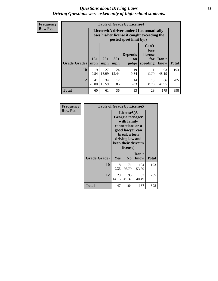#### *Questions about Driving Laws* **63** *Driving Questions were asked only of high school students.*

**Frequency Row Pct**

| <b>Table of Grade by License4</b> |             |                                                                                                                                                                                                                                                                                       |             |            |            |             |     |  |  |
|-----------------------------------|-------------|---------------------------------------------------------------------------------------------------------------------------------------------------------------------------------------------------------------------------------------------------------------------------------------|-------------|------------|------------|-------------|-----|--|--|
|                                   |             | License4(A driver under 21 automatically<br>loses his/her license if caught exceeding the<br>posted speet limit by:)<br>Can't<br>lose<br><b>Depends</b><br>license<br>$15+$<br>$25+$<br>$35+$<br>Don't<br>for<br><b>on</b><br>speeding<br><b>Total</b><br>mph<br>know<br>mph<br>judge |             |            |            |             |     |  |  |
| Grade(Grade)                      | mph         |                                                                                                                                                                                                                                                                                       |             |            |            |             |     |  |  |
| 10                                | 19<br>9.84  | 27<br>13.99                                                                                                                                                                                                                                                                           | 24<br>12.44 | 19<br>9.84 | 11<br>5.70 | 93<br>48.19 | 193 |  |  |
| 12                                | 41<br>20.00 | 12<br>14<br>18<br>34<br>86<br>16.59<br>5.85<br>8.78<br>6.83<br>41.95                                                                                                                                                                                                                  |             |            |            |             |     |  |  |
| <b>Total</b>                      | 60          | 61                                                                                                                                                                                                                                                                                    | 36          | 33         | 29         | 179         | 398 |  |  |

| Frequency      | <b>Table of Grade by License5</b> |             |                                                                                                                                      |                     |       |
|----------------|-----------------------------------|-------------|--------------------------------------------------------------------------------------------------------------------------------------|---------------------|-------|
| <b>Row Pct</b> |                                   |             | License5(A)<br>Georgia teenager<br>with family<br>connections or a<br>good lawyer can<br>break a teen<br>driving law and<br>license) | keep their driver's |       |
|                | Grade(Grade)                      | <b>Yes</b>  | N <sub>0</sub>                                                                                                                       | Don't<br>know       | Total |
|                | 10                                | 18<br>9.33  | 71<br>36.79                                                                                                                          | 104<br>53.89        | 193   |
|                | 12                                | 29<br>14.15 | 93<br>45.37                                                                                                                          | 83<br>40.49         | 205   |
|                | <b>Total</b>                      | 47          | 164                                                                                                                                  | 187                 | 398   |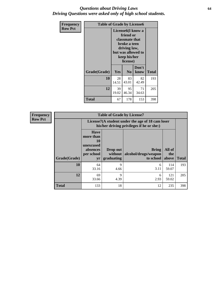#### *Questions about Driving Laws* **64** *Driving Questions were asked only of high school students.*

| <b>Frequency</b> | <b>Table of Grade by License6</b> |                                           |                                                                                                                                                 |               |              |
|------------------|-----------------------------------|-------------------------------------------|-------------------------------------------------------------------------------------------------------------------------------------------------|---------------|--------------|
| <b>Row Pct</b>   |                                   |                                           | License <sub>6</sub> (I know a<br>friend or<br>classmate that<br>broke a teen<br>driving law,<br>but was allowed to<br>keep his/her<br>license) |               |              |
|                  | Grade(Grade)                      | <b>Yes</b>                                | N <sub>0</sub>                                                                                                                                  | Don't<br>know | <b>Total</b> |
|                  | 10                                | 28<br>14.51                               | 83<br>43.01                                                                                                                                     | 82<br>42.49   | 193          |
|                  | 12                                | 39<br>95<br>71<br>19.02<br>46.34<br>34.63 |                                                                                                                                                 |               | 205          |
|                  | <b>Total</b>                      | 67                                        | 178                                                                                                                                             | 153           | 398          |

| <b>Frequency</b> | <b>Table of Grade by License7</b> |                                                                             |                                                                                               |                                                   |                        |              |  |
|------------------|-----------------------------------|-----------------------------------------------------------------------------|-----------------------------------------------------------------------------------------------|---------------------------------------------------|------------------------|--------------|--|
| <b>Row Pct</b>   |                                   |                                                                             | License7(A student under the age of 18 cam loser<br>his/her driving privileges if he or she:) |                                                   |                        |              |  |
|                  | Grade(Grade)                      | <b>Have</b><br>more than<br>10<br>unexcused<br>absences<br>per school<br>yr | Drop out<br>without  <br>graduating                                                           | <b>Bring</b><br>alcohol/drugs/weapon<br>to school | All of<br>the<br>above | <b>Total</b> |  |
|                  | <b>10</b>                         | 64<br>33.16                                                                 | 9<br>4.66                                                                                     | 6<br>3.11                                         | 114<br>59.07           | 193          |  |
|                  | 12                                | 69<br>33.66                                                                 | 9<br>4.39                                                                                     | 6<br>2.93                                         | 121<br>59.02           | 205          |  |
|                  | <b>Total</b>                      | 133                                                                         | 18                                                                                            | 12                                                | 235                    | 398          |  |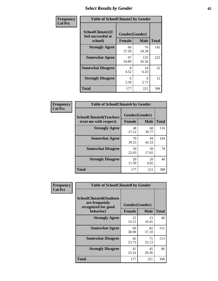# *Select Results by Gender* **65**

| Frequency      | <b>Table of SchoolClimate2 by Gender</b>          |                                 |              |              |
|----------------|---------------------------------------------------|---------------------------------|--------------|--------------|
| <b>Col Pct</b> | SchoolClimate2(I<br>feel successful at<br>school) | Gender(Gender)<br><b>Female</b> | <b>Male</b>  | <b>Total</b> |
|                | <b>Strongly Agree</b>                             | 66<br>37.29                     | 76<br>34.39  | 142          |
|                | <b>Somewhat Agree</b>                             | 97<br>54.80                     | 125<br>56.56 | 222          |
|                | <b>Somewhat Disagree</b>                          | 8<br>4.52                       | 14<br>6.33   | 22           |
|                | <b>Strongly Disagree</b>                          | 6<br>3.39                       | 6<br>2.71    | 12           |
|                | <b>Total</b>                                      | 177                             | 221          | 398          |

| Frequency      | <b>Table of SchoolClimate6 by Gender</b>                 |                                 |             |              |
|----------------|----------------------------------------------------------|---------------------------------|-------------|--------------|
| <b>Col Pct</b> | <b>SchoolClimate6(Teachers</b><br>treat me with respect) | Gender(Gender)<br><b>Female</b> | <b>Male</b> | <b>Total</b> |
|                | <b>Strongly Agree</b>                                    | 48<br>27.12                     | 68<br>30.77 | 116          |
|                | <b>Somewhat Agree</b>                                    | 70<br>39.55                     | 94<br>42.53 | 164          |
|                | <b>Somewhat Disagree</b>                                 | 39<br>22.03                     | 39<br>17.65 | 78           |
|                | <b>Strongly Disagree</b>                                 | 20<br>11.30                     | 20<br>9.05  | 40           |
|                | <b>Total</b>                                             | 177                             | 221         | 398          |

| Frequency      | <b>Table of SchoolClimate8 by Gender</b>                                             |                                 |             |              |
|----------------|--------------------------------------------------------------------------------------|---------------------------------|-------------|--------------|
| <b>Col Pct</b> | <b>SchoolClimate8(Students</b><br>are frequently<br>recognized for good<br>behavior) | Gender(Gender)<br><b>Female</b> | <b>Male</b> | <b>Total</b> |
|                | <b>Strongly Agree</b>                                                                | 25<br>14.12                     | 23<br>10.41 | 48           |
|                | <b>Somewhat Agree</b>                                                                | 69<br>38.98                     | 82<br>37.10 | 151          |
|                | <b>Somewhat Disagree</b>                                                             | 42<br>23.73                     | 71<br>32.13 | 113          |
|                | <b>Strongly Disagree</b>                                                             | 41<br>23.16                     | 45<br>20.36 | 86           |
|                | Total                                                                                | 177                             | 221         | 398          |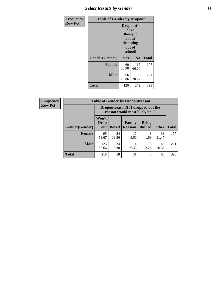# *Select Results by Gender* **66**

| Frequency      | <b>Table of Gender by Dropout</b> |                                                                        |                |              |
|----------------|-----------------------------------|------------------------------------------------------------------------|----------------|--------------|
| <b>Row Pct</b> |                                   | Dropout(I<br>have<br>thought<br>about<br>dropping<br>out of<br>school) |                |              |
|                | Gender(Gender)                    | Yes                                                                    | N <sub>0</sub> | <b>Total</b> |
|                | <b>Female</b>                     | 60<br>33.90                                                            | 117<br>66.10   | 177          |
|                | <b>Male</b>                       | 66<br>29.86                                                            | 155<br>70.14   | 221          |
|                | <b>Total</b>                      | 126                                                                    | 272            | 398          |

| <b>Frequency</b> | <b>Table of Gender by Dropoutreason</b> |                                                                    |              |                          |                                |              |              |
|------------------|-----------------------------------------|--------------------------------------------------------------------|--------------|--------------------------|--------------------------------|--------------|--------------|
| <b>Row Pct</b>   |                                         | Dropoutreason(If I dropped out the<br>reason would most likely be) |              |                          |                                |              |              |
|                  | Gender(Gender)                          | Won't<br><b>Drop</b><br>out                                        | <b>Bored</b> | Family<br><b>Reasons</b> | <b>Being</b><br><b>Bullied</b> | <b>Other</b> | <b>Total</b> |
|                  | <b>Female</b>                           | 95<br>53.67                                                        | 24<br>13.56  | 17<br>9.60               | 3<br>1.69                      | 38<br>21.47  | 177          |
|                  | <b>Male</b>                             | 123<br>55.66                                                       | 34<br>15.38  | 14<br>6.33               | 2.26                           | 45<br>20.36  | 221          |
|                  | <b>Total</b>                            | 218                                                                | 58           | 31                       | 8                              | 83           | 398          |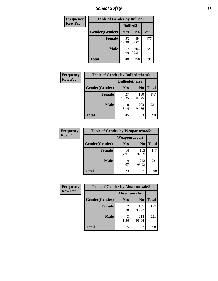*School Safety* **67**

| Frequency      | <b>Table of Gender by Bullied2</b> |                 |                |              |
|----------------|------------------------------------|-----------------|----------------|--------------|
| <b>Row Pct</b> |                                    | <b>Bullied2</b> |                |              |
|                | Gender(Gender)                     | Yes             | N <sub>0</sub> | <b>Total</b> |
|                | <b>Female</b>                      | 23<br>12.99     | 154<br>87.01   | 177          |
|                | <b>Male</b>                        | 17<br>7.69      | 204<br>92.31   | 221          |
|                | Total                              | 40              | 358            | 398          |

| Frequency      | <b>Table of Gender by Bulliedothers2</b> |                       |                |              |
|----------------|------------------------------------------|-----------------------|----------------|--------------|
| <b>Row Pct</b> |                                          | <b>Bulliedothers2</b> |                |              |
|                | Gender(Gender)                           | Yes                   | N <sub>0</sub> | <b>Total</b> |
|                | <b>Female</b>                            | 27<br>15.25           | 150<br>84.75   | 177          |
|                | <b>Male</b>                              | 18<br>8.14            | 203<br>91.86   | 221          |
|                | <b>Total</b>                             | 45                    | 353            | 398          |

| Frequency      | <b>Table of Gender by Weaponschool2</b> |                      |                |              |
|----------------|-----------------------------------------|----------------------|----------------|--------------|
| <b>Row Pct</b> |                                         | <b>Weaponschool2</b> |                |              |
|                | Gender(Gender)                          | Yes                  | N <sub>0</sub> | <b>Total</b> |
|                | <b>Female</b>                           | 14<br>7.91           | 163<br>92.09   | 177          |
|                | <b>Male</b>                             | q<br>4.07            | 212<br>95.93   | 221          |
|                | <b>Total</b>                            | 23                   | 375            | 398          |

| Frequency      | <b>Table of Gender by Absentunsafe2</b> |               |                |              |
|----------------|-----------------------------------------|---------------|----------------|--------------|
| <b>Row Pct</b> |                                         | Absentunsafe2 |                |              |
|                | Gender(Gender)                          | Yes           | N <sub>0</sub> | <b>Total</b> |
|                | <b>Female</b>                           | 12<br>6.78    | 165<br>93.22   | 177          |
|                | <b>Male</b>                             | 1.36          | 218<br>98.64   | 221          |
|                | <b>Total</b>                            | 15            | 383            | 398          |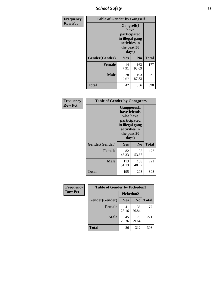*School Safety* **68**

| Frequency      | <b>Table of Gender by Gangself</b> |                                                                                                |              |              |
|----------------|------------------------------------|------------------------------------------------------------------------------------------------|--------------|--------------|
| <b>Row Pct</b> |                                    | Gangself(I<br>have<br>participated<br>in illegal gang<br>activities in<br>the past 30<br>days) |              |              |
|                | Gender(Gender)                     | Yes                                                                                            | $\bf No$     | <b>Total</b> |
|                | <b>Female</b>                      | 14<br>7.91                                                                                     | 163<br>92.09 | 177          |
|                | <b>Male</b>                        | 28<br>12.67                                                                                    | 193<br>87.33 | 221          |
|                | <b>Total</b>                       | 42                                                                                             | 356          | 398          |

| Frequency      | <b>Table of Gender by Gangpeers</b> |                                                                                                                             |                |              |
|----------------|-------------------------------------|-----------------------------------------------------------------------------------------------------------------------------|----------------|--------------|
| <b>Row Pct</b> |                                     | <b>Gangpeers</b> (I<br>have friends<br>who have<br>participated<br>in illegal gang<br>activities in<br>the past 30<br>days) |                |              |
|                | Gender(Gender)                      | <b>Yes</b>                                                                                                                  | N <sub>0</sub> | <b>Total</b> |
|                | <b>Female</b>                       | 82<br>46.33                                                                                                                 | 95<br>53.67    | 177          |
|                | <b>Male</b>                         | 113<br>51.13                                                                                                                | 108<br>48.87   | 221          |
|                | <b>Total</b>                        | 195                                                                                                                         | 203            | 398          |

| <b>Frequency</b> | <b>Table of Gender by Pickedon2</b> |             |                |              |
|------------------|-------------------------------------|-------------|----------------|--------------|
| <b>Row Pct</b>   |                                     |             | Pickedon2      |              |
|                  | Gender(Gender)                      | Yes         | N <sub>0</sub> | <b>Total</b> |
|                  | <b>Female</b>                       | 41<br>23.16 | 136<br>76.84   | 177          |
|                  | <b>Male</b>                         | 45<br>20.36 | 176<br>79.64   | 221          |
|                  | <b>Total</b>                        | 86<br>312   |                | 398          |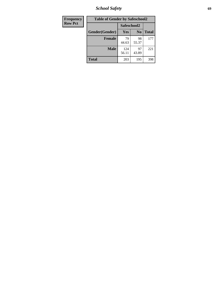*School Safety* **69**

| Frequency      | <b>Table of Gender by Safeschool2</b> |              |                |              |  |
|----------------|---------------------------------------|--------------|----------------|--------------|--|
| <b>Row Pct</b> |                                       | Safeschool2  |                |              |  |
|                | Gender(Gender)                        | <b>Yes</b>   | N <sub>0</sub> | <b>Total</b> |  |
|                | <b>Female</b>                         | 79<br>44.63  | 98<br>55.37    | 177          |  |
|                | <b>Male</b>                           | 124<br>56.11 | 97<br>43.89    | 221          |  |
|                | <b>Total</b>                          | 203          | 195            | 398          |  |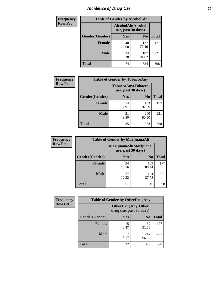# *Incidence of Drug Use* **70**

| <b>Frequency</b> | <b>Table of Gender by AlcoholAlt</b>     |             |                |              |
|------------------|------------------------------------------|-------------|----------------|--------------|
| <b>Row Pct</b>   | AlcoholAlt(Alcohol<br>use, past 30 days) |             |                |              |
|                  | Gender(Gender)                           | <b>Yes</b>  | N <sub>0</sub> | <b>Total</b> |
|                  | <b>Female</b>                            | 40<br>22.60 | 137<br>77.40   | 177          |
|                  | <b>Male</b>                              | 34<br>15.38 | 187<br>84.62   | 221          |
|                  | <b>Total</b>                             | 74          | 324            | 398          |

| <b>Frequency</b> | <b>Table of Gender by TobaccoAny</b> |                                          |                |              |
|------------------|--------------------------------------|------------------------------------------|----------------|--------------|
| <b>Row Pct</b>   |                                      | TobaccoAny(Tobacco<br>use, past 30 days) |                |              |
|                  | Gender(Gender)                       | Yes                                      | N <sub>0</sub> | <b>Total</b> |
|                  | <b>Female</b>                        | 14<br>7.91                               | 163<br>92.09   | 177          |
|                  | <b>Male</b>                          | 21<br>9.50                               | 200<br>90.50   | 221          |
|                  | <b>Total</b>                         | 35                                       | 363            | 398          |

| <b>Frequency</b> | <b>Table of Gender by MarijuanaAlt</b> |             |                                              |              |
|------------------|----------------------------------------|-------------|----------------------------------------------|--------------|
| <b>Row Pct</b>   |                                        |             | MarijuanaAlt(Marijuana<br>use, past 30 days) |              |
|                  | Gender(Gender)                         | <b>Yes</b>  | N <sub>0</sub>                               | <b>Total</b> |
|                  | <b>Female</b>                          | 24<br>13.56 | 153<br>86.44                                 | 177          |
|                  | <b>Male</b>                            | 27<br>12.22 | 194<br>87.78                                 | 221          |
|                  | <b>Total</b>                           | 51          | 347                                          | 398          |

| <b>Frequency</b> | <b>Table of Gender by OtherDrugAny</b> |                         |                           |              |
|------------------|----------------------------------------|-------------------------|---------------------------|--------------|
| <b>Row Pct</b>   |                                        | drug use, past 30 days) | <b>OtherDrugAny(Other</b> |              |
|                  | Gender(Gender)                         | <b>Yes</b>              | N <sub>0</sub>            | <b>Total</b> |
|                  | <b>Female</b>                          | 15<br>8.47              | 162<br>91.53              | 177          |
|                  | <b>Male</b>                            | 3.17                    | 214<br>96.83              | 221          |
|                  | <b>Total</b>                           | 22                      | 376                       | 398          |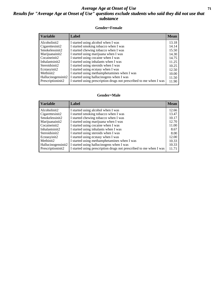#### *Average Age at Onset of Use* **71** *Results for "Average Age at Onset of Use" questions exclude students who said they did not use that substance*

#### **Gender=Female**

| <b>Variable</b>    | Label                                                              | <b>Mean</b> |
|--------------------|--------------------------------------------------------------------|-------------|
| Alcoholinit2       | I started using alcohol when I was                                 | 13.18       |
| Cigarettesinit2    | I started smoking tobacco when I was                               | 14.14       |
| Smokelessinit2     | I started chewing tobacco when I was                               | 15.50       |
| Marijuanainit2     | I started using marijuana when I was                               | 14.30       |
| Cocaineinit2       | I started using cocaine when I was                                 | 14.75       |
| Inhalantsinit2     | I started using inhalants when I was                               | 11.25       |
| Steroidsinit2      | I started using steroids when I was                                | 10.25       |
| Ecstasyinit2       | I started using ecstasy when I was                                 | 12.50       |
| Methinit2          | I started using methamphetamines when I was                        | 10.00       |
| Hallucinogensinit2 | I started using hallucinogens when I was                           | 11.50       |
| Prescription in t2 | I started using prescription drugs not prescribed to me when I was | 11.90       |
|                    |                                                                    |             |

#### **Gender=Male**

| <b>Variable</b>    | Label                                                              | <b>Mean</b> |
|--------------------|--------------------------------------------------------------------|-------------|
| Alcoholinit2       | I started using alcohol when I was                                 | 12.66       |
| Cigarettesinit2    | I started smoking tobacco when I was                               | 13.47       |
| Smokelessinit2     | I started chewing tobacco when I was                               | 10.17       |
| Marijuanainit2     | I started using marijuana when I was                               | 12.70       |
| Cocaineinit2       | I started using cocaine when I was                                 | 11.00       |
| Inhalantsinit2     | I started using inhalants when I was                               | 8.67        |
| Steroidsinit2      | I started using steroids when I was                                | 8.00        |
| Ecstasyinit2       | I started using ecstasy when I was                                 | 12.00       |
| Methinit2          | I started using methamphetamines when I was                        | 10.33       |
| Hallucinogensinit2 | I started using hallucinogens when I was                           | 10.33       |
| Prescription in t2 | I started using prescription drugs not prescribed to me when I was | 11.71       |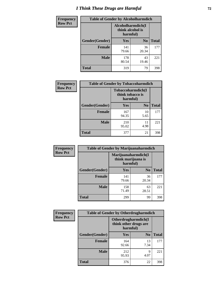# *I Think These Drugs are Harmful* **72**

| <b>Frequency</b> | <b>Table of Gender by Alcoholharmdich</b> |                                                   |                |              |
|------------------|-------------------------------------------|---------------------------------------------------|----------------|--------------|
| <b>Row Pct</b>   |                                           | Alcoholharmdich(I<br>think alcohol is<br>harmful) |                |              |
|                  | Gender(Gender)                            | Yes                                               | N <sub>0</sub> | <b>Total</b> |
|                  | <b>Female</b>                             | 141<br>79.66                                      | 36<br>20.34    | 177          |
|                  | <b>Male</b>                               | 178<br>80.54                                      | 43<br>19.46    | 221          |
|                  | Total                                     | 319                                               | 79             | 398          |

| Frequency      | <b>Table of Gender by Tobaccoharmdich</b> |                              |                   |              |
|----------------|-------------------------------------------|------------------------------|-------------------|--------------|
| <b>Row Pct</b> |                                           | think tobacco is<br>harmful) | Tobaccoharmdich(I |              |
|                | Gender(Gender)                            | Yes                          | N <sub>0</sub>    | <b>Total</b> |
|                | <b>Female</b>                             | 167<br>94.35                 | 10<br>5.65        | 177          |
|                | <b>Male</b>                               | 210<br>95.02                 | 11<br>4.98        | 221          |
|                | <b>Total</b>                              | 377                          | 21                | 398          |

| Frequency      | <b>Table of Gender by Marijuanaharmdich</b> |                                                       |                |              |  |
|----------------|---------------------------------------------|-------------------------------------------------------|----------------|--------------|--|
| <b>Row Pct</b> |                                             | Marijuanaharmdich(I<br>think marijuana is<br>harmful) |                |              |  |
|                | Gender(Gender)                              | <b>Yes</b>                                            | N <sub>0</sub> | <b>Total</b> |  |
|                | <b>Female</b>                               | 141<br>79.66                                          | 36<br>20.34    | 177          |  |
|                | <b>Male</b>                                 | 158<br>71.49                                          | 63<br>28.51    | 221          |  |
|                | <b>Total</b>                                | 299                                                   | 99             | 398          |  |

| Frequency      | <b>Table of Gender by Otherdrugharmdich</b> |                                                          |                |              |  |
|----------------|---------------------------------------------|----------------------------------------------------------|----------------|--------------|--|
| <b>Row Pct</b> |                                             | Otherdrugharmdich(I<br>think other drugs are<br>harmful) |                |              |  |
|                | Gender(Gender)                              | <b>Yes</b>                                               | N <sub>0</sub> | <b>Total</b> |  |
|                | <b>Female</b>                               | 164<br>92.66                                             | 13<br>7.34     | 177          |  |
|                | <b>Male</b>                                 | 212<br>95.93                                             | 9<br>4.07      | 221          |  |
|                | <b>Total</b>                                | 376                                                      | 22             | 398          |  |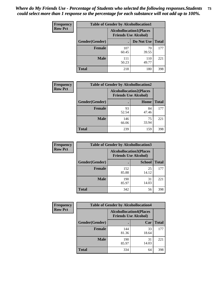| <b>Frequency</b> | <b>Table of Gender by Alcohollocation1</b> |                                                               |              |              |  |
|------------------|--------------------------------------------|---------------------------------------------------------------|--------------|--------------|--|
| <b>Row Pct</b>   |                                            | <b>Alcohollocation1(Places</b><br><b>Friends Use Alcohol)</b> |              |              |  |
|                  | Gender(Gender)                             |                                                               | Do Not Use   | <b>Total</b> |  |
|                  | <b>Female</b>                              | 107<br>60.45                                                  | 70<br>39.55  | 177          |  |
|                  | <b>Male</b>                                | 111<br>50.23                                                  | 110<br>49.77 | 221          |  |
|                  | <b>Total</b>                               | 218                                                           | 180          | 398          |  |

| <b>Frequency</b> | <b>Table of Gender by Alcohollocation2</b> |                                                               |             |              |
|------------------|--------------------------------------------|---------------------------------------------------------------|-------------|--------------|
| <b>Row Pct</b>   |                                            | <b>Alcohollocation2(Places</b><br><b>Friends Use Alcohol)</b> |             |              |
|                  | Gender(Gender)                             |                                                               | Home        | <b>Total</b> |
|                  | <b>Female</b>                              | 93<br>52.54                                                   | 84<br>47.46 | 177          |
|                  | <b>Male</b>                                | 146<br>66.06                                                  | 75<br>33.94 | 221          |
|                  | <b>Total</b>                               | 239                                                           | 159         | 398          |

| Frequency      | <b>Table of Gender by Alcohollocation3</b> |              |                                                               |              |
|----------------|--------------------------------------------|--------------|---------------------------------------------------------------|--------------|
| <b>Row Pct</b> |                                            |              | <b>Alcohollocation3(Places</b><br><b>Friends Use Alcohol)</b> |              |
|                | Gender(Gender)                             |              | <b>School</b>                                                 | <b>Total</b> |
|                | <b>Female</b>                              | 152<br>85.88 | 25<br>14.12                                                   | 177          |
|                | <b>Male</b>                                | 190<br>85.97 | 31<br>14.03                                                   | 221          |
|                | <b>Total</b>                               | 342          | 56                                                            | 398          |

| Frequency      | <b>Table of Gender by Alcohollocation4</b> |                                                               |             |              |
|----------------|--------------------------------------------|---------------------------------------------------------------|-------------|--------------|
| <b>Row Pct</b> |                                            | <b>Alcohollocation4(Places</b><br><b>Friends Use Alcohol)</b> |             |              |
|                | <b>Gender</b> (Gender)                     |                                                               | Car         | <b>Total</b> |
|                | <b>Female</b>                              | 144<br>81.36                                                  | 33<br>18.64 | 177          |
|                | <b>Male</b>                                | 190<br>85.97                                                  | 31<br>14.03 | 221          |
|                | <b>Total</b>                               | 334                                                           | 64          | 398          |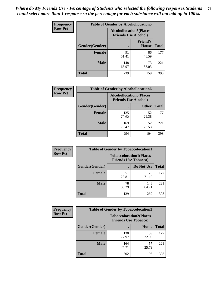| <b>Frequency</b> | <b>Table of Gender by Alcohollocation5</b> |                                                                |                                 |              |
|------------------|--------------------------------------------|----------------------------------------------------------------|---------------------------------|--------------|
| <b>Row Pct</b>   |                                            | <b>Alcohollocation5</b> (Places<br><b>Friends Use Alcohol)</b> |                                 |              |
|                  | Gender(Gender)                             |                                                                | <b>Friend's</b><br><b>House</b> | <b>Total</b> |
|                  | <b>Female</b>                              | 91<br>51.41                                                    | 86<br>48.59                     | 177          |
|                  | <b>Male</b>                                | 148<br>66.97                                                   | 73<br>33.03                     | 221          |
|                  | <b>Total</b>                               | 239                                                            | 159                             | 398          |

| Frequency      | <b>Table of Gender by Alcohollocation6</b> |                                                               |              |              |
|----------------|--------------------------------------------|---------------------------------------------------------------|--------------|--------------|
| <b>Row Pct</b> |                                            | <b>Alcohollocation6(Places</b><br><b>Friends Use Alcohol)</b> |              |              |
|                | Gender(Gender)                             |                                                               | <b>Other</b> | <b>Total</b> |
|                | <b>Female</b>                              | 125<br>70.62                                                  | 52<br>29.38  | 177          |
|                | <b>Male</b>                                | 169<br>76.47                                                  | 52<br>23.53  | 221          |
|                | <b>Total</b>                               | 294                                                           | 104          | 398          |

| Frequency      | <b>Table of Gender by Tobaccolocation1</b> |                                                               |              |              |  |
|----------------|--------------------------------------------|---------------------------------------------------------------|--------------|--------------|--|
| <b>Row Pct</b> |                                            | <b>Tobaccolocation1(Places</b><br><b>Friends Use Tobacco)</b> |              |              |  |
|                | Gender(Gender)                             |                                                               | Do Not Use   | <b>Total</b> |  |
|                | <b>Female</b>                              | 51<br>28.81                                                   | 126<br>71.19 | 177          |  |
|                | <b>Male</b>                                | 78<br>35.29                                                   | 143<br>64.71 | 221          |  |
|                | <b>Total</b>                               | 129                                                           | 269          | 398          |  |

| <b>Frequency</b> | <b>Table of Gender by Tobaccolocation2</b> |                                                               |             |              |
|------------------|--------------------------------------------|---------------------------------------------------------------|-------------|--------------|
| <b>Row Pct</b>   |                                            | <b>Tobaccolocation2(Places</b><br><b>Friends Use Tobacco)</b> |             |              |
|                  | Gender(Gender)                             |                                                               | Home        | <b>Total</b> |
|                  | Female                                     | 138<br>77.97                                                  | 39<br>22.03 | 177          |
|                  | <b>Male</b>                                | 164<br>74.21                                                  | 57<br>25.79 | 221          |
|                  | <b>Total</b>                               | 302                                                           | 96          | 398          |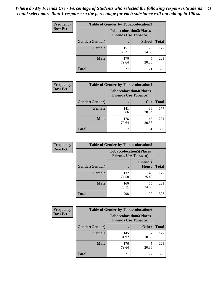| <b>Frequency</b> | <b>Table of Gender by Tobaccolocation3</b> |              |                                                               |              |
|------------------|--------------------------------------------|--------------|---------------------------------------------------------------|--------------|
| <b>Row Pct</b>   |                                            |              | <b>Tobaccolocation3(Places</b><br><b>Friends Use Tobacco)</b> |              |
|                  | Gender(Gender)                             |              | <b>School</b>                                                 | <b>Total</b> |
|                  | <b>Female</b>                              | 151<br>85.31 | 26<br>14.69                                                   | 177          |
|                  | <b>Male</b>                                | 176<br>79.64 | 45<br>20.36                                                   | 221          |
|                  | <b>Total</b>                               | 327          | 71                                                            | 398          |

| <b>Frequency</b> | <b>Table of Gender by Tobaccolocation4</b> |                                                               |             |              |
|------------------|--------------------------------------------|---------------------------------------------------------------|-------------|--------------|
| <b>Row Pct</b>   |                                            | <b>Tobaccolocation4(Places</b><br><b>Friends Use Tobacco)</b> |             |              |
|                  | Gender(Gender)                             |                                                               | Car         | <b>Total</b> |
|                  | Female                                     | 141<br>79.66                                                  | 36<br>20.34 | 177          |
|                  | <b>Male</b>                                | 176<br>79.64                                                  | 45<br>20.36 | 221          |
|                  | <b>Total</b>                               | 317                                                           | 81          | 398          |

| <b>Frequency</b> | <b>Table of Gender by Tobaccolocation5</b> |                                                               |                                 |              |
|------------------|--------------------------------------------|---------------------------------------------------------------|---------------------------------|--------------|
| <b>Row Pct</b>   |                                            | <b>Tobaccolocation5(Places</b><br><b>Friends Use Tobacco)</b> |                                 |              |
|                  | Gender(Gender)                             |                                                               | <b>Friend's</b><br><b>House</b> | <b>Total</b> |
|                  | <b>Female</b>                              | 132<br>74.58                                                  | 45<br>25.42                     | 177          |
|                  | <b>Male</b>                                | 166<br>75.11                                                  | 55<br>24.89                     | 221          |
|                  | <b>Total</b>                               | 298                                                           | 100                             | 398          |

| <b>Frequency</b> | <b>Table of Gender by Tobaccolocation6</b> |                                                               |              |              |
|------------------|--------------------------------------------|---------------------------------------------------------------|--------------|--------------|
| <b>Row Pct</b>   |                                            | <b>Tobaccolocation6(Places</b><br><b>Friends Use Tobacco)</b> |              |              |
|                  | Gender(Gender)                             |                                                               | <b>Other</b> | <b>Total</b> |
|                  | Female                                     | 145<br>81.92                                                  | 32<br>18.08  | 177          |
|                  | <b>Male</b>                                | 176<br>79.64                                                  | 45<br>20.36  | 221          |
|                  | <b>Total</b>                               | 321                                                           | 77           | 398          |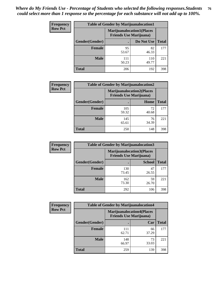| <b>Frequency</b> | <b>Table of Gender by Marijuanalocation1</b> |                                                                    |              |              |
|------------------|----------------------------------------------|--------------------------------------------------------------------|--------------|--------------|
| <b>Row Pct</b>   |                                              | <b>Marijuanalocation1(Places</b><br><b>Friends Use Marijuana</b> ) |              |              |
|                  | Gender(Gender)                               |                                                                    | Do Not Use   | <b>Total</b> |
|                  | <b>Female</b>                                | 95<br>53.67                                                        | 82<br>46.33  | 177          |
|                  | <b>Male</b>                                  | 111<br>50.23                                                       | 110<br>49.77 | 221          |
|                  | <b>Total</b>                                 | 206                                                                | 192          | 398          |

| <b>Frequency</b> | <b>Table of Gender by Marijuanalocation2</b> |                                |                                  |              |  |
|------------------|----------------------------------------------|--------------------------------|----------------------------------|--------------|--|
| <b>Row Pct</b>   |                                              | <b>Friends Use Marijuana</b> ) | <b>Marijuanalocation2(Places</b> |              |  |
|                  | Gender(Gender)                               |                                | Home                             | <b>Total</b> |  |
|                  | <b>Female</b>                                | 105<br>59.32                   | 72<br>40.68                      | 177          |  |
|                  | <b>Male</b>                                  | 145<br>65.61                   | 76<br>34.39                      | 221          |  |
|                  | Total                                        | 250                            | 148                              | 398          |  |

| <b>Frequency</b> | <b>Table of Gender by Marijuanalocation3</b> |                                                                    |               |              |  |
|------------------|----------------------------------------------|--------------------------------------------------------------------|---------------|--------------|--|
| <b>Row Pct</b>   |                                              | <b>Marijuanalocation3(Places</b><br><b>Friends Use Marijuana</b> ) |               |              |  |
|                  | <b>Gender</b> (Gender)                       |                                                                    | <b>School</b> | <b>Total</b> |  |
|                  | <b>Female</b>                                | 130<br>73.45                                                       | 47<br>26.55   | 177          |  |
|                  | <b>Male</b>                                  | 162<br>73.30                                                       | 59<br>26.70   | 221          |  |
|                  | <b>Total</b>                                 | 292                                                                | 106           | 398          |  |

| <b>Frequency</b> |                | <b>Table of Gender by Marijuanalocation4</b> |                                  |              |
|------------------|----------------|----------------------------------------------|----------------------------------|--------------|
| <b>Row Pct</b>   |                | <b>Friends Use Marijuana</b> )               | <b>Marijuanalocation4(Places</b> |              |
|                  | Gender(Gender) |                                              | Car                              | <b>Total</b> |
|                  | <b>Female</b>  | 111<br>62.71                                 | 66<br>37.29                      | 177          |
|                  | <b>Male</b>    | 148<br>66.97                                 | 73<br>33.03                      | 221          |
|                  | <b>Total</b>   | 259                                          | 139                              | 398          |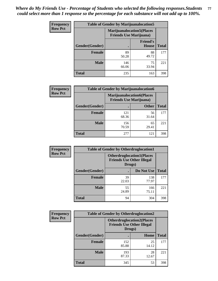| <b>Frequency</b> | <b>Table of Gender by Marijuanalocation5</b> |                                                                     |                                 |              |
|------------------|----------------------------------------------|---------------------------------------------------------------------|---------------------------------|--------------|
| <b>Row Pct</b>   |                                              | <b>Marijuanalocation5</b> (Places<br><b>Friends Use Marijuana</b> ) |                                 |              |
|                  | Gender(Gender)                               |                                                                     | <b>Friend's</b><br><b>House</b> | <b>Total</b> |
|                  | <b>Female</b>                                | 89<br>50.28                                                         | 88<br>49.72                     | 177          |
|                  | <b>Male</b>                                  | 146<br>66.06                                                        | 75<br>33.94                     | 221          |
|                  | <b>Total</b>                                 | 235                                                                 | 163                             | 398          |

| <b>Frequency</b> | <b>Table of Gender by Marijuanalocation6</b> |                                |                                  |              |  |
|------------------|----------------------------------------------|--------------------------------|----------------------------------|--------------|--|
| <b>Row Pct</b>   |                                              | <b>Friends Use Marijuana</b> ) | <b>Marijuanalocation6(Places</b> |              |  |
|                  | <b>Gender</b> (Gender)                       |                                | <b>Other</b>                     | <b>Total</b> |  |
|                  | <b>Female</b>                                | 121<br>68.36                   | 56<br>31.64                      | 177          |  |
|                  | <b>Male</b>                                  | 156<br>70.59                   | 65<br>29.41                      | 221          |  |
|                  | <b>Total</b>                                 | 277                            | 121                              | 398          |  |

| <b>Frequency</b> | <b>Table of Gender by Otherdruglocation1</b> |                                                                                |              |              |
|------------------|----------------------------------------------|--------------------------------------------------------------------------------|--------------|--------------|
| <b>Row Pct</b>   |                                              | <b>Otherdruglocation1(Places</b><br><b>Friends Use Other Illegal</b><br>Drugs) |              |              |
|                  | Gender(Gender)                               |                                                                                | Do Not Use   | <b>Total</b> |
|                  | Female                                       | 39<br>22.03                                                                    | 138<br>77.97 | 177          |
|                  | <b>Male</b>                                  | 55<br>24.89                                                                    | 166<br>75.11 | 221          |
|                  | <b>Total</b>                                 | 94                                                                             | 304          | 398          |

| <b>Frequency</b> | <b>Table of Gender by Otherdruglocation2</b> |                                                                                |             |              |
|------------------|----------------------------------------------|--------------------------------------------------------------------------------|-------------|--------------|
| <b>Row Pct</b>   |                                              | <b>Otherdruglocation2(Places</b><br><b>Friends Use Other Illegal</b><br>Drugs) |             |              |
|                  | Gender(Gender)                               |                                                                                | Home        | <b>Total</b> |
|                  | Female                                       | 152<br>85.88                                                                   | 25<br>14.12 | 177          |
|                  | <b>Male</b>                                  | 193<br>87.33                                                                   | 28<br>12.67 | 221          |
|                  | <b>Total</b>                                 | 345                                                                            | 53          | 398          |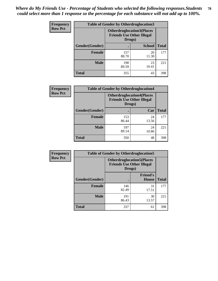| <b>Frequency</b> | <b>Table of Gender by Otherdruglocation3</b> |                                                                                |               |              |
|------------------|----------------------------------------------|--------------------------------------------------------------------------------|---------------|--------------|
| <b>Row Pct</b>   |                                              | <b>Otherdruglocation3(Places</b><br><b>Friends Use Other Illegal</b><br>Drugs) |               |              |
|                  | Gender(Gender)                               |                                                                                | <b>School</b> | <b>Total</b> |
|                  | <b>Female</b>                                | 157<br>88.70                                                                   | 20<br>11.30   | 177          |
|                  | <b>Male</b>                                  | 198<br>89.59                                                                   | 23<br>10.41   | 221          |
|                  | <b>Total</b>                                 | 355                                                                            | 43            | 398          |

| <b>Frequency</b> | <b>Table of Gender by Otherdruglocation4</b> |                                                                                |             |              |
|------------------|----------------------------------------------|--------------------------------------------------------------------------------|-------------|--------------|
| <b>Row Pct</b>   |                                              | <b>Otherdruglocation4(Places</b><br><b>Friends Use Other Illegal</b><br>Drugs) |             |              |
|                  | Gender(Gender)                               |                                                                                | Car         | <b>Total</b> |
|                  | <b>Female</b>                                | 153<br>86.44                                                                   | 24<br>13.56 | 177          |
|                  | <b>Male</b>                                  | 197<br>89.14                                                                   | 24<br>10.86 | 221          |
|                  | <b>Total</b>                                 | 350                                                                            | 48          | 398          |

| <b>Frequency</b> | <b>Table of Gender by Otherdruglocation5</b>                                   |              |                                 |              |
|------------------|--------------------------------------------------------------------------------|--------------|---------------------------------|--------------|
| <b>Row Pct</b>   | <b>Otherdruglocation5(Places</b><br><b>Friends Use Other Illegal</b><br>Drugs) |              |                                 |              |
|                  | Gender(Gender)                                                                 |              | <b>Friend's</b><br><b>House</b> | <b>Total</b> |
|                  | <b>Female</b>                                                                  | 146<br>82.49 | 31<br>17.51                     | 177          |
|                  | <b>Male</b>                                                                    | 191<br>86.43 | 30<br>13.57                     | 221          |
|                  | <b>Total</b>                                                                   | 337          | 61                              | 398          |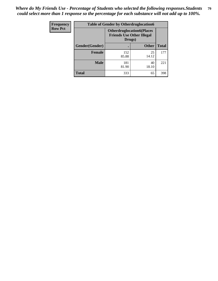| Frequency      | <b>Table of Gender by Otherdruglocation6</b> |                                                                                |              |              |
|----------------|----------------------------------------------|--------------------------------------------------------------------------------|--------------|--------------|
| <b>Row Pct</b> |                                              | <b>Otherdruglocation6(Places</b><br><b>Friends Use Other Illegal</b><br>Drugs) |              |              |
|                | Gender(Gender)                               |                                                                                | <b>Other</b> | <b>Total</b> |
|                | <b>Female</b>                                | 152<br>85.88                                                                   | 25<br>14.12  | 177          |
|                | <b>Male</b>                                  | 181<br>81.90                                                                   | 40<br>18.10  | 221          |
|                | <b>Total</b>                                 | 333                                                                            | 65           | 398          |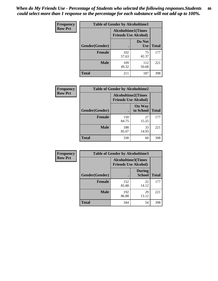| <b>Frequency</b> | <b>Table of Gender by Alcoholtime1</b> |                                                          |                      |              |
|------------------|----------------------------------------|----------------------------------------------------------|----------------------|--------------|
| <b>Row Pct</b>   |                                        | <b>Alcoholtime1(Times</b><br><b>Friends Use Alcohol)</b> |                      |              |
|                  | Gender(Gender)                         | $\bullet$                                                | Do Not<br><b>Use</b> | <b>Total</b> |
|                  | <b>Female</b>                          | 102<br>57.63                                             | 75<br>42.37          | 177          |
|                  | <b>Male</b>                            | 109<br>49.32                                             | 112<br>50.68         | 221          |
|                  | <b>Total</b>                           | 211                                                      | 187                  | 398          |

| <b>Frequency</b> | <b>Table of Gender by Alcoholtime2</b> |                                                          |                            |              |
|------------------|----------------------------------------|----------------------------------------------------------|----------------------------|--------------|
| <b>Row Pct</b>   |                                        | <b>Alcoholtime2(Times</b><br><b>Friends Use Alcohol)</b> |                            |              |
|                  | Gender(Gender)                         |                                                          | <b>On Way</b><br>to School | <b>Total</b> |
|                  | <b>Female</b>                          | 150<br>84.75                                             | 27<br>15.25                | 177          |
|                  | <b>Male</b>                            | 188<br>85.07                                             | 33<br>14.93                | 221          |
|                  | <b>Total</b>                           | 338                                                      | 60                         | 398          |

| Frequency      | <b>Table of Gender by Alcoholtime3</b> |                                                          |                         |              |
|----------------|----------------------------------------|----------------------------------------------------------|-------------------------|--------------|
| <b>Row Pct</b> |                                        | <b>Alcoholtime3(Times</b><br><b>Friends Use Alcohol)</b> |                         |              |
|                | Gender(Gender)                         |                                                          | <b>During</b><br>School | <b>Total</b> |
|                | <b>Female</b>                          | 152<br>85.88                                             | 25<br>14.12             | 177          |
|                | <b>Male</b>                            | 192<br>86.88                                             | 29<br>13.12             | 221          |
|                | <b>Total</b>                           | 344                                                      | 54                      | 398          |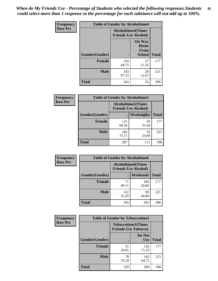*When do My Friends Use - Percentage of Students who selected the following responses.Students could select more than 1 response so the percentage for each substance will not add up to 100%.* **81**

| <b>Frequency</b> | <b>Table of Gender by Alcoholtime4</b> |                                                          |                                                |              |
|------------------|----------------------------------------|----------------------------------------------------------|------------------------------------------------|--------------|
| <b>Row Pct</b>   |                                        | <b>Alcoholtime4(Times</b><br><b>Friends Use Alcohol)</b> |                                                |              |
|                  | Gender(Gender)                         |                                                          | <b>On Way</b><br>Home<br>From<br><b>School</b> | <b>Total</b> |
|                  | <b>Female</b>                          | 150<br>84.75                                             | 27<br>15.25                                    | 177          |
|                  | <b>Male</b>                            | 193<br>87.33                                             | 28<br>12.67                                    | 221          |
|                  | <b>Total</b>                           | 343                                                      | 55                                             | 398          |

| <b>Frequency</b> | <b>Table of Gender by Alcoholtime5</b> |                                                           |                   |              |
|------------------|----------------------------------------|-----------------------------------------------------------|-------------------|--------------|
| <b>Row Pct</b>   |                                        | <b>Alcoholtime5</b> (Times<br><b>Friends Use Alcohol)</b> |                   |              |
|                  | Gender(Gender)                         |                                                           | <b>Weeknights</b> | <b>Total</b> |
|                  | <b>Female</b>                          | 121<br>68.36                                              | 56<br>31.64       | 177          |
|                  | <b>Male</b>                            | 166<br>75.11                                              | 55<br>24.89       | 221          |
|                  | <b>Total</b>                           | 287                                                       | 111               | 398          |

| <b>Frequency</b> | <b>Table of Gender by Alcoholtime6</b> |              |                                                           |              |  |
|------------------|----------------------------------------|--------------|-----------------------------------------------------------|--------------|--|
| <b>Row Pct</b>   |                                        |              | <b>Alcoholtime6</b> (Times<br><b>Friends Use Alcohol)</b> |              |  |
|                  | Gender(Gender)                         |              | Weekends                                                  | <b>Total</b> |  |
|                  | Female                                 | 71<br>40.11  | 106<br>59.89                                              | 177          |  |
|                  | <b>Male</b>                            | 122<br>55.20 | 99<br>44.80                                               | 221          |  |
|                  | <b>Total</b>                           | 193          | 205                                                       | 398          |  |

| Frequency      | <b>Table of Gender by Tobaccotime1</b>                   |             |                      |              |  |
|----------------|----------------------------------------------------------|-------------|----------------------|--------------|--|
| <b>Row Pct</b> | <b>Tobaccotime1(Times</b><br><b>Friends Use Tobacco)</b> |             |                      |              |  |
|                | Gender(Gender)                                           |             | Do Not<br><b>Use</b> | <b>Total</b> |  |
|                | <b>Female</b>                                            | 51<br>28.81 | 126<br>71.19         | 177          |  |
|                | <b>Male</b>                                              | 78<br>35.29 | 143<br>64.71         | 221          |  |
|                | <b>Total</b>                                             | 129         | 269                  | 398          |  |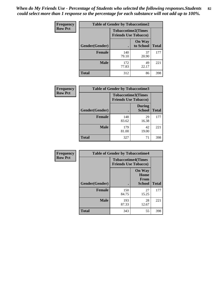*When do My Friends Use - Percentage of Students who selected the following responses.Students could select more than 1 response so the percentage for each substance will not add up to 100%.* **82**

| Frequency      | <b>Table of Gender by Tobaccotime2</b> |                                                          |                            |              |
|----------------|----------------------------------------|----------------------------------------------------------|----------------------------|--------------|
| <b>Row Pct</b> |                                        | <b>Tobaccotime2(Times</b><br><b>Friends Use Tobacco)</b> |                            |              |
|                | Gender(Gender)                         |                                                          | <b>On Way</b><br>to School | <b>Total</b> |
|                | <b>Female</b>                          | 140<br>79.10                                             | 37<br>20.90                | 177          |
|                | <b>Male</b>                            | 172<br>77.83                                             | 49<br>22.17                | 221          |
|                | <b>Total</b>                           | 312                                                      | 86                         | 398          |

| Frequency      | <b>Table of Gender by Tobaccotime3</b> |                                                          |                                |              |
|----------------|----------------------------------------|----------------------------------------------------------|--------------------------------|--------------|
| <b>Row Pct</b> |                                        | <b>Tobaccotime3(Times</b><br><b>Friends Use Tobacco)</b> |                                |              |
|                | Gender(Gender)                         |                                                          | <b>During</b><br><b>School</b> | <b>Total</b> |
|                | <b>Female</b>                          | 148<br>83.62                                             | 29<br>16.38                    | 177          |
|                | <b>Male</b>                            | 179<br>81.00                                             | 42<br>19.00                    | 221          |
|                | <b>Total</b>                           | 327                                                      | 71                             | 398          |

| <b>Frequency</b> | <b>Table of Gender by Tobaccotime4</b> |                                                          |                                                       |              |
|------------------|----------------------------------------|----------------------------------------------------------|-------------------------------------------------------|--------------|
| <b>Row Pct</b>   |                                        | <b>Tobaccotime4(Times</b><br><b>Friends Use Tobacco)</b> |                                                       |              |
|                  | Gender(Gender)                         |                                                          | <b>On Way</b><br>Home<br><b>From</b><br><b>School</b> | <b>Total</b> |
|                  | <b>Female</b>                          | 150<br>84.75                                             | 27<br>15.25                                           | 177          |
|                  | <b>Male</b>                            | 193<br>87.33                                             | 28<br>12.67                                           | 221          |
|                  | <b>Total</b>                           | 343                                                      | 55                                                    | 398          |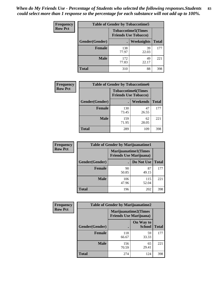*When do My Friends Use - Percentage of Students who selected the following responses.Students could select more than 1 response so the percentage for each substance will not add up to 100%.* **83**

| <b>Frequency</b> | <b>Table of Gender by Tobaccotime5</b> |              |                                                           |              |  |
|------------------|----------------------------------------|--------------|-----------------------------------------------------------|--------------|--|
| <b>Row Pct</b>   |                                        |              | <b>Tobaccotime5</b> (Times<br><b>Friends Use Tobacco)</b> |              |  |
|                  | Gender(Gender)                         |              | <b>Weeknights</b>                                         | <b>Total</b> |  |
|                  | <b>Female</b>                          | 138<br>77.97 | 39<br>22.03                                               | 177          |  |
|                  | <b>Male</b>                            | 172<br>77.83 | 49<br>22.17                                               | 221          |  |
|                  | <b>Total</b>                           | 310          | 88                                                        | 398          |  |

| <b>Frequency</b> | <b>Table of Gender by Tobaccotime6</b> |                                                          |             |              |  |
|------------------|----------------------------------------|----------------------------------------------------------|-------------|--------------|--|
| <b>Row Pct</b>   |                                        | <b>Tobaccotime6(Times</b><br><b>Friends Use Tobacco)</b> |             |              |  |
|                  | Gender(Gender)                         |                                                          | Weekends    | <b>Total</b> |  |
|                  | Female                                 | 130<br>73.45                                             | 47<br>26.55 | 177          |  |
|                  | <b>Male</b>                            | 159<br>71.95                                             | 62<br>28.05 | 221          |  |
|                  | <b>Total</b>                           | 289                                                      | 109         | 398          |  |

| Frequency      | <b>Table of Gender by Marijuanatime1</b> |                                                               |              |              |  |
|----------------|------------------------------------------|---------------------------------------------------------------|--------------|--------------|--|
| <b>Row Pct</b> |                                          | <b>Marijuanatime1(Times</b><br><b>Friends Use Marijuana</b> ) |              |              |  |
|                | <b>Gender</b> (Gender)                   |                                                               | Do Not Use   | <b>Total</b> |  |
|                | Female                                   | 90<br>50.85                                                   | 87<br>49.15  | 177          |  |
|                | <b>Male</b>                              | 106<br>47.96                                                  | 115<br>52.04 | 221          |  |
|                | <b>Total</b>                             | 196                                                           | 202          | 398          |  |

| Frequency      |                | <b>Table of Gender by Marijuanatime2</b>                      |                            |              |
|----------------|----------------|---------------------------------------------------------------|----------------------------|--------------|
| <b>Row Pct</b> |                | <b>Marijuanatime2(Times</b><br><b>Friends Use Marijuana</b> ) |                            |              |
|                | Gender(Gender) |                                                               | On Way to<br><b>School</b> | <b>Total</b> |
|                | <b>Female</b>  | 118<br>66.67                                                  | 59<br>33.33                | 177          |
|                | <b>Male</b>    | 156<br>70.59                                                  | 65<br>29.41                | 221          |
|                | <b>Total</b>   | 274                                                           | 124                        | 398          |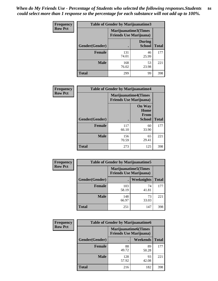| Frequency      | Table of Gender by Marijuanatime3 |                      |                                |              |
|----------------|-----------------------------------|----------------------|--------------------------------|--------------|
| <b>Row Pct</b> |                                   | Marijuanatime3(Times | <b>Friends Use Marijuana</b> ) |              |
|                | Gender(Gender)                    |                      | <b>During</b><br><b>School</b> | <b>Total</b> |
|                | <b>Female</b>                     | 131<br>74.01         | 46<br>25.99                    | 177          |
|                | <b>Male</b>                       | 168<br>76.02         | 53<br>23.98                    | 221          |
|                | <b>Total</b>                      | 299                  | 99                             | 398          |

| Frequency      | <b>Table of Gender by Marijuanatime4</b> |                                                               |                                                       |              |
|----------------|------------------------------------------|---------------------------------------------------------------|-------------------------------------------------------|--------------|
| <b>Row Pct</b> |                                          | <b>Marijuanatime4(Times</b><br><b>Friends Use Marijuana</b> ) |                                                       |              |
|                | Gender(Gender)                           |                                                               | <b>On Way</b><br>Home<br><b>From</b><br><b>School</b> | <b>Total</b> |
|                | <b>Female</b>                            | 117<br>66.10                                                  | 60<br>33.90                                           | 177          |
|                | <b>Male</b>                              | 156<br>70.59                                                  | 65<br>29.41                                           | 221          |
|                | <b>Total</b>                             | 273                                                           | 125                                                   | 398          |

| Frequency      | <b>Table of Gender by Marijuanatime5</b> |                                                                |                   |              |  |
|----------------|------------------------------------------|----------------------------------------------------------------|-------------------|--------------|--|
| <b>Row Pct</b> |                                          | <b>Marijuanatime5</b> (Times<br><b>Friends Use Marijuana</b> ) |                   |              |  |
|                | Gender(Gender)                           |                                                                | <b>Weeknights</b> | <b>Total</b> |  |
|                | <b>Female</b>                            | 103<br>58.19                                                   | 74<br>41.81       | 177          |  |
|                | <b>Male</b>                              | 148<br>66.97                                                   | 73<br>33.03       | 221          |  |
|                | <b>Total</b>                             | 251                                                            | 147               | 398          |  |

| Frequency      | <b>Table of Gender by Marijuanatime6</b> |                                                               |                 |              |  |
|----------------|------------------------------------------|---------------------------------------------------------------|-----------------|--------------|--|
| <b>Row Pct</b> |                                          | <b>Marijuanatime6(Times</b><br><b>Friends Use Marijuana</b> ) |                 |              |  |
|                | Gender(Gender)                           |                                                               | <b>Weekends</b> | <b>Total</b> |  |
|                | <b>Female</b>                            | 88<br>49.72                                                   | 89<br>50.28     | 177          |  |
|                | <b>Male</b>                              | 128<br>57.92                                                  | 93<br>42.08     | 221          |  |
|                | <b>Total</b>                             | 216                                                           | 182             | 398          |  |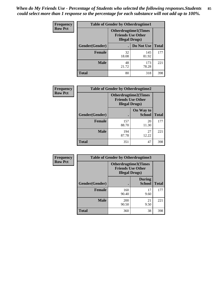| <b>Frequency</b> | <b>Table of Gender by Otherdrugtime1</b> |                                                                                   |              |              |
|------------------|------------------------------------------|-----------------------------------------------------------------------------------|--------------|--------------|
| <b>Row Pct</b>   |                                          | <b>Otherdrugtime1(Times</b><br><b>Friends Use Other</b><br><b>Illegal Drugs</b> ) |              |              |
|                  | Gender(Gender)                           |                                                                                   | Do Not Use   | <b>Total</b> |
|                  | Female                                   | 32<br>18.08                                                                       | 145<br>81.92 | 177          |
|                  | <b>Male</b>                              | 48<br>21.72                                                                       | 173<br>78.28 | 221          |
|                  | <b>Total</b>                             | 80                                                                                | 318          | 398          |

| Frequency      |                | <b>Table of Gender by Otherdrugtime2</b>                                          |                            |              |
|----------------|----------------|-----------------------------------------------------------------------------------|----------------------------|--------------|
| <b>Row Pct</b> |                | <b>Otherdrugtime2(Times</b><br><b>Friends Use Other</b><br><b>Illegal Drugs</b> ) |                            |              |
|                | Gender(Gender) |                                                                                   | On Way to<br><b>School</b> | <b>Total</b> |
|                | <b>Female</b>  | 157<br>88.70                                                                      | 20<br>11.30                | 177          |
|                | <b>Male</b>    | 194<br>87.78                                                                      | 27<br>12.22                | 221          |
|                | <b>Total</b>   | 351                                                                               | 47                         | 398          |

| Frequency      | <b>Table of Gender by Otherdrugtime3</b> |                                                    |                                |              |
|----------------|------------------------------------------|----------------------------------------------------|--------------------------------|--------------|
| <b>Row Pct</b> |                                          | <b>Friends Use Other</b><br><b>Illegal Drugs</b> ) | <b>Otherdrugtime3(Times</b>    |              |
|                | Gender(Gender)                           |                                                    | <b>During</b><br><b>School</b> | <b>Total</b> |
|                | <b>Female</b>                            | 160<br>90.40                                       | 17<br>9.60                     | 177          |
|                | <b>Male</b>                              | 200<br>90.50                                       | 21<br>9.50                     | 221          |
|                | <b>Total</b>                             | 360                                                | 38                             | 398          |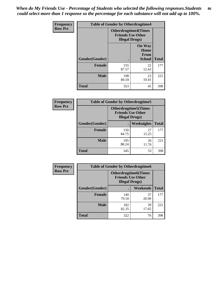*When do My Friends Use - Percentage of Students who selected the following responses.Students could select more than 1 response so the percentage for each substance will not add up to 100%.* **86**

| <b>Frequency</b> | <b>Table of Gender by Otherdrugtime4</b> |                                                    |                                                |              |
|------------------|------------------------------------------|----------------------------------------------------|------------------------------------------------|--------------|
| <b>Row Pct</b>   |                                          | <b>Friends Use Other</b><br><b>Illegal Drugs</b> ) | <b>Otherdrugtime4(Times</b>                    |              |
|                  | Gender(Gender)                           |                                                    | <b>On Way</b><br>Home<br>From<br><b>School</b> | <b>Total</b> |
|                  | Female                                   | 155<br>87.57                                       | 22<br>12.43                                    | 177          |
|                  | <b>Male</b>                              | 198<br>89.59                                       | 23<br>10.41                                    | 221          |
|                  | <b>Total</b>                             | 353                                                | 45                                             | 398          |

| Frequency      | <b>Table of Gender by Otherdrugtime5</b> |                                                                                    |             |              |
|----------------|------------------------------------------|------------------------------------------------------------------------------------|-------------|--------------|
| <b>Row Pct</b> |                                          | <b>Otherdrugtime5</b> (Times<br><b>Friends Use Other</b><br><b>Illegal Drugs</b> ) |             |              |
|                | Gender(Gender)                           |                                                                                    | Weeknights  | <b>Total</b> |
|                | <b>Female</b>                            | 150<br>84.75                                                                       | 27<br>15.25 | 177          |
|                | <b>Male</b>                              | 195<br>88.24                                                                       | 26<br>11.76 | 221          |
|                | <b>Total</b>                             | 345                                                                                | 53          | 398          |

| <b>Frequency</b> | <b>Table of Gender by Otherdrugtime6</b> |                                                                                   |             |              |
|------------------|------------------------------------------|-----------------------------------------------------------------------------------|-------------|--------------|
| <b>Row Pct</b>   |                                          | <b>Otherdrugtime6(Times</b><br><b>Friends Use Other</b><br><b>Illegal Drugs</b> ) |             |              |
|                  | Gender(Gender)                           |                                                                                   | Weekends    | <b>Total</b> |
|                  | Female                                   | 140<br>79.10                                                                      | 37<br>20.90 | 177          |
|                  | <b>Male</b>                              | 182<br>82.35                                                                      | 39<br>17.65 | 221          |
|                  | <b>Total</b>                             | 322                                                                               | 76          | 398          |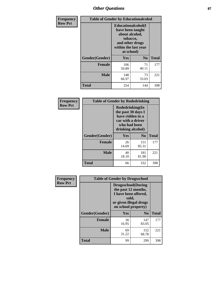# *Other Questions* **87**

| <b>Frequency</b> | <b>Table of Gender by Educationalcohol</b> |                                                                                                                                       |                |              |  |
|------------------|--------------------------------------------|---------------------------------------------------------------------------------------------------------------------------------------|----------------|--------------|--|
| <b>Row Pct</b>   |                                            | <b>Educationalcohol</b> (I<br>have been taught<br>about alcohol,<br>tobacco,<br>and other drugs<br>within the last year<br>at school) |                |              |  |
|                  | Gender(Gender)                             | <b>Yes</b>                                                                                                                            | N <sub>0</sub> | <b>Total</b> |  |
|                  | <b>Female</b>                              | 106<br>59.89                                                                                                                          | 71<br>40.11    | 177          |  |
|                  | <b>Male</b>                                | 148<br>66.97                                                                                                                          | 73<br>33.03    | 221          |  |
|                  | <b>Total</b>                               | 254                                                                                                                                   | 144            | 398          |  |

| Frequency      | <b>Table of Gender by Rodedrinking</b> |                                                                                                                     |                |              |  |
|----------------|----------------------------------------|---------------------------------------------------------------------------------------------------------------------|----------------|--------------|--|
| <b>Row Pct</b> |                                        | Rodedrinking(In<br>the past 30 days I<br>have ridden in a<br>car with a driver<br>who had been<br>drinking alcohol) |                |              |  |
|                | Gender(Gender)                         | Yes                                                                                                                 | N <sub>0</sub> | <b>Total</b> |  |
|                | <b>Female</b>                          | 26<br>14.69                                                                                                         | 151<br>85.31   | 177          |  |
|                | <b>Male</b>                            | 40<br>18.10                                                                                                         | 181<br>81.90   | 221          |  |
|                | <b>Total</b>                           | 66                                                                                                                  | 332            | 398          |  |

| Frequency      | <b>Table of Gender by Drugsschool</b> |                                                                                                                                     |                |              |  |
|----------------|---------------------------------------|-------------------------------------------------------------------------------------------------------------------------------------|----------------|--------------|--|
| <b>Row Pct</b> |                                       | <b>Drugsschool</b> (During<br>the past 12 months,<br>I have been offered,<br>sold,<br>or given illegal drugs<br>on school property) |                |              |  |
|                | Gender(Gender)                        | Yes                                                                                                                                 | N <sub>0</sub> | <b>Total</b> |  |
|                | <b>Female</b>                         | 30<br>16.95                                                                                                                         | 147<br>83.05   | 177          |  |
|                | <b>Male</b>                           | 69<br>31.22                                                                                                                         | 152<br>68.78   | 221          |  |
|                | <b>Total</b>                          | 99                                                                                                                                  | 299            | 398          |  |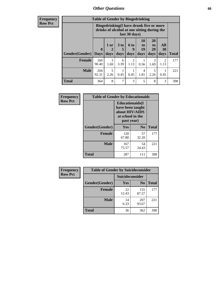# *Other Questions* **88**

**Frequency Row Pct**

| <b>Table of Gender by Bingedrinking</b> |                         |                                                                                                         |                   |                   |                               |                               |                        |              |
|-----------------------------------------|-------------------------|---------------------------------------------------------------------------------------------------------|-------------------|-------------------|-------------------------------|-------------------------------|------------------------|--------------|
|                                         |                         | Bingedrinking(I have drunk five or more<br>drinks of alcohol at one sitting during the<br>last 30 days) |                   |                   |                               |                               |                        |              |
| <b>Gender</b> (Gender)                  | $\bf{0}$<br><b>Days</b> | 1 or<br>days                                                                                            | 3 to<br>5<br>days | 6 to<br>9<br>days | <b>10</b><br>to<br>19<br>days | <b>20</b><br>to<br>29<br>days | All<br>30<br>days      | <b>Total</b> |
| <b>Female</b>                           | 160<br>90.40            | 3<br>1.69                                                                                               | 6<br>3.39         | 2<br>1.13         | 0.56                          | 3<br>1.69                     | $\mathfrak{D}$<br>1.13 | 177          |
| <b>Male</b>                             | 204<br>92.31            | 5<br>2.26                                                                                               | 0.45              | 0.45              | 4<br>1.81                     | 5<br>2.26                     | 0.45                   | 221          |
| <b>Total</b>                            | 364                     | 8                                                                                                       | $\overline{7}$    | 3                 | 5                             | 8                             | 3                      | 398          |

| Frequency      | <b>Table of Gender by Educationaids</b> |                                                                                                 |                |              |  |
|----------------|-----------------------------------------|-------------------------------------------------------------------------------------------------|----------------|--------------|--|
| <b>Row Pct</b> |                                         | <b>Educationaids</b> (I<br>have been taught<br>about HIV/AIDS<br>at school in the<br>past year) |                |              |  |
|                | Gender(Gender)                          | Yes                                                                                             | $\mathbf{N_0}$ | <b>Total</b> |  |
|                | <b>Female</b>                           | 120<br>67.80                                                                                    | 57<br>32.20    | 177          |  |
|                | <b>Male</b>                             | 167<br>75.57                                                                                    | 54<br>24.43    | 221          |  |
|                | <b>Total</b>                            | 287                                                                                             | 111            | 398          |  |

| <b>Frequency</b> | <b>Table of Gender by Suicideconsider</b> |                 |                |              |  |
|------------------|-------------------------------------------|-----------------|----------------|--------------|--|
| <b>Row Pct</b>   |                                           | Suicideconsider |                |              |  |
|                  | Gender(Gender)                            | Yes             | N <sub>0</sub> | <b>Total</b> |  |
|                  | <b>Female</b>                             | 22<br>12.43     | 155<br>87.57   | 177          |  |
|                  | <b>Male</b>                               | 14<br>6.33      | 207<br>93.67   | 221          |  |
|                  | Total                                     | 36              | 362            | 398          |  |